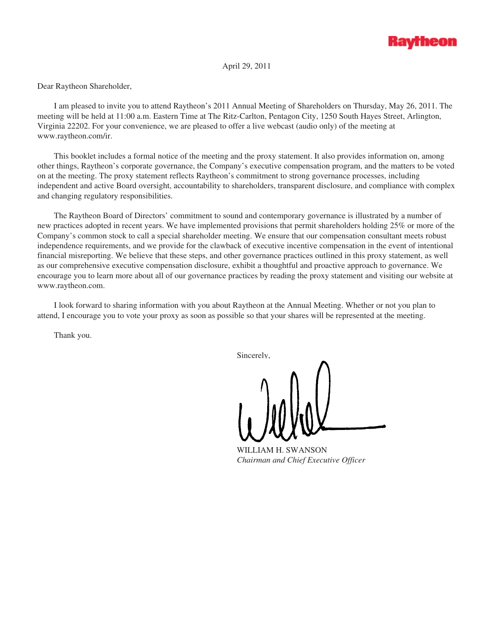

April 29, 2011

Dear Raytheon Shareholder,

I am pleased to invite you to attend Raytheon's 2011 Annual Meeting of Shareholders on Thursday, May 26, 2011. The meeting will be held at 11:00 a.m. Eastern Time at The Ritz-Carlton, Pentagon City, 1250 South Hayes Street, Arlington, Virginia 22202. For your convenience, we are pleased to offer a live webcast (audio only) of the meeting at www.raytheon.com/ir.

This booklet includes a formal notice of the meeting and the proxy statement. It also provides information on, among other things, Raytheon's corporate governance, the Company's executive compensation program, and the matters to be voted on at the meeting. The proxy statement reflects Raytheon's commitment to strong governance processes, including independent and active Board oversight, accountability to shareholders, transparent disclosure, and compliance with complex and changing regulatory responsibilities.

The Raytheon Board of Directors' commitment to sound and contemporary governance is illustrated by a number of new practices adopted in recent years. We have implemented provisions that permit shareholders holding 25% or more of the Company's common stock to call a special shareholder meeting. We ensure that our compensation consultant meets robust independence requirements, and we provide for the clawback of executive incentive compensation in the event of intentional financial misreporting. We believe that these steps, and other governance practices outlined in this proxy statement, as well as our comprehensive executive compensation disclosure, exhibit a thoughtful and proactive approach to governance. We encourage you to learn more about all of our governance practices by reading the proxy statement and visiting our website at www.raytheon.com.

I look forward to sharing information with you about Raytheon at the Annual Meeting. Whether or not you plan to attend, I encourage you to vote your proxy as soon as possible so that your shares will be represented at the meeting.

Thank you.

Sincerely,

WILLIAM H. SWANSON *Chairman and Chief Executive Officer*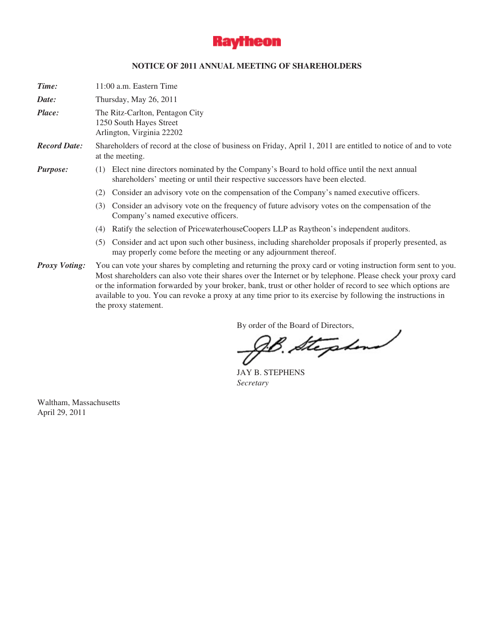

## **NOTICE OF 2011 ANNUAL MEETING OF SHAREHOLDERS**

| Time:                | 11:00 a.m. Eastern Time |                                                                                                                                                                                                                                                                                                                                                                                                                                                                                   |  |  |  |  |  |
|----------------------|-------------------------|-----------------------------------------------------------------------------------------------------------------------------------------------------------------------------------------------------------------------------------------------------------------------------------------------------------------------------------------------------------------------------------------------------------------------------------------------------------------------------------|--|--|--|--|--|
| Date:                |                         | Thursday, May 26, 2011                                                                                                                                                                                                                                                                                                                                                                                                                                                            |  |  |  |  |  |
| Place:               |                         | The Ritz-Carlton, Pentagon City<br>1250 South Hayes Street<br>Arlington, Virginia 22202                                                                                                                                                                                                                                                                                                                                                                                           |  |  |  |  |  |
| <b>Record Date:</b>  |                         | Shareholders of record at the close of business on Friday, April 1, 2011 are entitled to notice of and to vote<br>at the meeting.                                                                                                                                                                                                                                                                                                                                                 |  |  |  |  |  |
| <i>Purpose:</i>      | (1)                     | Elect nine directors nominated by the Company's Board to hold office until the next annual<br>shareholders' meeting or until their respective successors have been elected.                                                                                                                                                                                                                                                                                                       |  |  |  |  |  |
|                      | (2)                     | Consider an advisory vote on the compensation of the Company's named executive officers.                                                                                                                                                                                                                                                                                                                                                                                          |  |  |  |  |  |
|                      | (3)                     | Consider an advisory vote on the frequency of future advisory votes on the compensation of the<br>Company's named executive officers.                                                                                                                                                                                                                                                                                                                                             |  |  |  |  |  |
|                      | (4)                     | Ratify the selection of PricewaterhouseCoopers LLP as Raytheon's independent auditors.                                                                                                                                                                                                                                                                                                                                                                                            |  |  |  |  |  |
|                      | (5)                     | Consider and act upon such other business, including shareholder proposals if properly presented, as<br>may properly come before the meeting or any adjournment thereof.                                                                                                                                                                                                                                                                                                          |  |  |  |  |  |
| <b>Proxy Voting:</b> |                         | You can vote your shares by completing and returning the proxy card or voting instruction form sent to you.<br>Most shareholders can also vote their shares over the Internet or by telephone. Please check your proxy card<br>or the information forwarded by your broker, bank, trust or other holder of record to see which options are<br>available to you. You can revoke a proxy at any time prior to its exercise by following the instructions in<br>the proxy statement. |  |  |  |  |  |

By order of the Board of Directors,

JAY B. STEPHENS *Secretary*

Waltham, Massachusetts April 29, 2011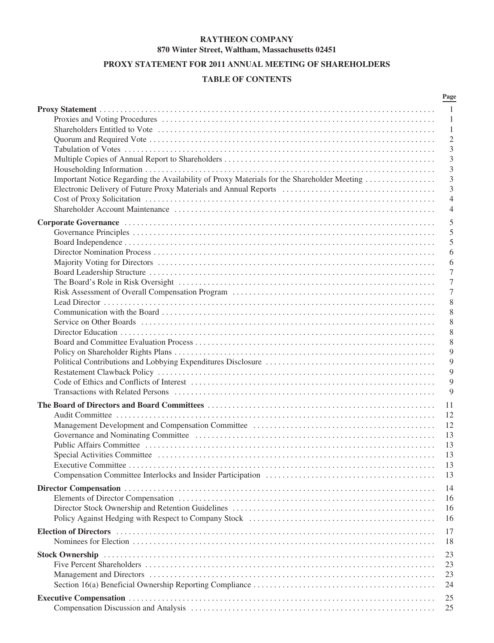## **RAYTHEON COMPANY 870 Winter Street, Waltham, Massachusetts 02451**

# **PROXY STATEMENT FOR 2011 ANNUAL MEETING OF SHAREHOLDERS**

# **TABLE OF CONTENTS**

|                                                                                                                                                                                                                                | Page           |
|--------------------------------------------------------------------------------------------------------------------------------------------------------------------------------------------------------------------------------|----------------|
|                                                                                                                                                                                                                                | -1             |
|                                                                                                                                                                                                                                | 1              |
|                                                                                                                                                                                                                                | 1              |
|                                                                                                                                                                                                                                | $\overline{2}$ |
|                                                                                                                                                                                                                                | 3              |
|                                                                                                                                                                                                                                | 3              |
|                                                                                                                                                                                                                                | 3              |
| Important Notice Regarding the Availability of Proxy Materials for the Shareholder Meeting                                                                                                                                     | 3              |
|                                                                                                                                                                                                                                | 3              |
|                                                                                                                                                                                                                                | $\overline{4}$ |
|                                                                                                                                                                                                                                | $\overline{4}$ |
|                                                                                                                                                                                                                                | 5              |
|                                                                                                                                                                                                                                | 5              |
|                                                                                                                                                                                                                                | 5              |
|                                                                                                                                                                                                                                | 6              |
|                                                                                                                                                                                                                                | 6              |
|                                                                                                                                                                                                                                | 7              |
|                                                                                                                                                                                                                                | 7              |
|                                                                                                                                                                                                                                | 7              |
|                                                                                                                                                                                                                                | 8              |
|                                                                                                                                                                                                                                | 8              |
|                                                                                                                                                                                                                                | 8              |
|                                                                                                                                                                                                                                | 8              |
|                                                                                                                                                                                                                                | 8              |
|                                                                                                                                                                                                                                | 9              |
|                                                                                                                                                                                                                                | 9              |
|                                                                                                                                                                                                                                | 9              |
|                                                                                                                                                                                                                                | 9              |
|                                                                                                                                                                                                                                | 9              |
|                                                                                                                                                                                                                                |                |
|                                                                                                                                                                                                                                | 11             |
|                                                                                                                                                                                                                                | 12             |
|                                                                                                                                                                                                                                | 12             |
|                                                                                                                                                                                                                                | 13             |
|                                                                                                                                                                                                                                | 13             |
|                                                                                                                                                                                                                                | 13             |
| Executive Committee                                                                                                                                                                                                            | 13             |
|                                                                                                                                                                                                                                | 13             |
|                                                                                                                                                                                                                                | 14             |
|                                                                                                                                                                                                                                | 16             |
|                                                                                                                                                                                                                                | 16             |
|                                                                                                                                                                                                                                | 16             |
| Election of Directors (and according to the control of the control of the control of Directors (and the control of the control of the control of the control of the control of the control of the control of the control of th | 17             |
|                                                                                                                                                                                                                                | 18             |
|                                                                                                                                                                                                                                |                |
|                                                                                                                                                                                                                                | 23             |
|                                                                                                                                                                                                                                | 23             |
|                                                                                                                                                                                                                                | 23             |
|                                                                                                                                                                                                                                | 24             |
|                                                                                                                                                                                                                                | 25             |
|                                                                                                                                                                                                                                | 25             |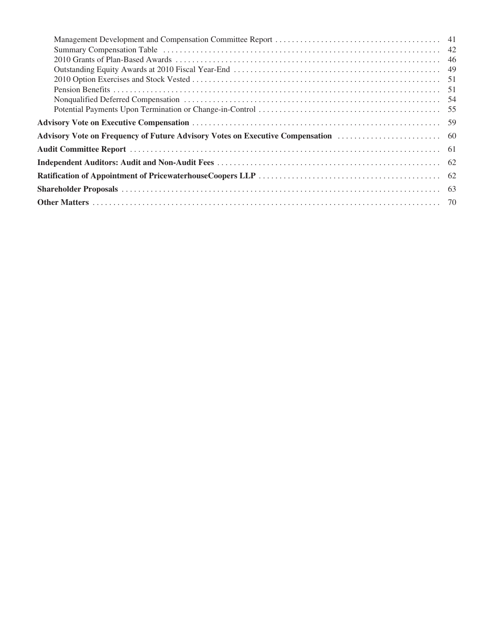| Summary Compensation Table (a) and the context of the context of the context of the context of the context of the context of the context of the context of the context of the context of the context of the context of the con |  |
|--------------------------------------------------------------------------------------------------------------------------------------------------------------------------------------------------------------------------------|--|
|                                                                                                                                                                                                                                |  |
|                                                                                                                                                                                                                                |  |
|                                                                                                                                                                                                                                |  |
|                                                                                                                                                                                                                                |  |
|                                                                                                                                                                                                                                |  |
|                                                                                                                                                                                                                                |  |
|                                                                                                                                                                                                                                |  |
|                                                                                                                                                                                                                                |  |
|                                                                                                                                                                                                                                |  |
|                                                                                                                                                                                                                                |  |
|                                                                                                                                                                                                                                |  |
|                                                                                                                                                                                                                                |  |
|                                                                                                                                                                                                                                |  |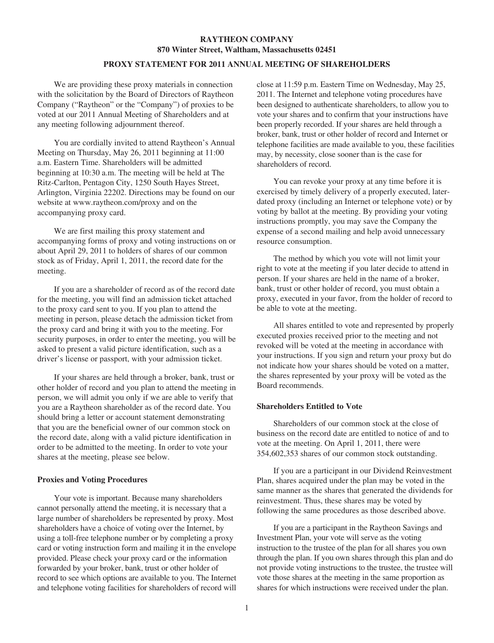# **RAYTHEON COMPANY 870 Winter Street, Waltham, Massachusetts 02451**

## **PROXY STATEMENT FOR 2011 ANNUAL MEETING OF SHAREHOLDERS**

We are providing these proxy materials in connection with the solicitation by the Board of Directors of Raytheon Company ("Raytheon" or the "Company") of proxies to be voted at our 2011 Annual Meeting of Shareholders and at any meeting following adjournment thereof.

You are cordially invited to attend Raytheon's Annual Meeting on Thursday, May 26, 2011 beginning at 11:00 a.m. Eastern Time. Shareholders will be admitted beginning at 10:30 a.m. The meeting will be held at The Ritz-Carlton, Pentagon City, 1250 South Hayes Street, Arlington, Virginia 22202. Directions may be found on our website at www.raytheon.com/proxy and on the accompanying proxy card.

We are first mailing this proxy statement and accompanying forms of proxy and voting instructions on or about April 29, 2011 to holders of shares of our common stock as of Friday, April 1, 2011, the record date for the meeting.

If you are a shareholder of record as of the record date for the meeting, you will find an admission ticket attached to the proxy card sent to you. If you plan to attend the meeting in person, please detach the admission ticket from the proxy card and bring it with you to the meeting. For security purposes, in order to enter the meeting, you will be asked to present a valid picture identification, such as a driver's license or passport, with your admission ticket.

If your shares are held through a broker, bank, trust or other holder of record and you plan to attend the meeting in person, we will admit you only if we are able to verify that you are a Raytheon shareholder as of the record date. You should bring a letter or account statement demonstrating that you are the beneficial owner of our common stock on the record date, along with a valid picture identification in order to be admitted to the meeting. In order to vote your shares at the meeting, please see below.

#### **Proxies and Voting Procedures**

Your vote is important. Because many shareholders cannot personally attend the meeting, it is necessary that a large number of shareholders be represented by proxy. Most shareholders have a choice of voting over the Internet, by using a toll-free telephone number or by completing a proxy card or voting instruction form and mailing it in the envelope provided. Please check your proxy card or the information forwarded by your broker, bank, trust or other holder of record to see which options are available to you. The Internet and telephone voting facilities for shareholders of record will close at 11:59 p.m. Eastern Time on Wednesday, May 25, 2011. The Internet and telephone voting procedures have been designed to authenticate shareholders, to allow you to vote your shares and to confirm that your instructions have been properly recorded. If your shares are held through a broker, bank, trust or other holder of record and Internet or telephone facilities are made available to you, these facilities may, by necessity, close sooner than is the case for shareholders of record.

You can revoke your proxy at any time before it is exercised by timely delivery of a properly executed, laterdated proxy (including an Internet or telephone vote) or by voting by ballot at the meeting. By providing your voting instructions promptly, you may save the Company the expense of a second mailing and help avoid unnecessary resource consumption.

The method by which you vote will not limit your right to vote at the meeting if you later decide to attend in person. If your shares are held in the name of a broker, bank, trust or other holder of record, you must obtain a proxy, executed in your favor, from the holder of record to be able to vote at the meeting.

All shares entitled to vote and represented by properly executed proxies received prior to the meeting and not revoked will be voted at the meeting in accordance with your instructions. If you sign and return your proxy but do not indicate how your shares should be voted on a matter, the shares represented by your proxy will be voted as the Board recommends.

### **Shareholders Entitled to Vote**

Shareholders of our common stock at the close of business on the record date are entitled to notice of and to vote at the meeting. On April 1, 2011, there were 354,602,353 shares of our common stock outstanding.

If you are a participant in our Dividend Reinvestment Plan, shares acquired under the plan may be voted in the same manner as the shares that generated the dividends for reinvestment. Thus, these shares may be voted by following the same procedures as those described above.

If you are a participant in the Raytheon Savings and Investment Plan, your vote will serve as the voting instruction to the trustee of the plan for all shares you own through the plan. If you own shares through this plan and do not provide voting instructions to the trustee, the trustee will vote those shares at the meeting in the same proportion as shares for which instructions were received under the plan.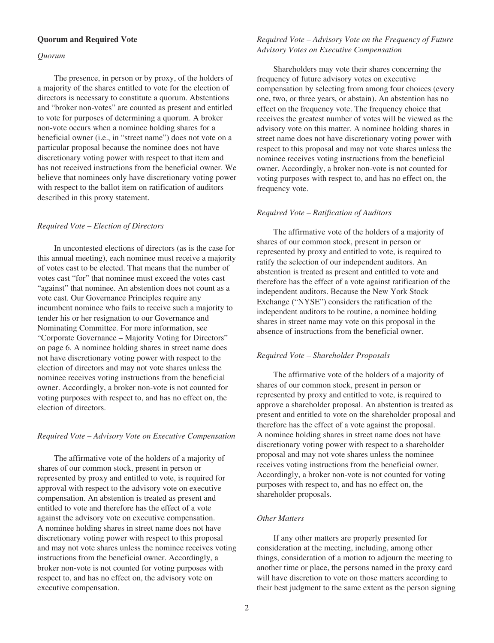#### **Quorum and Required Vote**

#### *Quorum*

The presence, in person or by proxy, of the holders of a majority of the shares entitled to vote for the election of directors is necessary to constitute a quorum. Abstentions and "broker non-votes" are counted as present and entitled to vote for purposes of determining a quorum. A broker non-vote occurs when a nominee holding shares for a beneficial owner (i.e., in "street name") does not vote on a particular proposal because the nominee does not have discretionary voting power with respect to that item and has not received instructions from the beneficial owner. We believe that nominees only have discretionary voting power with respect to the ballot item on ratification of auditors described in this proxy statement.

#### *Required Vote – Election of Directors*

In uncontested elections of directors (as is the case for this annual meeting), each nominee must receive a majority of votes cast to be elected. That means that the number of votes cast "for" that nominee must exceed the votes cast "against" that nominee. An abstention does not count as a vote cast. Our Governance Principles require any incumbent nominee who fails to receive such a majority to tender his or her resignation to our Governance and Nominating Committee. For more information, see "Corporate Governance – Majority Voting for Directors" on page 6. A nominee holding shares in street name does not have discretionary voting power with respect to the election of directors and may not vote shares unless the nominee receives voting instructions from the beneficial owner. Accordingly, a broker non-vote is not counted for voting purposes with respect to, and has no effect on, the election of directors.

### *Required Vote – Advisory Vote on Executive Compensation*

The affirmative vote of the holders of a majority of shares of our common stock, present in person or represented by proxy and entitled to vote, is required for approval with respect to the advisory vote on executive compensation. An abstention is treated as present and entitled to vote and therefore has the effect of a vote against the advisory vote on executive compensation. A nominee holding shares in street name does not have discretionary voting power with respect to this proposal and may not vote shares unless the nominee receives voting instructions from the beneficial owner. Accordingly, a broker non-vote is not counted for voting purposes with respect to, and has no effect on, the advisory vote on executive compensation.

## *Required Vote – Advisory Vote on the Frequency of Future Advisory Votes on Executive Compensation*

Shareholders may vote their shares concerning the frequency of future advisory votes on executive compensation by selecting from among four choices (every one, two, or three years, or abstain). An abstention has no effect on the frequency vote. The frequency choice that receives the greatest number of votes will be viewed as the advisory vote on this matter. A nominee holding shares in street name does not have discretionary voting power with respect to this proposal and may not vote shares unless the nominee receives voting instructions from the beneficial owner. Accordingly, a broker non-vote is not counted for voting purposes with respect to, and has no effect on, the frequency vote.

#### *Required Vote – Ratification of Auditors*

The affirmative vote of the holders of a majority of shares of our common stock, present in person or represented by proxy and entitled to vote, is required to ratify the selection of our independent auditors. An abstention is treated as present and entitled to vote and therefore has the effect of a vote against ratification of the independent auditors. Because the New York Stock Exchange ("NYSE") considers the ratification of the independent auditors to be routine, a nominee holding shares in street name may vote on this proposal in the absence of instructions from the beneficial owner.

### *Required Vote – Shareholder Proposals*

The affirmative vote of the holders of a majority of shares of our common stock, present in person or represented by proxy and entitled to vote, is required to approve a shareholder proposal. An abstention is treated as present and entitled to vote on the shareholder proposal and therefore has the effect of a vote against the proposal. A nominee holding shares in street name does not have discretionary voting power with respect to a shareholder proposal and may not vote shares unless the nominee receives voting instructions from the beneficial owner. Accordingly, a broker non-vote is not counted for voting purposes with respect to, and has no effect on, the shareholder proposals.

## *Other Matters*

If any other matters are properly presented for consideration at the meeting, including, among other things, consideration of a motion to adjourn the meeting to another time or place, the persons named in the proxy card will have discretion to vote on those matters according to their best judgment to the same extent as the person signing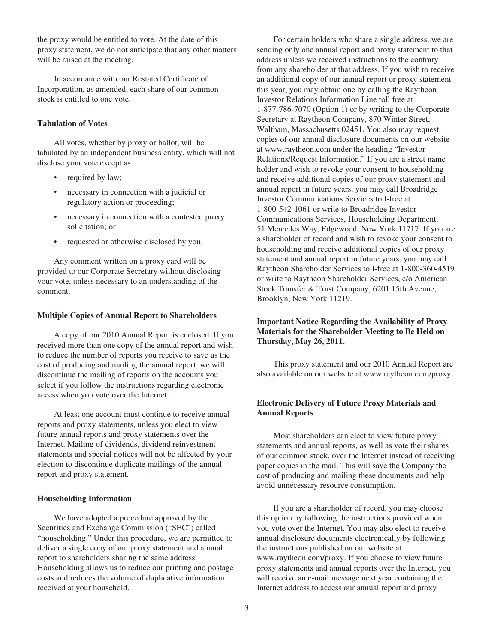the proxy would be entitled to vote. At the date of this proxy statement, we do not anticipate that any other matters will be raised at the meeting.

In accordance with our Restated Certificate of Incorporation, as amended, each share of our common stock is entitled to one vote.

### **Tabulation of Votes**

All votes, whether by proxy or ballot, will be tabulated by an independent business entity, which will not disclose your vote except as:

- required by law;
- necessary in connection with a judicial or regulatory action or proceeding;
- necessary in connection with a contested proxy solicitation; or
- requested or otherwise disclosed by you.

Any comment written on a proxy card will be provided to our Corporate Secretary without disclosing your vote, unless necessary to an understanding of the comment.

#### **Multiple Copies of Annual Report to Shareholders**

A copy of our 2010 Annual Report is enclosed. If you received more than one copy of the annual report and wish to reduce the number of reports you receive to save us the cost of producing and mailing the annual report, we will discontinue the mailing of reports on the accounts you select if you follow the instructions regarding electronic access when you vote over the Internet.

At least one account must continue to receive annual reports and proxy statements, unless you elect to view future annual reports and proxy statements over the Internet. Mailing of dividends, dividend reinvestment statements and special notices will not be affected by your election to discontinue duplicate mailings of the annual report and proxy statement.

#### **Householding Information**

We have adopted a procedure approved by the Securities and Exchange Commission ("SEC") called "householding." Under this procedure, we are permitted to deliver a single copy of our proxy statement and annual report to shareholders sharing the same address. Householding allows us to reduce our printing and postage costs and reduces the volume of duplicative information received at your household.

For certain holders who share a single address, we are sending only one annual report and proxy statement to that address unless we received instructions to the contrary from any shareholder at that address. If you wish to receive an additional copy of our annual report or proxy statement this year, you may obtain one by calling the Raytheon Investor Relations Information Line toll free at 1-877-786-7070 (Option 1) or by writing to the Corporate Secretary at Raytheon Company, 870 Winter Street, Waltham, Massachusetts 02451. You also may request copies of our annual disclosure documents on our website at www.raytheon.com under the heading "Investor Relations/Request Information." If you are a street name holder and wish to revoke your consent to householding and receive additional copies of our proxy statement and annual report in future years, you may call Broadridge Investor Communications Services toll-free at 1-800-542-1061 or write to Broadridge Investor Communications Services, Householding Department, 51 Mercedes Way, Edgewood, New York 11717. If you are a shareholder of record and wish to revoke your consent to householding and receive additional copies of our proxy statement and annual report in future years, you may call Raytheon Shareholder Services toll-free at 1-800-360-4519 or write to Raytheon Shareholder Services, c/o American Stock Transfer & Trust Company, 6201 15th Avenue, Brooklyn, New York 11219.

## **Important Notice Regarding the Availability of Proxy Materials for the Shareholder Meeting to Be Held on Thursday, May 26, 2011.**

This proxy statement and our 2010 Annual Report are also available on our website at www.raytheon.com/proxy.

## **Electronic Delivery of Future Proxy Materials and Annual Reports**

Most shareholders can elect to view future proxy statements and annual reports, as well as vote their shares of our common stock, over the Internet instead of receiving paper copies in the mail. This will save the Company the cost of producing and mailing these documents and help avoid unnecessary resource consumption.

If you are a shareholder of record, you may choose this option by following the instructions provided when you vote over the Internet. You may also elect to receive annual disclosure documents electronically by following the instructions published on our website at www.raytheon.com/proxy. If you choose to view future proxy statements and annual reports over the Internet, you will receive an e-mail message next year containing the Internet address to access our annual report and proxy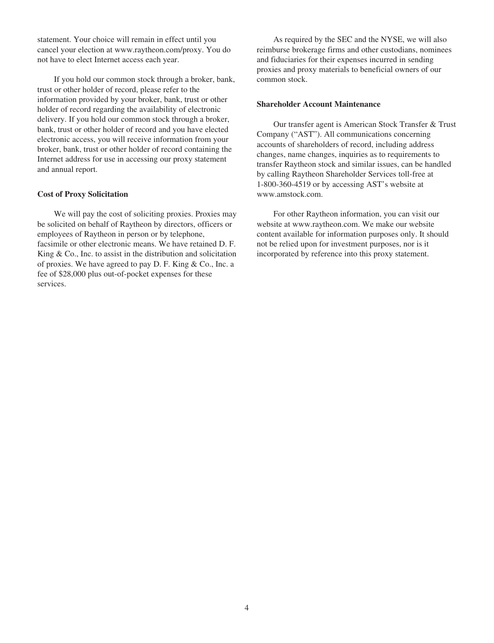statement. Your choice will remain in effect until you cancel your election at www.raytheon.com/proxy. You do not have to elect Internet access each year.

If you hold our common stock through a broker, bank, trust or other holder of record, please refer to the information provided by your broker, bank, trust or other holder of record regarding the availability of electronic delivery. If you hold our common stock through a broker, bank, trust or other holder of record and you have elected electronic access, you will receive information from your broker, bank, trust or other holder of record containing the Internet address for use in accessing our proxy statement and annual report.

#### **Cost of Proxy Solicitation**

We will pay the cost of soliciting proxies. Proxies may be solicited on behalf of Raytheon by directors, officers or employees of Raytheon in person or by telephone, facsimile or other electronic means. We have retained D. F. King & Co., Inc. to assist in the distribution and solicitation of proxies. We have agreed to pay D. F. King & Co., Inc. a fee of \$28,000 plus out-of-pocket expenses for these services.

As required by the SEC and the NYSE, we will also reimburse brokerage firms and other custodians, nominees and fiduciaries for their expenses incurred in sending proxies and proxy materials to beneficial owners of our common stock.

## **Shareholder Account Maintenance**

Our transfer agent is American Stock Transfer & Trust Company ("AST"). All communications concerning accounts of shareholders of record, including address changes, name changes, inquiries as to requirements to transfer Raytheon stock and similar issues, can be handled by calling Raytheon Shareholder Services toll-free at 1-800-360-4519 or by accessing AST's website at www.amstock.com.

For other Raytheon information, you can visit our website at www.raytheon.com. We make our website content available for information purposes only. It should not be relied upon for investment purposes, nor is it incorporated by reference into this proxy statement.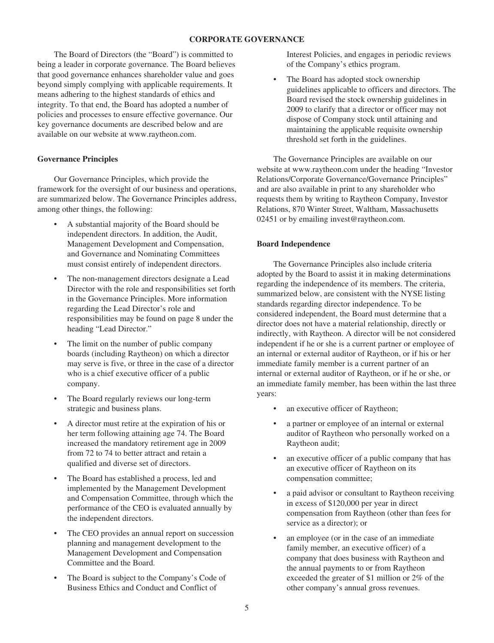## **CORPORATE GOVERNANCE**

The Board of Directors (the "Board") is committed to being a leader in corporate governance. The Board believes that good governance enhances shareholder value and goes beyond simply complying with applicable requirements. It means adhering to the highest standards of ethics and integrity. To that end, the Board has adopted a number of policies and processes to ensure effective governance. Our key governance documents are described below and are available on our website at www.raytheon.com.

### **Governance Principles**

Our Governance Principles, which provide the framework for the oversight of our business and operations, are summarized below. The Governance Principles address, among other things, the following:

- A substantial majority of the Board should be independent directors. In addition, the Audit, Management Development and Compensation, and Governance and Nominating Committees must consist entirely of independent directors.
- The non-management directors designate a Lead Director with the role and responsibilities set forth in the Governance Principles. More information regarding the Lead Director's role and responsibilities may be found on page 8 under the heading "Lead Director."
- The limit on the number of public company boards (including Raytheon) on which a director may serve is five, or three in the case of a director who is a chief executive officer of a public company.
- The Board regularly reviews our long-term strategic and business plans.
- A director must retire at the expiration of his or her term following attaining age 74. The Board increased the mandatory retirement age in 2009 from 72 to 74 to better attract and retain a qualified and diverse set of directors.
- The Board has established a process, led and implemented by the Management Development and Compensation Committee, through which the performance of the CEO is evaluated annually by the independent directors.
- The CEO provides an annual report on succession planning and management development to the Management Development and Compensation Committee and the Board.
- The Board is subject to the Company's Code of Business Ethics and Conduct and Conflict of

Interest Policies, and engages in periodic reviews of the Company's ethics program.

• The Board has adopted stock ownership guidelines applicable to officers and directors. The Board revised the stock ownership guidelines in 2009 to clarify that a director or officer may not dispose of Company stock until attaining and maintaining the applicable requisite ownership threshold set forth in the guidelines.

The Governance Principles are available on our website at www.raytheon.com under the heading "Investor Relations/Corporate Governance/Governance Principles" and are also available in print to any shareholder who requests them by writing to Raytheon Company, Investor Relations, 870 Winter Street, Waltham, Massachusetts 02451 or by emailing invest@raytheon.com.

### **Board Independence**

The Governance Principles also include criteria adopted by the Board to assist it in making determinations regarding the independence of its members. The criteria, summarized below, are consistent with the NYSE listing standards regarding director independence. To be considered independent, the Board must determine that a director does not have a material relationship, directly or indirectly, with Raytheon. A director will be not considered independent if he or she is a current partner or employee of an internal or external auditor of Raytheon, or if his or her immediate family member is a current partner of an internal or external auditor of Raytheon, or if he or she, or an immediate family member, has been within the last three years:

- an executive officer of Raytheon;
- a partner or employee of an internal or external auditor of Raytheon who personally worked on a Raytheon audit;
- an executive officer of a public company that has an executive officer of Raytheon on its compensation committee;
- a paid advisor or consultant to Raytheon receiving in excess of \$120,000 per year in direct compensation from Raytheon (other than fees for service as a director); or
- an employee (or in the case of an immediate family member, an executive officer) of a company that does business with Raytheon and the annual payments to or from Raytheon exceeded the greater of \$1 million or 2% of the other company's annual gross revenues.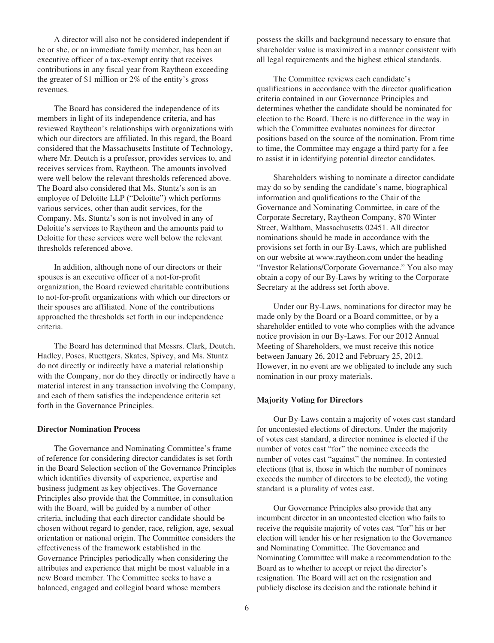A director will also not be considered independent if he or she, or an immediate family member, has been an executive officer of a tax-exempt entity that receives contributions in any fiscal year from Raytheon exceeding the greater of \$1 million or 2% of the entity's gross revenues.

The Board has considered the independence of its members in light of its independence criteria, and has reviewed Raytheon's relationships with organizations with which our directors are affiliated. In this regard, the Board considered that the Massachusetts Institute of Technology, where Mr. Deutch is a professor, provides services to, and receives services from, Raytheon. The amounts involved were well below the relevant thresholds referenced above. The Board also considered that Ms. Stuntz's son is an employee of Deloitte LLP ("Deloitte") which performs various services, other than audit services, for the Company. Ms. Stuntz's son is not involved in any of Deloitte's services to Raytheon and the amounts paid to Deloitte for these services were well below the relevant thresholds referenced above.

In addition, although none of our directors or their spouses is an executive officer of a not-for-profit organization, the Board reviewed charitable contributions to not-for-profit organizations with which our directors or their spouses are affiliated. None of the contributions approached the thresholds set forth in our independence criteria.

The Board has determined that Messrs. Clark, Deutch, Hadley, Poses, Ruettgers, Skates, Spivey, and Ms. Stuntz do not directly or indirectly have a material relationship with the Company, nor do they directly or indirectly have a material interest in any transaction involving the Company, and each of them satisfies the independence criteria set forth in the Governance Principles.

### **Director Nomination Process**

The Governance and Nominating Committee's frame of reference for considering director candidates is set forth in the Board Selection section of the Governance Principles which identifies diversity of experience, expertise and business judgment as key objectives. The Governance Principles also provide that the Committee, in consultation with the Board, will be guided by a number of other criteria, including that each director candidate should be chosen without regard to gender, race, religion, age, sexual orientation or national origin. The Committee considers the effectiveness of the framework established in the Governance Principles periodically when considering the attributes and experience that might be most valuable in a new Board member. The Committee seeks to have a balanced, engaged and collegial board whose members

possess the skills and background necessary to ensure that shareholder value is maximized in a manner consistent with all legal requirements and the highest ethical standards.

The Committee reviews each candidate's qualifications in accordance with the director qualification criteria contained in our Governance Principles and determines whether the candidate should be nominated for election to the Board. There is no difference in the way in which the Committee evaluates nominees for director positions based on the source of the nomination. From time to time, the Committee may engage a third party for a fee to assist it in identifying potential director candidates.

Shareholders wishing to nominate a director candidate may do so by sending the candidate's name, biographical information and qualifications to the Chair of the Governance and Nominating Committee, in care of the Corporate Secretary, Raytheon Company, 870 Winter Street, Waltham, Massachusetts 02451. All director nominations should be made in accordance with the provisions set forth in our By-Laws, which are published on our website at www.raytheon.com under the heading "Investor Relations/Corporate Governance." You also may obtain a copy of our By-Laws by writing to the Corporate Secretary at the address set forth above.

Under our By-Laws, nominations for director may be made only by the Board or a Board committee, or by a shareholder entitled to vote who complies with the advance notice provision in our By-Laws. For our 2012 Annual Meeting of Shareholders, we must receive this notice between January 26, 2012 and February 25, 2012. However, in no event are we obligated to include any such nomination in our proxy materials.

### **Majority Voting for Directors**

Our By-Laws contain a majority of votes cast standard for uncontested elections of directors. Under the majority of votes cast standard, a director nominee is elected if the number of votes cast "for" the nominee exceeds the number of votes cast "against" the nominee. In contested elections (that is, those in which the number of nominees exceeds the number of directors to be elected), the voting standard is a plurality of votes cast.

Our Governance Principles also provide that any incumbent director in an uncontested election who fails to receive the requisite majority of votes cast "for" his or her election will tender his or her resignation to the Governance and Nominating Committee. The Governance and Nominating Committee will make a recommendation to the Board as to whether to accept or reject the director's resignation. The Board will act on the resignation and publicly disclose its decision and the rationale behind it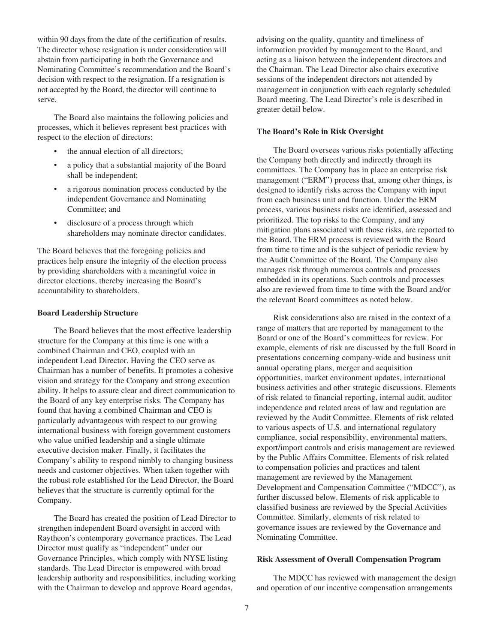within 90 days from the date of the certification of results. The director whose resignation is under consideration will abstain from participating in both the Governance and Nominating Committee's recommendation and the Board's decision with respect to the resignation. If a resignation is not accepted by the Board, the director will continue to serve.

The Board also maintains the following policies and processes, which it believes represent best practices with respect to the election of directors:

- the annual election of all directors;
- a policy that a substantial majority of the Board shall be independent;
- a rigorous nomination process conducted by the independent Governance and Nominating Committee; and
- disclosure of a process through which shareholders may nominate director candidates.

The Board believes that the foregoing policies and practices help ensure the integrity of the election process by providing shareholders with a meaningful voice in director elections, thereby increasing the Board's accountability to shareholders.

#### **Board Leadership Structure**

The Board believes that the most effective leadership structure for the Company at this time is one with a combined Chairman and CEO, coupled with an independent Lead Director. Having the CEO serve as Chairman has a number of benefits. It promotes a cohesive vision and strategy for the Company and strong execution ability. It helps to assure clear and direct communication to the Board of any key enterprise risks. The Company has found that having a combined Chairman and CEO is particularly advantageous with respect to our growing international business with foreign government customers who value unified leadership and a single ultimate executive decision maker. Finally, it facilitates the Company's ability to respond nimbly to changing business needs and customer objectives. When taken together with the robust role established for the Lead Director, the Board believes that the structure is currently optimal for the Company.

The Board has created the position of Lead Director to strengthen independent Board oversight in accord with Raytheon's contemporary governance practices. The Lead Director must qualify as "independent" under our Governance Principles, which comply with NYSE listing standards. The Lead Director is empowered with broad leadership authority and responsibilities, including working with the Chairman to develop and approve Board agendas,

advising on the quality, quantity and timeliness of information provided by management to the Board, and acting as a liaison between the independent directors and the Chairman. The Lead Director also chairs executive sessions of the independent directors not attended by management in conjunction with each regularly scheduled Board meeting. The Lead Director's role is described in greater detail below.

### **The Board's Role in Risk Oversight**

The Board oversees various risks potentially affecting the Company both directly and indirectly through its committees. The Company has in place an enterprise risk management ("ERM") process that, among other things, is designed to identify risks across the Company with input from each business unit and function. Under the ERM process, various business risks are identified, assessed and prioritized. The top risks to the Company, and any mitigation plans associated with those risks, are reported to the Board. The ERM process is reviewed with the Board from time to time and is the subject of periodic review by the Audit Committee of the Board. The Company also manages risk through numerous controls and processes embedded in its operations. Such controls and processes also are reviewed from time to time with the Board and/or the relevant Board committees as noted below.

Risk considerations also are raised in the context of a range of matters that are reported by management to the Board or one of the Board's committees for review. For example, elements of risk are discussed by the full Board in presentations concerning company-wide and business unit annual operating plans, merger and acquisition opportunities, market environment updates, international business activities and other strategic discussions. Elements of risk related to financial reporting, internal audit, auditor independence and related areas of law and regulation are reviewed by the Audit Committee. Elements of risk related to various aspects of U.S. and international regulatory compliance, social responsibility, environmental matters, export/import controls and crisis management are reviewed by the Public Affairs Committee. Elements of risk related to compensation policies and practices and talent management are reviewed by the Management Development and Compensation Committee ("MDCC"), as further discussed below. Elements of risk applicable to classified business are reviewed by the Special Activities Committee. Similarly, elements of risk related to governance issues are reviewed by the Governance and Nominating Committee.

#### **Risk Assessment of Overall Compensation Program**

The MDCC has reviewed with management the design and operation of our incentive compensation arrangements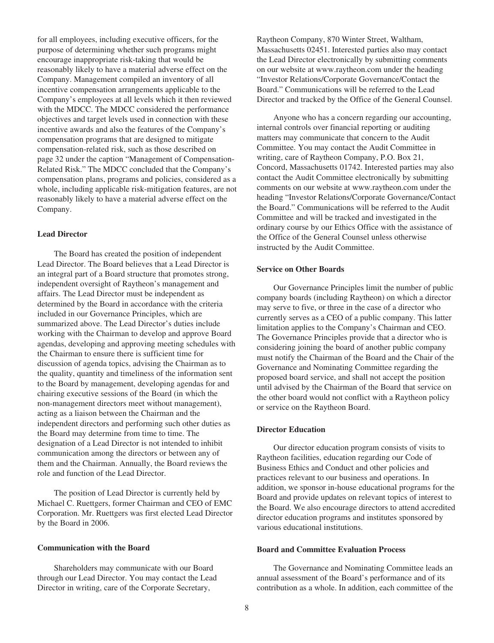for all employees, including executive officers, for the purpose of determining whether such programs might encourage inappropriate risk-taking that would be reasonably likely to have a material adverse effect on the Company. Management compiled an inventory of all incentive compensation arrangements applicable to the Company's employees at all levels which it then reviewed with the MDCC. The MDCC considered the performance objectives and target levels used in connection with these incentive awards and also the features of the Company's compensation programs that are designed to mitigate compensation-related risk, such as those described on page 32 under the caption "Management of Compensation-Related Risk." The MDCC concluded that the Company's compensation plans, programs and policies, considered as a whole, including applicable risk-mitigation features, are not reasonably likely to have a material adverse effect on the Company.

### **Lead Director**

The Board has created the position of independent Lead Director. The Board believes that a Lead Director is an integral part of a Board structure that promotes strong, independent oversight of Raytheon's management and affairs. The Lead Director must be independent as determined by the Board in accordance with the criteria included in our Governance Principles, which are summarized above. The Lead Director's duties include working with the Chairman to develop and approve Board agendas, developing and approving meeting schedules with the Chairman to ensure there is sufficient time for discussion of agenda topics, advising the Chairman as to the quality, quantity and timeliness of the information sent to the Board by management, developing agendas for and chairing executive sessions of the Board (in which the non-management directors meet without management), acting as a liaison between the Chairman and the independent directors and performing such other duties as the Board may determine from time to time. The designation of a Lead Director is not intended to inhibit communication among the directors or between any of them and the Chairman. Annually, the Board reviews the role and function of the Lead Director.

The position of Lead Director is currently held by Michael C. Ruettgers, former Chairman and CEO of EMC Corporation. Mr. Ruettgers was first elected Lead Director by the Board in 2006.

## **Communication with the Board**

Shareholders may communicate with our Board through our Lead Director. You may contact the Lead Director in writing, care of the Corporate Secretary,

Raytheon Company, 870 Winter Street, Waltham, Massachusetts 02451. Interested parties also may contact the Lead Director electronically by submitting comments on our website at www.raytheon.com under the heading "Investor Relations/Corporate Governance/Contact the Board." Communications will be referred to the Lead Director and tracked by the Office of the General Counsel.

Anyone who has a concern regarding our accounting, internal controls over financial reporting or auditing matters may communicate that concern to the Audit Committee. You may contact the Audit Committee in writing, care of Raytheon Company, P.O. Box 21, Concord, Massachusetts 01742. Interested parties may also contact the Audit Committee electronically by submitting comments on our website at www.raytheon.com under the heading "Investor Relations/Corporate Governance/Contact the Board." Communications will be referred to the Audit Committee and will be tracked and investigated in the ordinary course by our Ethics Office with the assistance of the Office of the General Counsel unless otherwise instructed by the Audit Committee.

#### **Service on Other Boards**

Our Governance Principles limit the number of public company boards (including Raytheon) on which a director may serve to five, or three in the case of a director who currently serves as a CEO of a public company. This latter limitation applies to the Company's Chairman and CEO. The Governance Principles provide that a director who is considering joining the board of another public company must notify the Chairman of the Board and the Chair of the Governance and Nominating Committee regarding the proposed board service, and shall not accept the position until advised by the Chairman of the Board that service on the other board would not conflict with a Raytheon policy or service on the Raytheon Board.

## **Director Education**

Our director education program consists of visits to Raytheon facilities, education regarding our Code of Business Ethics and Conduct and other policies and practices relevant to our business and operations. In addition, we sponsor in-house educational programs for the Board and provide updates on relevant topics of interest to the Board. We also encourage directors to attend accredited director education programs and institutes sponsored by various educational institutions.

## **Board and Committee Evaluation Process**

The Governance and Nominating Committee leads an annual assessment of the Board's performance and of its contribution as a whole. In addition, each committee of the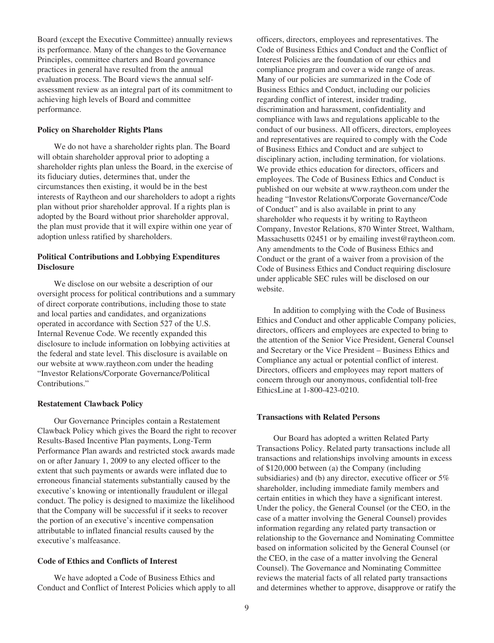Board (except the Executive Committee) annually reviews its performance. Many of the changes to the Governance Principles, committee charters and Board governance practices in general have resulted from the annual evaluation process. The Board views the annual selfassessment review as an integral part of its commitment to achieving high levels of Board and committee performance.

#### **Policy on Shareholder Rights Plans**

We do not have a shareholder rights plan. The Board will obtain shareholder approval prior to adopting a shareholder rights plan unless the Board, in the exercise of its fiduciary duties, determines that, under the circumstances then existing, it would be in the best interests of Raytheon and our shareholders to adopt a rights plan without prior shareholder approval. If a rights plan is adopted by the Board without prior shareholder approval, the plan must provide that it will expire within one year of adoption unless ratified by shareholders.

## **Political Contributions and Lobbying Expenditures Disclosure**

We disclose on our website a description of our oversight process for political contributions and a summary of direct corporate contributions, including those to state and local parties and candidates, and organizations operated in accordance with Section 527 of the U.S. Internal Revenue Code. We recently expanded this disclosure to include information on lobbying activities at the federal and state level. This disclosure is available on our website at www.raytheon.com under the heading "Investor Relations/Corporate Governance/Political Contributions."

#### **Restatement Clawback Policy**

Our Governance Principles contain a Restatement Clawback Policy which gives the Board the right to recover Results-Based Incentive Plan payments, Long-Term Performance Plan awards and restricted stock awards made on or after January 1, 2009 to any elected officer to the extent that such payments or awards were inflated due to erroneous financial statements substantially caused by the executive's knowing or intentionally fraudulent or illegal conduct. The policy is designed to maximize the likelihood that the Company will be successful if it seeks to recover the portion of an executive's incentive compensation attributable to inflated financial results caused by the executive's malfeasance.

### **Code of Ethics and Conflicts of Interest**

We have adopted a Code of Business Ethics and Conduct and Conflict of Interest Policies which apply to all officers, directors, employees and representatives. The Code of Business Ethics and Conduct and the Conflict of Interest Policies are the foundation of our ethics and compliance program and cover a wide range of areas. Many of our policies are summarized in the Code of Business Ethics and Conduct, including our policies regarding conflict of interest, insider trading, discrimination and harassment, confidentiality and compliance with laws and regulations applicable to the conduct of our business. All officers, directors, employees and representatives are required to comply with the Code of Business Ethics and Conduct and are subject to disciplinary action, including termination, for violations. We provide ethics education for directors, officers and employees. The Code of Business Ethics and Conduct is published on our website at www.raytheon.com under the heading "Investor Relations/Corporate Governance/Code of Conduct" and is also available in print to any shareholder who requests it by writing to Raytheon Company, Investor Relations, 870 Winter Street, Waltham, Massachusetts 02451 or by emailing invest@raytheon.com. Any amendments to the Code of Business Ethics and Conduct or the grant of a waiver from a provision of the Code of Business Ethics and Conduct requiring disclosure under applicable SEC rules will be disclosed on our website.

In addition to complying with the Code of Business Ethics and Conduct and other applicable Company policies, directors, officers and employees are expected to bring to the attention of the Senior Vice President, General Counsel and Secretary or the Vice President – Business Ethics and Compliance any actual or potential conflict of interest. Directors, officers and employees may report matters of concern through our anonymous, confidential toll-free EthicsLine at 1-800-423-0210.

### **Transactions with Related Persons**

Our Board has adopted a written Related Party Transactions Policy. Related party transactions include all transactions and relationships involving amounts in excess of \$120,000 between (a) the Company (including subsidiaries) and (b) any director, executive officer or 5% shareholder, including immediate family members and certain entities in which they have a significant interest. Under the policy, the General Counsel (or the CEO, in the case of a matter involving the General Counsel) provides information regarding any related party transaction or relationship to the Governance and Nominating Committee based on information solicited by the General Counsel (or the CEO, in the case of a matter involving the General Counsel). The Governance and Nominating Committee reviews the material facts of all related party transactions and determines whether to approve, disapprove or ratify the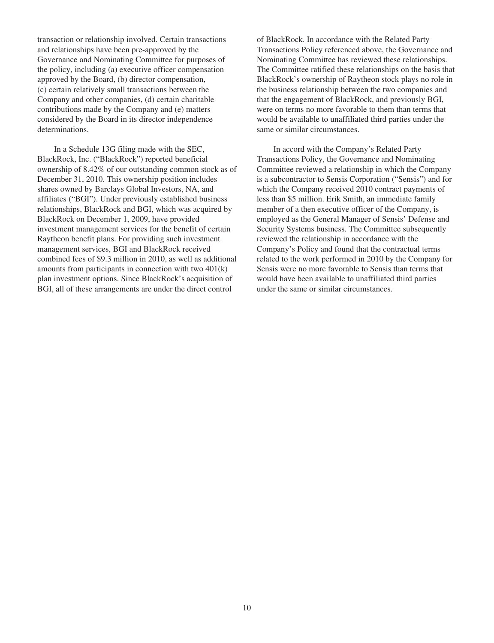transaction or relationship involved. Certain transactions and relationships have been pre-approved by the Governance and Nominating Committee for purposes of the policy, including (a) executive officer compensation approved by the Board, (b) director compensation, (c) certain relatively small transactions between the Company and other companies, (d) certain charitable contributions made by the Company and (e) matters considered by the Board in its director independence determinations.

In a Schedule 13G filing made with the SEC, BlackRock, Inc. ("BlackRock") reported beneficial ownership of 8.42% of our outstanding common stock as of December 31, 2010. This ownership position includes shares owned by Barclays Global Investors, NA, and affiliates ("BGI"). Under previously established business relationships, BlackRock and BGI, which was acquired by BlackRock on December 1, 2009, have provided investment management services for the benefit of certain Raytheon benefit plans. For providing such investment management services, BGI and BlackRock received combined fees of \$9.3 million in 2010, as well as additional amounts from participants in connection with two 401(k) plan investment options. Since BlackRock's acquisition of BGI, all of these arrangements are under the direct control

of BlackRock. In accordance with the Related Party Transactions Policy referenced above, the Governance and Nominating Committee has reviewed these relationships. The Committee ratified these relationships on the basis that BlackRock's ownership of Raytheon stock plays no role in the business relationship between the two companies and that the engagement of BlackRock, and previously BGI, were on terms no more favorable to them than terms that would be available to unaffiliated third parties under the same or similar circumstances.

In accord with the Company's Related Party Transactions Policy, the Governance and Nominating Committee reviewed a relationship in which the Company is a subcontractor to Sensis Corporation ("Sensis") and for which the Company received 2010 contract payments of less than \$5 million. Erik Smith, an immediate family member of a then executive officer of the Company, is employed as the General Manager of Sensis' Defense and Security Systems business. The Committee subsequently reviewed the relationship in accordance with the Company's Policy and found that the contractual terms related to the work performed in 2010 by the Company for Sensis were no more favorable to Sensis than terms that would have been available to unaffiliated third parties under the same or similar circumstances.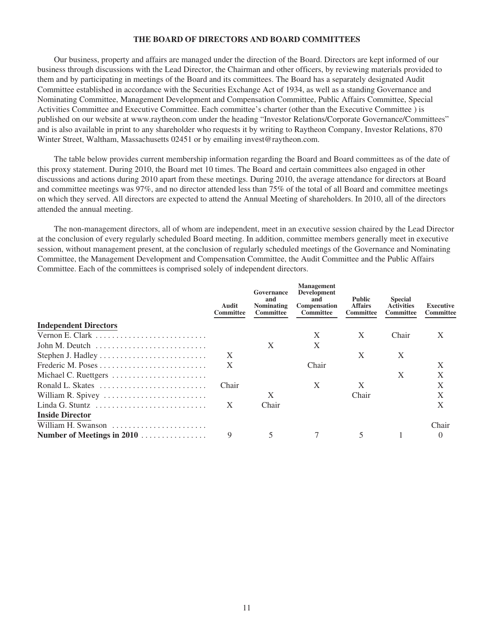## **THE BOARD OF DIRECTORS AND BOARD COMMITTEES**

Our business, property and affairs are managed under the direction of the Board. Directors are kept informed of our business through discussions with the Lead Director, the Chairman and other officers, by reviewing materials provided to them and by participating in meetings of the Board and its committees. The Board has a separately designated Audit Committee established in accordance with the Securities Exchange Act of 1934, as well as a standing Governance and Nominating Committee, Management Development and Compensation Committee, Public Affairs Committee, Special Activities Committee and Executive Committee. Each committee's charter (other than the Executive Committee ) is published on our website at www.raytheon.com under the heading "Investor Relations/Corporate Governance/Committees" and is also available in print to any shareholder who requests it by writing to Raytheon Company, Investor Relations, 870 Winter Street, Waltham, Massachusetts 02451 or by emailing invest@raytheon.com.

The table below provides current membership information regarding the Board and Board committees as of the date of this proxy statement. During 2010, the Board met 10 times. The Board and certain committees also engaged in other discussions and actions during 2010 apart from these meetings. During 2010, the average attendance for directors at Board and committee meetings was 97%, and no director attended less than 75% of the total of all Board and committee meetings on which they served. All directors are expected to attend the Annual Meeting of shareholders. In 2010, all of the directors attended the annual meeting.

The non-management directors, all of whom are independent, meet in an executive session chaired by the Lead Director at the conclusion of every regularly scheduled Board meeting. In addition, committee members generally meet in executive session, without management present, at the conclusion of regularly scheduled meetings of the Governance and Nominating Committee, the Management Development and Compensation Committee, the Audit Committee and the Public Affairs Committee. Each of the committees is comprised solely of independent directors.

|                              | Audit<br>Committee | Governance<br>and<br><b>Nominating</b><br><b>Committee</b> | <b>Management</b><br>Development<br>and<br><b>Compensation</b><br><b>Committee</b> | <b>Public</b><br><b>Affairs</b><br><b>Committee</b> | <b>Special</b><br><b>Activities</b><br><b>Committee</b> | Executive<br>Committee |
|------------------------------|--------------------|------------------------------------------------------------|------------------------------------------------------------------------------------|-----------------------------------------------------|---------------------------------------------------------|------------------------|
| <b>Independent Directors</b> |                    |                                                            |                                                                                    |                                                     |                                                         |                        |
| Vernon E. Clark              |                    |                                                            | X                                                                                  | X                                                   | Chair                                                   | X                      |
| John M. Deutch               |                    | X                                                          | X                                                                                  |                                                     |                                                         |                        |
|                              | X                  |                                                            |                                                                                    | X                                                   | X                                                       |                        |
|                              | $\mathbf{X}$       |                                                            | Chair                                                                              |                                                     |                                                         | $\mathbf{X}$           |
| Michael C. Ruettgers         |                    |                                                            |                                                                                    |                                                     | X                                                       | X                      |
| Ronald L. Skates             | Chair              |                                                            | X                                                                                  | X                                                   |                                                         | X                      |
| William R. Spivey            |                    | X                                                          |                                                                                    | Chair                                               |                                                         | X                      |
|                              | X                  | Chair                                                      |                                                                                    |                                                     |                                                         | X                      |
| <b>Inside Director</b>       |                    |                                                            |                                                                                    |                                                     |                                                         |                        |
| William H. Swanson           |                    |                                                            |                                                                                    |                                                     |                                                         | Chair                  |
| Number of Meetings in 2010   | 9                  |                                                            |                                                                                    |                                                     |                                                         | $\theta$               |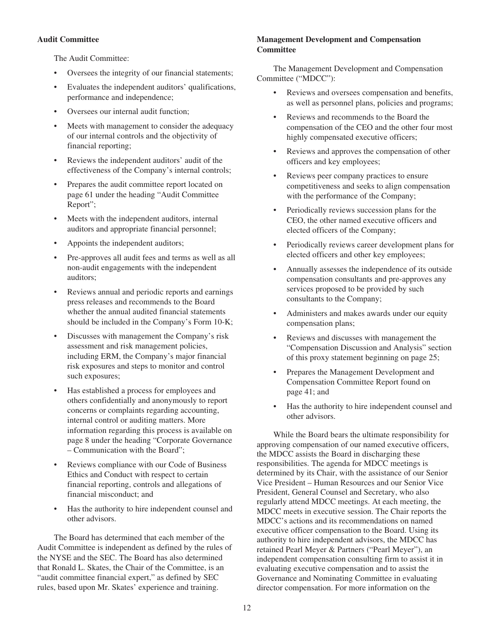## **Audit Committee**

The Audit Committee:

- Oversees the integrity of our financial statements;
- Evaluates the independent auditors' qualifications, performance and independence;
- Oversees our internal audit function;
- Meets with management to consider the adequacy of our internal controls and the objectivity of financial reporting;
- Reviews the independent auditors' audit of the effectiveness of the Company's internal controls;
- Prepares the audit committee report located on page 61 under the heading "Audit Committee Report";
- Meets with the independent auditors, internal auditors and appropriate financial personnel;
- Appoints the independent auditors;
- Pre-approves all audit fees and terms as well as all non-audit engagements with the independent auditors;
- Reviews annual and periodic reports and earnings press releases and recommends to the Board whether the annual audited financial statements should be included in the Company's Form 10-K;
- Discusses with management the Company's risk assessment and risk management policies, including ERM, the Company's major financial risk exposures and steps to monitor and control such exposures;
- Has established a process for employees and others confidentially and anonymously to report concerns or complaints regarding accounting, internal control or auditing matters. More information regarding this process is available on page 8 under the heading "Corporate Governance – Communication with the Board";
- Reviews compliance with our Code of Business Ethics and Conduct with respect to certain financial reporting, controls and allegations of financial misconduct; and
- Has the authority to hire independent counsel and other advisors.

The Board has determined that each member of the Audit Committee is independent as defined by the rules of the NYSE and the SEC. The Board has also determined that Ronald L. Skates, the Chair of the Committee, is an "audit committee financial expert," as defined by SEC rules, based upon Mr. Skates' experience and training.

## **Management Development and Compensation Committee**

The Management Development and Compensation Committee ("MDCC"):

- Reviews and oversees compensation and benefits, as well as personnel plans, policies and programs;
- Reviews and recommends to the Board the compensation of the CEO and the other four most highly compensated executive officers;
- Reviews and approves the compensation of other officers and key employees;
- Reviews peer company practices to ensure competitiveness and seeks to align compensation with the performance of the Company;
- Periodically reviews succession plans for the CEO, the other named executive officers and elected officers of the Company;
- Periodically reviews career development plans for elected officers and other key employees;
- Annually assesses the independence of its outside compensation consultants and pre-approves any services proposed to be provided by such consultants to the Company;
- Administers and makes awards under our equity compensation plans;
- Reviews and discusses with management the "Compensation Discussion and Analysis" section of this proxy statement beginning on page 25;
- Prepares the Management Development and Compensation Committee Report found on page 41; and
- Has the authority to hire independent counsel and other advisors.

While the Board bears the ultimate responsibility for approving compensation of our named executive officers, the MDCC assists the Board in discharging these responsibilities. The agenda for MDCC meetings is determined by its Chair, with the assistance of our Senior Vice President – Human Resources and our Senior Vice President, General Counsel and Secretary, who also regularly attend MDCC meetings. At each meeting, the MDCC meets in executive session. The Chair reports the MDCC's actions and its recommendations on named executive officer compensation to the Board. Using its authority to hire independent advisors, the MDCC has retained Pearl Meyer & Partners ("Pearl Meyer"), an independent compensation consulting firm to assist it in evaluating executive compensation and to assist the Governance and Nominating Committee in evaluating director compensation. For more information on the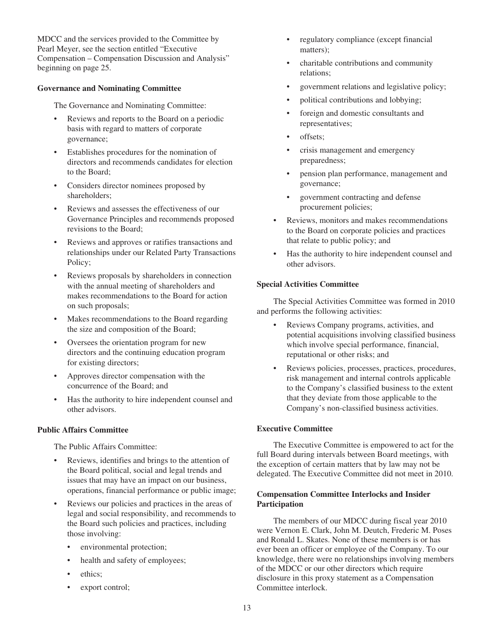MDCC and the services provided to the Committee by Pearl Meyer, see the section entitled "Executive Compensation – Compensation Discussion and Analysis" beginning on page 25.

## **Governance and Nominating Committee**

The Governance and Nominating Committee:

- Reviews and reports to the Board on a periodic basis with regard to matters of corporate governance;
- Establishes procedures for the nomination of directors and recommends candidates for election to the Board;
- Considers director nominees proposed by shareholders;
- Reviews and assesses the effectiveness of our Governance Principles and recommends proposed revisions to the Board;
- Reviews and approves or ratifies transactions and relationships under our Related Party Transactions Policy;
- Reviews proposals by shareholders in connection with the annual meeting of shareholders and makes recommendations to the Board for action on such proposals;
- Makes recommendations to the Board regarding the size and composition of the Board;
- Oversees the orientation program for new directors and the continuing education program for existing directors;
- Approves director compensation with the concurrence of the Board; and
- Has the authority to hire independent counsel and other advisors.

## **Public Affairs Committee**

The Public Affairs Committee:

- Reviews, identifies and brings to the attention of the Board political, social and legal trends and issues that may have an impact on our business, operations, financial performance or public image;
- Reviews our policies and practices in the areas of legal and social responsibility, and recommends to the Board such policies and practices, including those involving:
	- environmental protection;
	- health and safety of employees;
	- ethics;
	- export control;
- regulatory compliance (except financial matters);
- charitable contributions and community relations;
- government relations and legislative policy;
- political contributions and lobbying;
- foreign and domestic consultants and representatives;
- offsets;
- crisis management and emergency preparedness;
- pension plan performance, management and governance;
- government contracting and defense procurement policies;
- Reviews, monitors and makes recommendations to the Board on corporate policies and practices that relate to public policy; and
- Has the authority to hire independent counsel and other advisors.

### **Special Activities Committee**

The Special Activities Committee was formed in 2010 and performs the following activities:

- Reviews Company programs, activities, and potential acquisitions involving classified business which involve special performance, financial, reputational or other risks; and
- Reviews policies, processes, practices, procedures, risk management and internal controls applicable to the Company's classified business to the extent that they deviate from those applicable to the Company's non-classified business activities.

## **Executive Committee**

The Executive Committee is empowered to act for the full Board during intervals between Board meetings, with the exception of certain matters that by law may not be delegated. The Executive Committee did not meet in 2010.

## **Compensation Committee Interlocks and Insider Participation**

The members of our MDCC during fiscal year 2010 were Vernon E. Clark, John M. Deutch, Frederic M. Poses and Ronald L. Skates. None of these members is or has ever been an officer or employee of the Company. To our knowledge, there were no relationships involving members of the MDCC or our other directors which require disclosure in this proxy statement as a Compensation Committee interlock.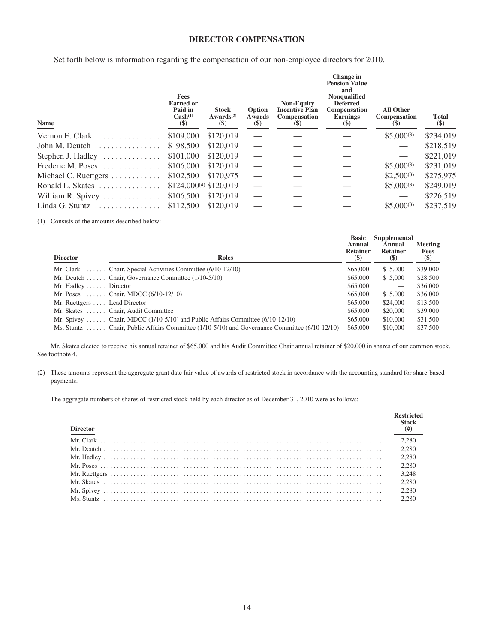## **DIRECTOR COMPENSATION**

Set forth below is information regarding the compensation of our non-employee directors for 2010.

| <b>Fees</b><br><b>Earned or</b><br>Paid in<br>Cash <sup>(1)</sup><br>$(\$)$ | <b>Stock</b><br>Awards <sup>(2)</sup><br>$\left( \text{\$}\right)$ | Option<br>Awards<br>$(\$)$         | <b>Non-Equity</b><br><b>Incentive Plan</b><br><b>Compensation</b><br>$(\$)$ | Change in<br><b>Pension Value</b><br>and<br>Nonqualified<br><b>Deferred</b><br>Compensation<br><b>Earnings</b><br>$\left( \mathbf{S} \right)$ | <b>All Other</b><br><b>Compensation</b><br>(S) | <b>Total</b><br>$(\$)$ |
|-----------------------------------------------------------------------------|--------------------------------------------------------------------|------------------------------------|-----------------------------------------------------------------------------|-----------------------------------------------------------------------------------------------------------------------------------------------|------------------------------------------------|------------------------|
| \$109,000                                                                   | \$120,019                                                          |                                    |                                                                             |                                                                                                                                               | $$5,000^{(3)}$                                 | \$234,019              |
| \$98,500                                                                    | \$120,019                                                          |                                    |                                                                             |                                                                                                                                               |                                                | \$218,519              |
| \$101,000                                                                   | \$120,019                                                          |                                    |                                                                             |                                                                                                                                               |                                                | \$221,019              |
| \$106,000                                                                   | \$120,019                                                          |                                    |                                                                             |                                                                                                                                               | $$5,000^{(3)}$                                 | \$231,019              |
| \$102,500                                                                   | \$170,975                                                          |                                    |                                                                             |                                                                                                                                               | $$2,500^{(3)}$                                 | \$275,975              |
|                                                                             |                                                                    |                                    |                                                                             |                                                                                                                                               | $$5,000^{(3)}$                                 | \$249,019              |
| \$106,500                                                                   | \$120,019                                                          |                                    |                                                                             |                                                                                                                                               |                                                | \$226,519              |
| \$112,500                                                                   | \$120,019                                                          |                                    |                                                                             |                                                                                                                                               | $$5,000^{(3)}$                                 | \$237,519              |
|                                                                             |                                                                    | \$124,000 <sup>(4)</sup> \$120,019 |                                                                             |                                                                                                                                               |                                                |                        |

(1) Consists of the amounts described below:

| <b>Director</b>               | <b>Roles</b>                                                                                  | <b>Basic</b><br>Annual<br><b>Retainer</b><br>$\left( \mathbf{\$}\right)$ | Supplemental<br>Annual<br><b>Retainer</b><br>$\left( \mathbb{S}\right)$ | <b>Meeting</b><br><b>Fees</b><br>$(\$)$ |
|-------------------------------|-----------------------------------------------------------------------------------------------|--------------------------------------------------------------------------|-------------------------------------------------------------------------|-----------------------------------------|
|                               | Mr. Clark  Chair, Special Activities Committee $(6/10-12/10)$                                 | \$65,000                                                                 | \$5,000                                                                 | \$39,000                                |
|                               | Mr. Deutch Chair, Governance Committee $(1/10-5/10)$                                          | \$65,000                                                                 | \$5,000                                                                 | \$28,500                                |
| Mr. Hadley $\dots$ . Director |                                                                                               | \$65,000                                                                 |                                                                         | \$36,000                                |
|                               | Mr. Poses  Chair, MDCC $(6/10-12/10)$                                                         | \$65,000                                                                 | \$5,000                                                                 | \$36,000                                |
| Mr. Ruettgers  Lead Director  |                                                                                               | \$65,000                                                                 | \$24,000                                                                | \$13,500                                |
|                               | Mr. Skates  Chair, Audit Committee                                                            | \$65,000                                                                 | \$20,000                                                                | \$39,000                                |
|                               | Mr. Spivey  Chair, MDCC $(1/10-5/10)$ and Public Affairs Committee $(6/10-12/10)$             | \$65,000                                                                 | \$10,000                                                                | \$31,500                                |
|                               | Ms. Stuntz  Chair, Public Affairs Committee (1/10-5/10) and Governance Committee (6/10-12/10) | \$65,000                                                                 | \$10,000                                                                | \$37,500                                |

Mr. Skates elected to receive his annual retainer of \$65,000 and his Audit Committee Chair annual retainer of \$20,000 in shares of our common stock. See footnote 4.

(2) These amounts represent the aggregate grant date fair value of awards of restricted stock in accordance with the accounting standard for share-based payments.

The aggregate numbers of shares of restricted stock held by each director as of December 31, 2010 were as follows:

| <b>Director</b> | <b>Restricted</b><br><b>Stock</b><br>#) |
|-----------------|-----------------------------------------|
|                 | 2.280                                   |
|                 | 2,280                                   |
|                 | 2.280                                   |
|                 | 2.280                                   |
|                 | 3.248                                   |
|                 | 2.280                                   |
|                 | 2.280                                   |
|                 | 2.280                                   |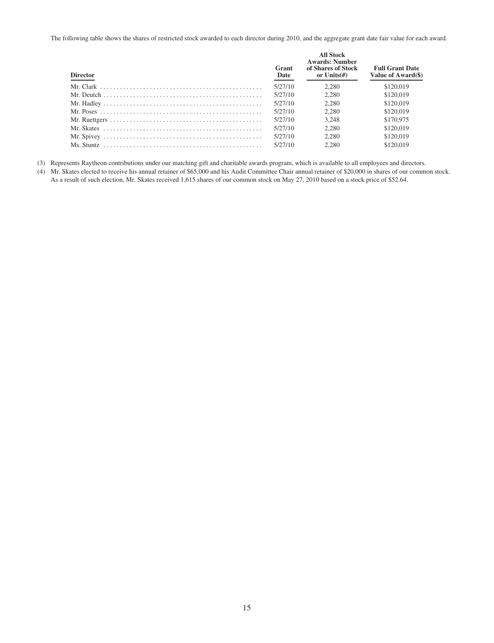The following table shows the shares of restricted stock awarded to each director during 2010, and the aggregate grant date fair value for each award.

| <b>Director</b> | Grant<br>Date | <b>All Stock</b><br><b>Awards: Number</b><br>of Shares of Stock<br>or Units $(\#)$ | <b>Full Grant Date</b><br>Value of Award(\$) |
|-----------------|---------------|------------------------------------------------------------------------------------|----------------------------------------------|
|                 | 5/27/10       | 2.280                                                                              | \$120,019                                    |
|                 | 5/27/10       | 2.280                                                                              | \$120,019                                    |
|                 | 5/27/10       | 2.280                                                                              | \$120,019                                    |
|                 | 5/27/10       | 2.280                                                                              | \$120,019                                    |
|                 | 5/27/10       | 3.248                                                                              | \$170,975                                    |
|                 | 5/27/10       | 2.280                                                                              | \$120,019                                    |
|                 | 5/27/10       | 2.280                                                                              | \$120,019                                    |
|                 | 5/27/10       | 2.280                                                                              | \$120,019                                    |

(3) Represents Raytheon contributions under our matching gift and charitable awards program, which is available to all employees and directors.

(4) Mr. Skates elected to receive his annual retainer of \$65,000 and his Audit Committee Chair annual retainer of \$20,000 in shares of our common stock. As a result of such election, Mr. Skates received 1,615 shares of our common stock on May 27, 2010 based on a stock price of \$52.64.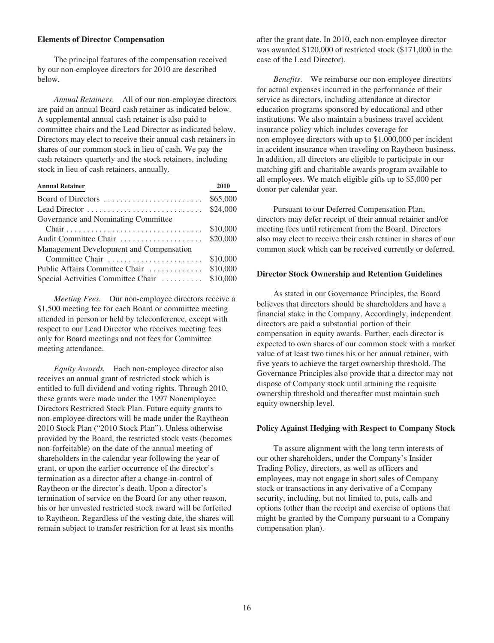#### **Elements of Director Compensation**

The principal features of the compensation received by our non-employee directors for 2010 are described below.

*Annual Retainers*. All of our non-employee directors are paid an annual Board cash retainer as indicated below. A supplemental annual cash retainer is also paid to committee chairs and the Lead Director as indicated below. Directors may elect to receive their annual cash retainers in shares of our common stock in lieu of cash. We pay the cash retainers quarterly and the stock retainers, including stock in lieu of cash retainers, annually.

| <b>Annual Retainer</b>                  | 2010     |
|-----------------------------------------|----------|
| Board of Directors                      | \$65,000 |
|                                         | \$24,000 |
| Governance and Nominating Committee     |          |
|                                         | \$10,000 |
| Audit Committee Chair                   | \$20,000 |
| Management Development and Compensation |          |
| Committee Chair                         | \$10,000 |
| Public Affairs Committee Chair          | \$10,000 |
| Special Activities Committee Chair      | \$10,000 |

*Meeting Fees.* Our non-employee directors receive a \$1,500 meeting fee for each Board or committee meeting attended in person or held by teleconference, except with respect to our Lead Director who receives meeting fees only for Board meetings and not fees for Committee meeting attendance.

*Equity Awards.* Each non-employee director also receives an annual grant of restricted stock which is entitled to full dividend and voting rights. Through 2010, these grants were made under the 1997 Nonemployee Directors Restricted Stock Plan. Future equity grants to non-employee directors will be made under the Raytheon 2010 Stock Plan ("2010 Stock Plan"). Unless otherwise provided by the Board, the restricted stock vests (becomes non-forfeitable) on the date of the annual meeting of shareholders in the calendar year following the year of grant, or upon the earlier occurrence of the director's termination as a director after a change-in-control of Raytheon or the director's death. Upon a director's termination of service on the Board for any other reason, his or her unvested restricted stock award will be forfeited to Raytheon. Regardless of the vesting date, the shares will remain subject to transfer restriction for at least six months after the grant date. In 2010, each non-employee director was awarded \$120,000 of restricted stock (\$171,000 in the case of the Lead Director).

*Benefits*. We reimburse our non-employee directors for actual expenses incurred in the performance of their service as directors, including attendance at director education programs sponsored by educational and other institutions. We also maintain a business travel accident insurance policy which includes coverage for non-employee directors with up to \$1,000,000 per incident in accident insurance when traveling on Raytheon business. In addition, all directors are eligible to participate in our matching gift and charitable awards program available to all employees. We match eligible gifts up to \$5,000 per donor per calendar year.

Pursuant to our Deferred Compensation Plan, directors may defer receipt of their annual retainer and/or meeting fees until retirement from the Board. Directors also may elect to receive their cash retainer in shares of our common stock which can be received currently or deferred.

#### **Director Stock Ownership and Retention Guidelines**

As stated in our Governance Principles, the Board believes that directors should be shareholders and have a financial stake in the Company. Accordingly, independent directors are paid a substantial portion of their compensation in equity awards. Further, each director is expected to own shares of our common stock with a market value of at least two times his or her annual retainer, with five years to achieve the target ownership threshold. The Governance Principles also provide that a director may not dispose of Company stock until attaining the requisite ownership threshold and thereafter must maintain such equity ownership level.

#### **Policy Against Hedging with Respect to Company Stock**

To assure alignment with the long term interests of our other shareholders, under the Company's Insider Trading Policy, directors, as well as officers and employees, may not engage in short sales of Company stock or transactions in any derivative of a Company security, including, but not limited to, puts, calls and options (other than the receipt and exercise of options that might be granted by the Company pursuant to a Company compensation plan).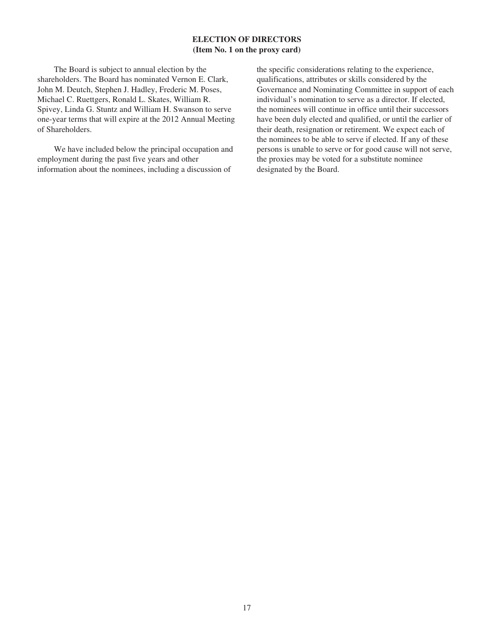## **ELECTION OF DIRECTORS (Item No. 1 on the proxy card)**

The Board is subject to annual election by the shareholders. The Board has nominated Vernon E. Clark, John M. Deutch, Stephen J. Hadley, Frederic M. Poses, Michael C. Ruettgers, Ronald L. Skates, William R. Spivey, Linda G. Stuntz and William H. Swanson to serve one-year terms that will expire at the 2012 Annual Meeting of Shareholders.

We have included below the principal occupation and employment during the past five years and other information about the nominees, including a discussion of

the specific considerations relating to the experience, qualifications, attributes or skills considered by the Governance and Nominating Committee in support of each individual's nomination to serve as a director. If elected, the nominees will continue in office until their successors have been duly elected and qualified, or until the earlier of their death, resignation or retirement. We expect each of the nominees to be able to serve if elected. If any of these persons is unable to serve or for good cause will not serve, the proxies may be voted for a substitute nominee designated by the Board.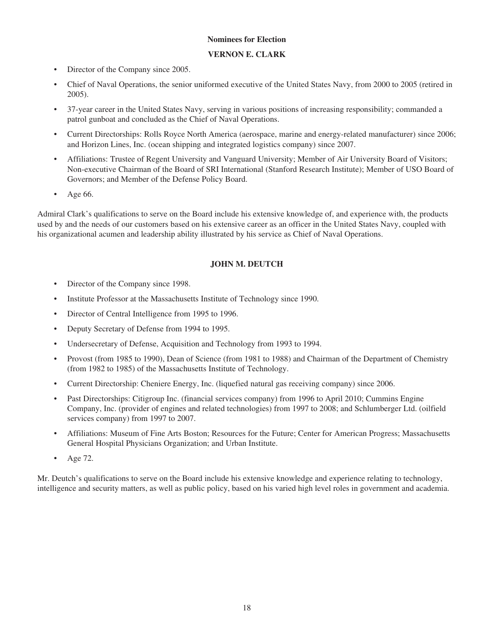## **Nominees for Election**

## **VERNON E. CLARK**

- Director of the Company since 2005.
- Chief of Naval Operations, the senior uniformed executive of the United States Navy, from 2000 to 2005 (retired in 2005).
- 37-year career in the United States Navy, serving in various positions of increasing responsibility; commanded a patrol gunboat and concluded as the Chief of Naval Operations.
- Current Directorships: Rolls Royce North America (aerospace, marine and energy-related manufacturer) since 2006; and Horizon Lines, Inc. (ocean shipping and integrated logistics company) since 2007.
- Affiliations: Trustee of Regent University and Vanguard University; Member of Air University Board of Visitors; Non-executive Chairman of the Board of SRI International (Stanford Research Institute); Member of USO Board of Governors; and Member of the Defense Policy Board.
- Age 66.

Admiral Clark's qualifications to serve on the Board include his extensive knowledge of, and experience with, the products used by and the needs of our customers based on his extensive career as an officer in the United States Navy, coupled with his organizational acumen and leadership ability illustrated by his service as Chief of Naval Operations.

## **JOHN M. DEUTCH**

- Director of the Company since 1998.
- Institute Professor at the Massachusetts Institute of Technology since 1990.
- Director of Central Intelligence from 1995 to 1996.
- Deputy Secretary of Defense from 1994 to 1995.
- Undersecretary of Defense, Acquisition and Technology from 1993 to 1994.
- Provost (from 1985 to 1990), Dean of Science (from 1981 to 1988) and Chairman of the Department of Chemistry (from 1982 to 1985) of the Massachusetts Institute of Technology.
- Current Directorship: Cheniere Energy, Inc. (liquefied natural gas receiving company) since 2006.
- Past Directorships: Citigroup Inc. (financial services company) from 1996 to April 2010; Cummins Engine Company, Inc. (provider of engines and related technologies) from 1997 to 2008; and Schlumberger Ltd. (oilfield services company) from 1997 to 2007.
- Affiliations: Museum of Fine Arts Boston; Resources for the Future; Center for American Progress; Massachusetts General Hospital Physicians Organization; and Urban Institute.
- Age 72.

Mr. Deutch's qualifications to serve on the Board include his extensive knowledge and experience relating to technology, intelligence and security matters, as well as public policy, based on his varied high level roles in government and academia.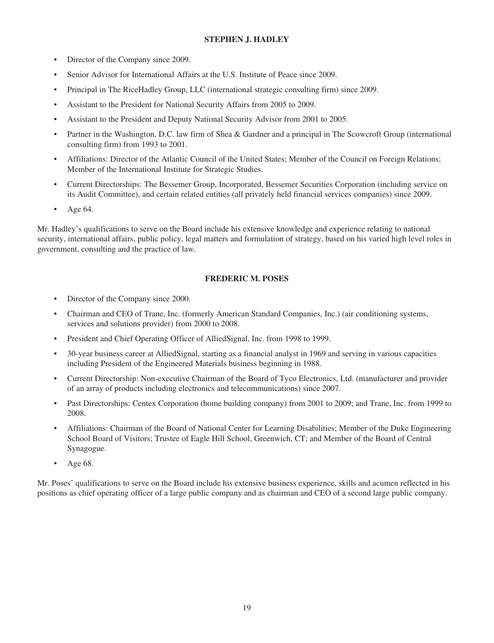## **STEPHEN J. HADLEY**

- Director of the Company since 2009.
- Senior Advisor for International Affairs at the U.S. Institute of Peace since 2009.
- Principal in The RiceHadley Group, LLC (international strategic consulting firm) since 2009.
- Assistant to the President for National Security Affairs from 2005 to 2009.
- Assistant to the President and Deputy National Security Advisor from 2001 to 2005.
- Partner in the Washington, D.C. law firm of Shea & Gardner and a principal in The Scowcroft Group (international consulting firm) from 1993 to 2001.
- Affiliations: Director of the Atlantic Council of the United States; Member of the Council on Foreign Relations; Member of the International Institute for Strategic Studies.
- Current Directorships: The Bessemer Group, Incorporated, Bessemer Securities Corporation (including service on its Audit Committee), and certain related entities (all privately held financial services companies) since 2009.
- Age 64.

Mr. Hadley's qualifications to serve on the Board include his extensive knowledge and experience relating to national security, international affairs, public policy, legal matters and formulation of strategy, based on his varied high level roles in government, consulting and the practice of law.

## **FREDERIC M. POSES**

- Director of the Company since 2000.
- Chairman and CEO of Trane, Inc. (formerly American Standard Companies, Inc.) (air conditioning systems, services and solutions provider) from 2000 to 2008.
- President and Chief Operating Officer of AlliedSignal, Inc. from 1998 to 1999.
- 30-year business career at AlliedSignal, starting as a financial analyst in 1969 and serving in various capacities including President of the Engineered Materials business beginning in 1988.
- Current Directorship: Non-executive Chairman of the Board of Tyco Electronics, Ltd. (manufacturer and provider of an array of products including electronics and telecommunications) since 2007.
- Past Directorships: Centex Corporation (home building company) from 2001 to 2009; and Trane, Inc. from 1999 to 2008.
- Affiliations: Chairman of the Board of National Center for Learning Disabilities; Member of the Duke Engineering School Board of Visitors; Trustee of Eagle Hill School, Greenwich, CT; and Member of the Board of Central Synagogue.
- Age 68.

Mr. Poses' qualifications to serve on the Board include his extensive business experience, skills and acumen reflected in his positions as chief operating officer of a large public company and as chairman and CEO of a second large public company.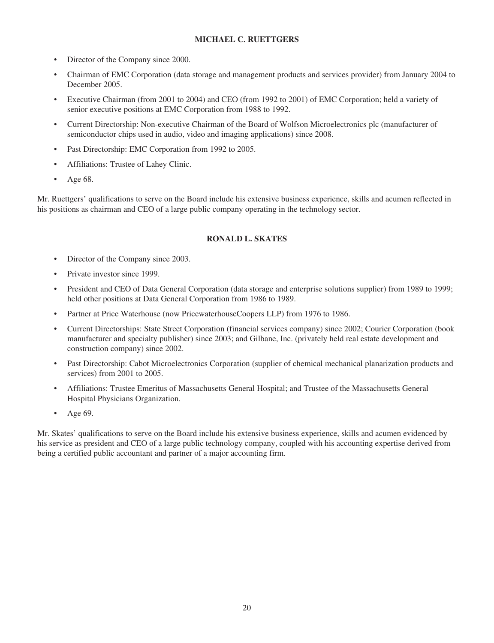## **MICHAEL C. RUETTGERS**

- Director of the Company since 2000.
- Chairman of EMC Corporation (data storage and management products and services provider) from January 2004 to December 2005.
- Executive Chairman (from 2001 to 2004) and CEO (from 1992 to 2001) of EMC Corporation; held a variety of senior executive positions at EMC Corporation from 1988 to 1992.
- Current Directorship: Non-executive Chairman of the Board of Wolfson Microelectronics plc (manufacturer of semiconductor chips used in audio, video and imaging applications) since 2008.
- Past Directorship: EMC Corporation from 1992 to 2005.
- Affiliations: Trustee of Lahey Clinic.
- Age 68.

Mr. Ruettgers' qualifications to serve on the Board include his extensive business experience, skills and acumen reflected in his positions as chairman and CEO of a large public company operating in the technology sector.

## **RONALD L. SKATES**

- Director of the Company since 2003.
- Private investor since 1999.
- President and CEO of Data General Corporation (data storage and enterprise solutions supplier) from 1989 to 1999; held other positions at Data General Corporation from 1986 to 1989.
- Partner at Price Waterhouse (now PricewaterhouseCoopers LLP) from 1976 to 1986.
- Current Directorships: State Street Corporation (financial services company) since 2002; Courier Corporation (book manufacturer and specialty publisher) since 2003; and Gilbane, Inc. (privately held real estate development and construction company) since 2002.
- Past Directorship: Cabot Microelectronics Corporation (supplier of chemical mechanical planarization products and services) from 2001 to 2005.
- Affiliations: Trustee Emeritus of Massachusetts General Hospital; and Trustee of the Massachusetts General Hospital Physicians Organization.
- Age 69.

Mr. Skates' qualifications to serve on the Board include his extensive business experience, skills and acumen evidenced by his service as president and CEO of a large public technology company, coupled with his accounting expertise derived from being a certified public accountant and partner of a major accounting firm.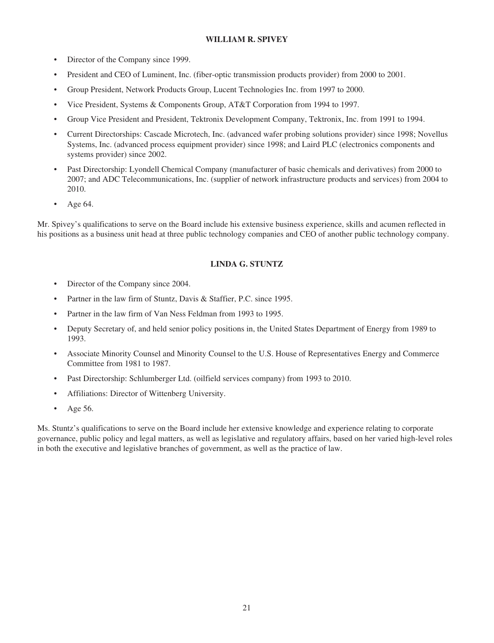## **WILLIAM R. SPIVEY**

- Director of the Company since 1999.
- President and CEO of Luminent, Inc. (fiber-optic transmission products provider) from 2000 to 2001.
- Group President, Network Products Group, Lucent Technologies Inc. from 1997 to 2000.
- Vice President, Systems & Components Group, AT&T Corporation from 1994 to 1997.
- Group Vice President and President, Tektronix Development Company, Tektronix, Inc. from 1991 to 1994.
- Current Directorships: Cascade Microtech, Inc. (advanced wafer probing solutions provider) since 1998; Novellus Systems, Inc. (advanced process equipment provider) since 1998; and Laird PLC (electronics components and systems provider) since 2002.
- Past Directorship: Lyondell Chemical Company (manufacturer of basic chemicals and derivatives) from 2000 to 2007; and ADC Telecommunications, Inc. (supplier of network infrastructure products and services) from 2004 to 2010.
- Age 64.

Mr. Spivey's qualifications to serve on the Board include his extensive business experience, skills and acumen reflected in his positions as a business unit head at three public technology companies and CEO of another public technology company.

## **LINDA G. STUNTZ**

- Director of the Company since 2004.
- Partner in the law firm of Stuntz, Davis & Staffier, P.C. since 1995.
- Partner in the law firm of Van Ness Feldman from 1993 to 1995.
- Deputy Secretary of, and held senior policy positions in, the United States Department of Energy from 1989 to 1993.
- Associate Minority Counsel and Minority Counsel to the U.S. House of Representatives Energy and Commerce Committee from 1981 to 1987.
- Past Directorship: Schlumberger Ltd. (oilfield services company) from 1993 to 2010.
- Affiliations: Director of Wittenberg University.
- Age 56.

Ms. Stuntz's qualifications to serve on the Board include her extensive knowledge and experience relating to corporate governance, public policy and legal matters, as well as legislative and regulatory affairs, based on her varied high-level roles in both the executive and legislative branches of government, as well as the practice of law.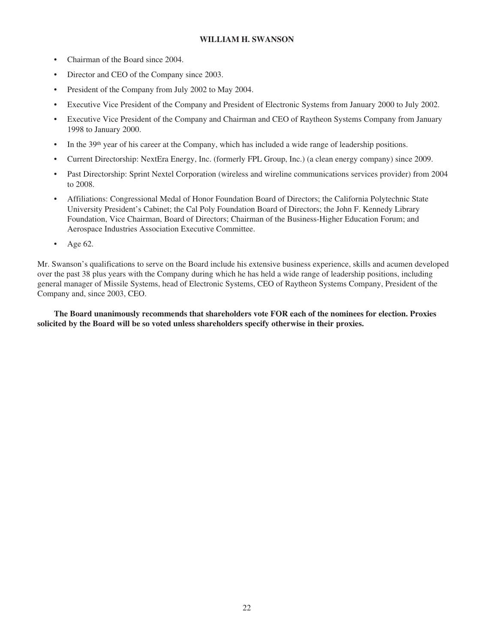## **WILLIAM H. SWANSON**

- Chairman of the Board since 2004.
- Director and CEO of the Company since 2003.
- President of the Company from July 2002 to May 2004.
- Executive Vice President of the Company and President of Electronic Systems from January 2000 to July 2002.
- Executive Vice President of the Company and Chairman and CEO of Raytheon Systems Company from January 1998 to January 2000.
- In the 39<sup>th</sup> year of his career at the Company, which has included a wide range of leadership positions.
- Current Directorship: NextEra Energy, Inc. (formerly FPL Group, Inc.) (a clean energy company) since 2009.
- Past Directorship: Sprint Nextel Corporation (wireless and wireline communications services provider) from 2004 to 2008.
- Affiliations: Congressional Medal of Honor Foundation Board of Directors; the California Polytechnic State University President's Cabinet; the Cal Poly Foundation Board of Directors; the John F. Kennedy Library Foundation, Vice Chairman, Board of Directors; Chairman of the Business-Higher Education Forum; and Aerospace Industries Association Executive Committee.
- Age 62.

Mr. Swanson's qualifications to serve on the Board include his extensive business experience, skills and acumen developed over the past 38 plus years with the Company during which he has held a wide range of leadership positions, including general manager of Missile Systems, head of Electronic Systems, CEO of Raytheon Systems Company, President of the Company and, since 2003, CEO.

**The Board unanimously recommends that shareholders vote FOR each of the nominees for election. Proxies solicited by the Board will be so voted unless shareholders specify otherwise in their proxies.**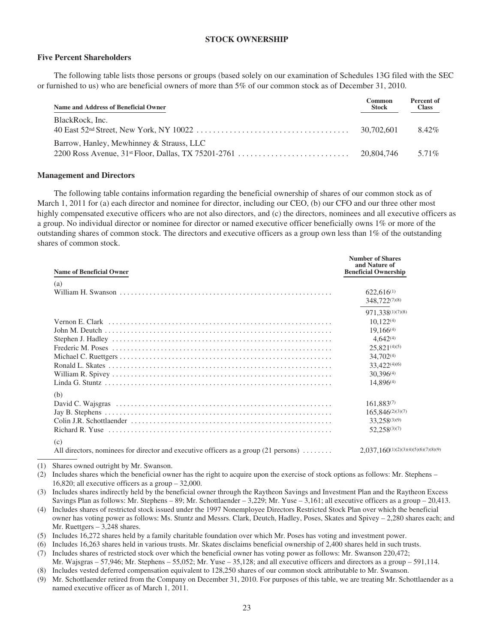## **STOCK OWNERSHIP**

### **Five Percent Shareholders**

The following table lists those persons or groups (based solely on our examination of Schedules 13G filed with the SEC or furnished to us) who are beneficial owners of more than 5% of our common stock as of December 31, 2010.

| Name and Address of Beneficial Owner     | Common<br><b>Stock</b> | Percent of<br><b>Class</b> |
|------------------------------------------|------------------------|----------------------------|
| BlackRock, Inc.                          | 30.702.601             | 8.42%                      |
| Barrow, Hanley, Mewhinney & Strauss, LLC | 20.804.746             | 5.71%                      |

#### **Management and Directors**

The following table contains information regarding the beneficial ownership of shares of our common stock as of March 1, 2011 for (a) each director and nominee for director, including our CEO, (b) our CFO and our three other most highly compensated executive officers who are not also directors, and (c) the directors, nominees and all executive officers as a group. No individual director or nominee for director or named executive officer beneficially owns 1% or more of the outstanding shares of common stock. The directors and executive officers as a group own less than 1% of the outstanding shares of common stock.

**Number of Shares**

| <b>Name of Beneficial Owner</b>                                                                     | Number of Shares<br>and Nature of<br><b>Beneficial Ownership</b> |
|-----------------------------------------------------------------------------------------------------|------------------------------------------------------------------|
| (a)                                                                                                 |                                                                  |
|                                                                                                     | $622.616^{(1)}$                                                  |
|                                                                                                     | 348,722(7)(8)                                                    |
|                                                                                                     | 971.338(1)(7)(8)                                                 |
|                                                                                                     | $10,122^{(4)}$                                                   |
|                                                                                                     | $19.166^{(4)}$                                                   |
|                                                                                                     | $4,642^{(4)}$                                                    |
|                                                                                                     | $25,821^{(4)(5)}$                                                |
|                                                                                                     | $34,702^{(4)}$                                                   |
|                                                                                                     | 33,422 <sup>(4)(6)</sup>                                         |
|                                                                                                     | $30.396^{(4)}$                                                   |
|                                                                                                     | $14,896^{(4)}$                                                   |
| (b)                                                                                                 |                                                                  |
|                                                                                                     | $161.883^{(7)}$                                                  |
|                                                                                                     | $165,846^{(2)(3)(7)}$                                            |
|                                                                                                     | 33,258(3)(9)                                                     |
|                                                                                                     | $52.258^{(3)(7)}$                                                |
| (c)                                                                                                 |                                                                  |
| All directors, nominees for director and executive officers as a group $(21 \text{ persons}) \dots$ | $2,037,160^{(1)(2)(3)(4)(5)(6)(7)(8)(9)}$                        |

(1) Shares owned outright by Mr. Swanson.

(2) Includes shares which the beneficial owner has the right to acquire upon the exercise of stock options as follows: Mr. Stephens – 16,820; all executive officers as a group – 32,000.

(3) Includes shares indirectly held by the beneficial owner through the Raytheon Savings and Investment Plan and the Raytheon Excess Savings Plan as follows: Mr. Stephens – 89; Mr. Schottlaender – 3,229; Mr. Yuse – 3,161; all executive officers as a group – 20,413.

- (4) Includes shares of restricted stock issued under the 1997 Nonemployee Directors Restricted Stock Plan over which the beneficial owner has voting power as follows: Ms. Stuntz and Messrs. Clark, Deutch, Hadley, Poses, Skates and Spivey – 2,280 shares each; and Mr. Ruettgers – 3,248 shares.
- (5) Includes 16,272 shares held by a family charitable foundation over which Mr. Poses has voting and investment power.
- (6) Includes 16,263 shares held in various trusts. Mr. Skates disclaims beneficial ownership of 2,400 shares held in such trusts.

(7) Includes shares of restricted stock over which the beneficial owner has voting power as follows: Mr. Swanson 220,472; Mr. Wajsgras – 57,946; Mr. Stephens – 55,052; Mr. Yuse – 35,128; and all executive officers and directors as a group – 591,114.

(8) Includes vested deferred compensation equivalent to 128,250 shares of our common stock attributable to Mr. Swanson.

(9) Mr. Schottlaender retired from the Company on December 31, 2010. For purposes of this table, we are treating Mr. Schottlaender as a named executive officer as of March 1, 2011.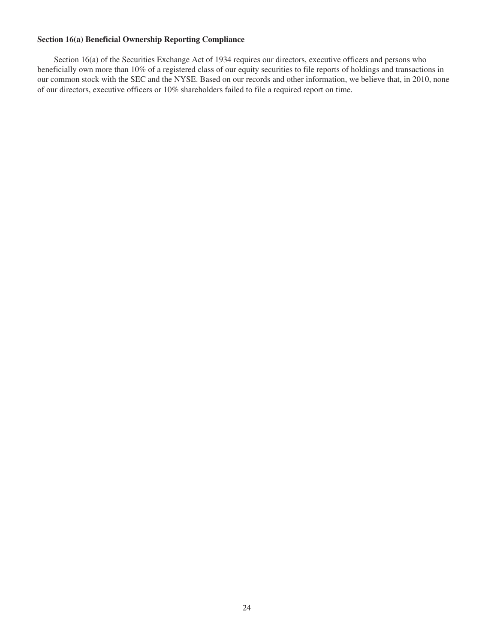## **Section 16(a) Beneficial Ownership Reporting Compliance**

Section 16(a) of the Securities Exchange Act of 1934 requires our directors, executive officers and persons who beneficially own more than 10% of a registered class of our equity securities to file reports of holdings and transactions in our common stock with the SEC and the NYSE. Based on our records and other information, we believe that, in 2010, none of our directors, executive officers or 10% shareholders failed to file a required report on time.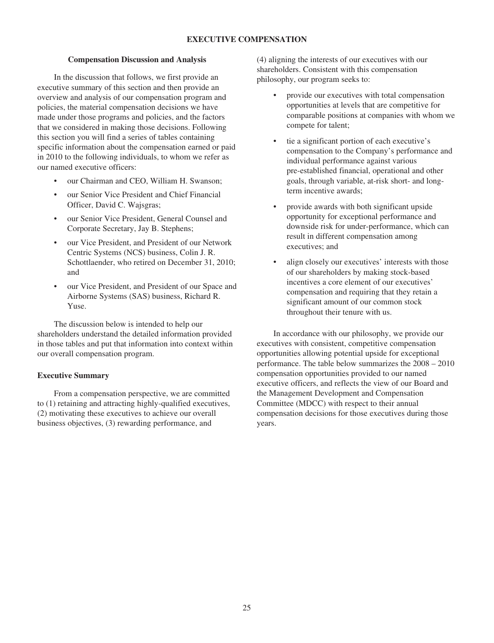## **EXECUTIVE COMPENSATION**

### **Compensation Discussion and Analysis**

In the discussion that follows, we first provide an executive summary of this section and then provide an overview and analysis of our compensation program and policies, the material compensation decisions we have made under those programs and policies, and the factors that we considered in making those decisions. Following this section you will find a series of tables containing specific information about the compensation earned or paid in 2010 to the following individuals, to whom we refer as our named executive officers:

- our Chairman and CEO, William H. Swanson;
- our Senior Vice President and Chief Financial Officer, David C. Wajsgras;
- our Senior Vice President, General Counsel and Corporate Secretary, Jay B. Stephens;
- our Vice President, and President of our Network Centric Systems (NCS) business, Colin J. R. Schottlaender, who retired on December 31, 2010; and
- our Vice President, and President of our Space and Airborne Systems (SAS) business, Richard R. Yuse.

The discussion below is intended to help our shareholders understand the detailed information provided in those tables and put that information into context within our overall compensation program.

## **Executive Summary**

From a compensation perspective, we are committed to (1) retaining and attracting highly-qualified executives, (2) motivating these executives to achieve our overall business objectives, (3) rewarding performance, and

(4) aligning the interests of our executives with our shareholders. Consistent with this compensation philosophy, our program seeks to:

- provide our executives with total compensation opportunities at levels that are competitive for comparable positions at companies with whom we compete for talent;
- tie a significant portion of each executive's compensation to the Company's performance and individual performance against various pre-established financial, operational and other goals, through variable, at-risk short- and longterm incentive awards;
- provide awards with both significant upside opportunity for exceptional performance and downside risk for under-performance, which can result in different compensation among executives; and
- align closely our executives' interests with those of our shareholders by making stock-based incentives a core element of our executives' compensation and requiring that they retain a significant amount of our common stock throughout their tenure with us.

In accordance with our philosophy, we provide our executives with consistent, competitive compensation opportunities allowing potential upside for exceptional performance. The table below summarizes the 2008 – 2010 compensation opportunities provided to our named executive officers, and reflects the view of our Board and the Management Development and Compensation Committee (MDCC) with respect to their annual compensation decisions for those executives during those years.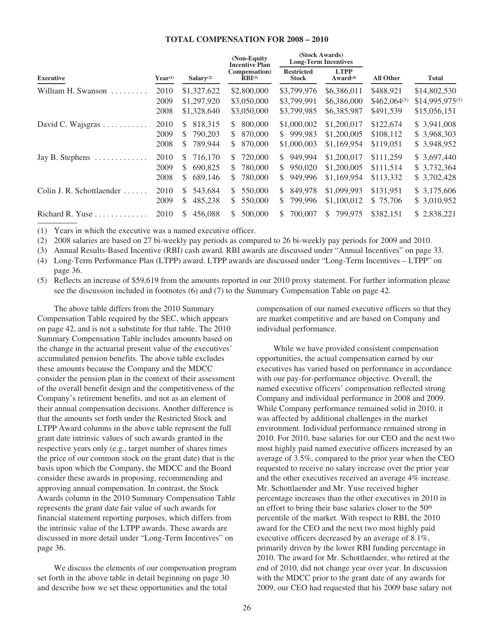## **TOTAL COMPENSATION FOR 2008 – 2010**

**(Stock Awards)**

|                           |                      |                                                           | (Non-Equity<br><b>Incentive Plan</b>             |                                                            | ASLOCK AWAIUS!<br><b>Long-Term Incentives</b> |                                            |                                                 |
|---------------------------|----------------------|-----------------------------------------------------------|--------------------------------------------------|------------------------------------------------------------|-----------------------------------------------|--------------------------------------------|-------------------------------------------------|
| <b>Executive</b>          | $Year^{(1)}$         | Salary $(2)$                                              | Compensation)<br>$RBI^{(3)}$                     | <b>Restricted</b><br><b>Stock</b>                          | <b>LTPP</b><br>Award <sup>(4)</sup>           | <b>All Other</b>                           | Total                                           |
| William H. Swanson        | 2010<br>2009<br>2008 | \$1,327,622<br>\$1,297,920<br>\$1,328,640                 | \$2,800,000<br>\$3,050,000<br>\$3,050,000        | \$3,799,976<br>\$3,799,991<br>\$3,799,985                  | \$6,386,011<br>\$6,386,000<br>\$6,385,987     | \$488,921<br>$$462,064^{(5)}$<br>\$491,539 | \$14,802,530<br>\$14,995,975(5)<br>\$15,056,151 |
| David C. Wajsgras         | 2010<br>2009<br>2008 | 818.315<br>S.<br>790,203<br><sup>S</sup><br>\$<br>789,944 | 800,000<br>\$.<br>870,000<br>S.<br>870,000<br>S  | \$1,000,002<br>999.983<br>S.<br>\$1,000,003                | \$1,200,017<br>\$1,200,005<br>\$1,169,954     | \$122,674<br>\$108,112<br>\$119,051        | \$3,941,008<br>\$ 3,968,303<br>\$ 3,948,952     |
| Jay B. Stephens           | 2010<br>2009<br>2008 | 716.170<br>S.<br>\$.<br>690.825<br>\$<br>689,146          | 720,000<br>S.<br>780,000<br>S.<br>\$.<br>780,000 | 949.994<br>S.<br>950,020<br><sup>\$</sup><br>949,996<br>S. | \$1,200,017<br>\$1,200,005<br>\$1,169,954     | \$111,259<br>\$111,514<br>\$113,332        | \$3,697,440<br>\$3,732,364<br>\$ 3,702,428      |
| Colin J. R. Schottlaender | 2010<br>2009         | 543,684<br>\$.<br>485,238<br>\$                           | 550,000<br>\$.<br>550,000<br>S                   | 849.978<br>S.<br>799.996<br>S.                             | \$1,099,993<br>\$1,100,012                    | \$131,951<br>\$75,706                      | \$3,175,606<br>\$ 3,010,952                     |
| Richard R. Yuse<br>.      | 2010                 | 456,088<br>S.                                             | 500,000<br>S                                     | 700,007<br>S.                                              | 799.975<br>S.                                 | \$382,151                                  | \$2,838,221                                     |

(1) Years in which the executive was a named executive officer.

(2) 2008 salaries are based on 27 bi-weekly pay periods as compared to 26 bi-weekly pay periods for 2009 and 2010.

(3) Annual Results-Based Incentive (RBI) cash award. RBI awards are discussed under "Annual Incentives" on page 33.

(4) Long-Term Performance Plan (LTPP) award. LTPP awards are discussed under "Long-Term Incentives – LTPP" on page 36.

(5) Reflects an increase of \$59,619 from the amounts reported in our 2010 proxy statement. For further information please see the discussion included in footnotes (6) and (7) to the Summary Compensation Table on page 42.

The above table differs from the 2010 Summary Compensation Table required by the SEC, which appears on page 42, and is not a substitute for that table. The 2010 Summary Compensation Table includes amounts based on the change in the actuarial present value of the executives' accumulated pension benefits. The above table excludes these amounts because the Company and the MDCC consider the pension plan in the context of their assessment of the overall benefit design and the competitiveness of the Company's retirement benefits, and not as an element of their annual compensation decisions. Another difference is that the amounts set forth under the Restricted Stock and LTPP Award columns in the above table represent the full grant date intrinsic values of such awards granted in the respective years only (e.g., target number of shares times the price of our common stock on the grant date) that is the basis upon which the Company, the MDCC and the Board consider these awards in proposing, recommending and approving annual compensation. In contrast, the Stock Awards column in the 2010 Summary Compensation Table represents the grant date fair value of such awards for financial statement reporting purposes, which differs from the intrinsic value of the LTPP awards. These awards are discussed in more detail under "Long-Term Incentives" on page 36.

We discuss the elements of our compensation program set forth in the above table in detail beginning on page 30 and describe how we set these opportunities and the total

compensation of our named executive officers so that they are market competitive and are based on Company and individual performance.

While we have provided consistent compensation opportunities, the actual compensation earned by our executives has varied based on performance in accordance with our pay-for-performance objective. Overall, the named executive officers' compensation reflected strong Company and individual performance in 2008 and 2009. While Company performance remained solid in 2010, it was affected by additional challenges in the market environment. Individual performance remained strong in 2010. For 2010, base salaries for our CEO and the next two most highly paid named executive officers increased by an average of 3.5%, compared to the prior year when the CEO requested to receive no salary increase over the prior year and the other executives received an average 4% increase. Mr. Schottlaender and Mr. Yuse received higher percentage increases than the other executives in 2010 in an effort to bring their base salaries closer to the 50<sup>th</sup> percentile of the market. With respect to RBI, the 2010 award for the CEO and the next two most highly paid executive officers decreased by an average of 8.1%, primarily driven by the lower RBI funding percentage in 2010. The award for Mr. Schottlaender, who retired at the end of 2010, did not change year over year. In discussion with the MDCC prior to the grant date of any awards for 2009, our CEO had requested that his 2009 base salary not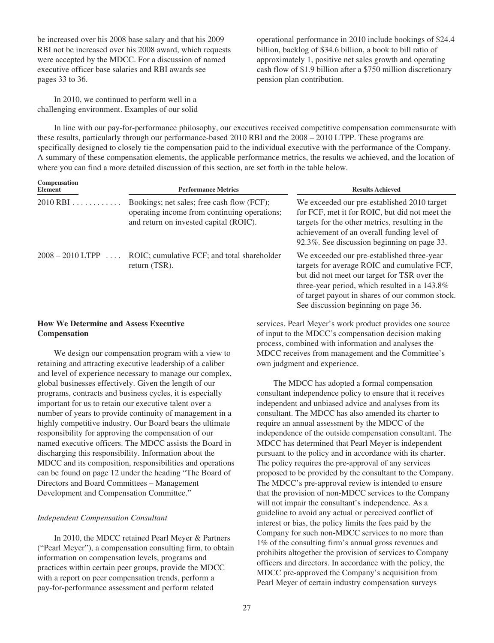be increased over his 2008 base salary and that his 2009 RBI not be increased over his 2008 award, which requests were accepted by the MDCC. For a discussion of named executive officer base salaries and RBI awards see pages 33 to 36.

operational performance in 2010 include bookings of \$24.4 billion, backlog of \$34.6 billion, a book to bill ratio of approximately 1, positive net sales growth and operating cash flow of \$1.9 billion after a \$750 million discretionary pension plan contribution.

In 2010, we continued to perform well in a challenging environment. Examples of our solid

In line with our pay-for-performance philosophy, our executives received competitive compensation commensurate with these results, particularly through our performance-based 2010 RBI and the 2008 – 2010 LTPP. These programs are specifically designed to closely tie the compensation paid to the individual executive with the performance of the Company. A summary of these compensation elements, the applicable performance metrics, the results we achieved, and the location of where you can find a more detailed discussion of this section, are set forth in the table below.

| Compensation<br><b>Element</b> | <b>Performance Metrics</b>                                                                                                           | <b>Results Achieved</b>                                                                                                                                                                                                                                                                |  |
|--------------------------------|--------------------------------------------------------------------------------------------------------------------------------------|----------------------------------------------------------------------------------------------------------------------------------------------------------------------------------------------------------------------------------------------------------------------------------------|--|
| 2010 RBI                       | Bookings; net sales; free cash flow (FCF);<br>operating income from continuing operations;<br>and return on invested capital (ROIC). | We exceeded our pre-established 2010 target<br>for FCF, met it for ROIC, but did not meet the<br>targets for the other metrics, resulting in the<br>achievement of an overall funding level of<br>92.3%. See discussion beginning on page 33.                                          |  |
| $2008 - 2010$ LTPP             | ROIC; cumulative FCF; and total shareholder<br>return (TSR).                                                                         | We exceeded our pre-established three-year<br>targets for average ROIC and cumulative FCF,<br>but did not meet our target for TSR over the<br>three-year period, which resulted in a 143.8%<br>of target payout in shares of our common stock.<br>See discussion beginning on page 36. |  |

## **How We Determine and Assess Executive Compensation**

We design our compensation program with a view to retaining and attracting executive leadership of a caliber and level of experience necessary to manage our complex, global businesses effectively. Given the length of our programs, contracts and business cycles, it is especially important for us to retain our executive talent over a number of years to provide continuity of management in a highly competitive industry. Our Board bears the ultimate responsibility for approving the compensation of our named executive officers. The MDCC assists the Board in discharging this responsibility. Information about the MDCC and its composition, responsibilities and operations can be found on page 12 under the heading "The Board of Directors and Board Committees – Management Development and Compensation Committee."

## *Independent Compensation Consultant*

In 2010, the MDCC retained Pearl Meyer & Partners ("Pearl Meyer"), a compensation consulting firm, to obtain information on compensation levels, programs and practices within certain peer groups, provide the MDCC with a report on peer compensation trends, perform a pay-for-performance assessment and perform related

services. Pearl Meyer's work product provides one source of input to the MDCC's compensation decision making process, combined with information and analyses the MDCC receives from management and the Committee's own judgment and experience.

The MDCC has adopted a formal compensation consultant independence policy to ensure that it receives independent and unbiased advice and analyses from its consultant. The MDCC has also amended its charter to require an annual assessment by the MDCC of the independence of the outside compensation consultant. The MDCC has determined that Pearl Meyer is independent pursuant to the policy and in accordance with its charter. The policy requires the pre-approval of any services proposed to be provided by the consultant to the Company. The MDCC's pre-approval review is intended to ensure that the provision of non-MDCC services to the Company will not impair the consultant's independence. As a guideline to avoid any actual or perceived conflict of interest or bias, the policy limits the fees paid by the Company for such non-MDCC services to no more than 1% of the consulting firm's annual gross revenues and prohibits altogether the provision of services to Company officers and directors. In accordance with the policy, the MDCC pre-approved the Company's acquisition from Pearl Meyer of certain industry compensation surveys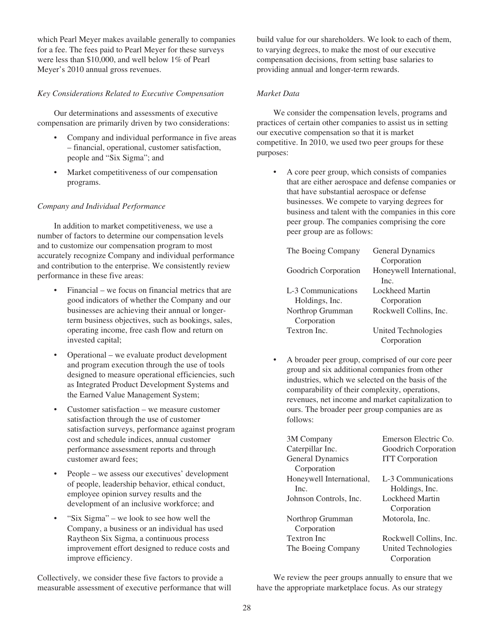which Pearl Meyer makes available generally to companies for a fee. The fees paid to Pearl Meyer for these surveys were less than \$10,000, and well below 1% of Pearl Meyer's 2010 annual gross revenues.

## *Key Considerations Related to Executive Compensation*

Our determinations and assessments of executive compensation are primarily driven by two considerations:

- Company and individual performance in five areas – financial, operational, customer satisfaction, people and "Six Sigma"; and
- Market competitiveness of our compensation programs.

### *Company and Individual Performance*

In addition to market competitiveness, we use a number of factors to determine our compensation levels and to customize our compensation program to most accurately recognize Company and individual performance and contribution to the enterprise. We consistently review performance in these five areas:

- Financial we focus on financial metrics that are good indicators of whether the Company and our businesses are achieving their annual or longerterm business objectives, such as bookings, sales, operating income, free cash flow and return on invested capital;
- Operational we evaluate product development and program execution through the use of tools designed to measure operational efficiencies, such as Integrated Product Development Systems and the Earned Value Management System;
- Customer satisfaction we measure customer satisfaction through the use of customer satisfaction surveys, performance against program cost and schedule indices, annual customer performance assessment reports and through customer award fees;
- People we assess our executives' development of people, leadership behavior, ethical conduct, employee opinion survey results and the development of an inclusive workforce; and
- "Six Sigma" we look to see how well the Company, a business or an individual has used Raytheon Six Sigma, a continuous process improvement effort designed to reduce costs and improve efficiency.

Collectively, we consider these five factors to provide a measurable assessment of executive performance that will build value for our shareholders. We look to each of them, to varying degrees, to make the most of our executive compensation decisions, from setting base salaries to providing annual and longer-term rewards.

### *Market Data*

We consider the compensation levels, programs and practices of certain other companies to assist us in setting our executive compensation so that it is market competitive. In 2010, we used two peer groups for these purposes:

• A core peer group, which consists of companies that are either aerospace and defense companies or that have substantial aerospace or defense businesses. We compete to varying degrees for business and talent with the companies in this core peer group. The companies comprising the core peer group are as follows:

| The Boeing Company   | General Dynamics         |
|----------------------|--------------------------|
|                      | Corporation              |
| Goodrich Corporation | Honeywell International, |
|                      | Inc                      |
| L-3 Communications   | Lockheed Martin          |
| Holdings, Inc.       | Corporation              |
| Northrop Grumman     | Rockwell Collins, Inc.   |
| Corporation          |                          |
| Textron Inc.         | United Technologies      |
|                      | Corporation              |

• A broader peer group, comprised of our core peer group and six additional companies from other industries, which we selected on the basis of the comparability of their complexity, operations, revenues, net income and market capitalization to ours. The broader peer group companies are as follows:

| 3M Company               | Emerson Electric Co.   |  |  |
|--------------------------|------------------------|--|--|
| Caterpillar Inc.         | Goodrich Corporation   |  |  |
| General Dynamics         | <b>ITT</b> Corporation |  |  |
| Corporation              |                        |  |  |
| Honeywell International, | L-3 Communications     |  |  |
| Inc.                     | Holdings, Inc.         |  |  |
| Johnson Controls, Inc.   | <b>Lockheed Martin</b> |  |  |
|                          | Corporation            |  |  |
| Northrop Grumman         | Motorola, Inc.         |  |  |
| Corporation              |                        |  |  |
| <b>Textron Inc</b>       | Rockwell Collins, Inc. |  |  |
| The Boeing Company       | United Technologies    |  |  |
|                          | Corporation            |  |  |

We review the peer groups annually to ensure that we have the appropriate marketplace focus. As our strategy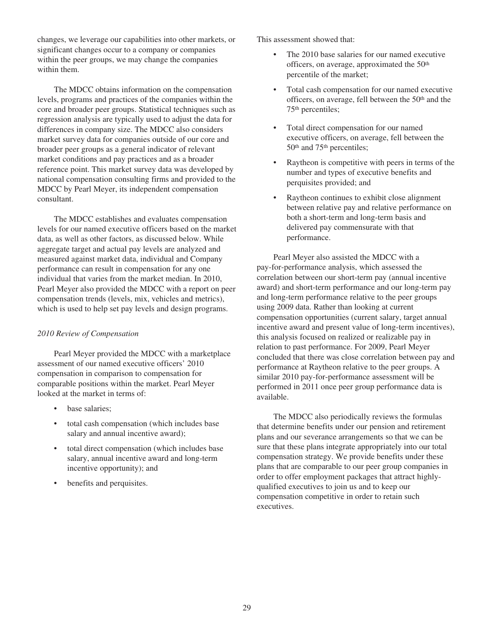changes, we leverage our capabilities into other markets, or significant changes occur to a company or companies within the peer groups, we may change the companies within them.

The MDCC obtains information on the compensation levels, programs and practices of the companies within the core and broader peer groups. Statistical techniques such as regression analysis are typically used to adjust the data for differences in company size. The MDCC also considers market survey data for companies outside of our core and broader peer groups as a general indicator of relevant market conditions and pay practices and as a broader reference point. This market survey data was developed by national compensation consulting firms and provided to the MDCC by Pearl Meyer, its independent compensation consultant.

The MDCC establishes and evaluates compensation levels for our named executive officers based on the market data, as well as other factors, as discussed below. While aggregate target and actual pay levels are analyzed and measured against market data, individual and Company performance can result in compensation for any one individual that varies from the market median. In 2010, Pearl Meyer also provided the MDCC with a report on peer compensation trends (levels, mix, vehicles and metrics), which is used to help set pay levels and design programs.

## *2010 Review of Compensation*

Pearl Meyer provided the MDCC with a marketplace assessment of our named executive officers' 2010 compensation in comparison to compensation for comparable positions within the market. Pearl Meyer looked at the market in terms of:

- base salaries;
- total cash compensation (which includes base salary and annual incentive award);
- total direct compensation (which includes base salary, annual incentive award and long-term incentive opportunity); and
- benefits and perquisites.

This assessment showed that:

- The 2010 base salaries for our named executive officers, on average, approximated the 50th percentile of the market;
- Total cash compensation for our named executive officers, on average, fell between the 50th and the 75th percentiles;
- Total direct compensation for our named executive officers, on average, fell between the 50th and 75th percentiles;
- Raytheon is competitive with peers in terms of the number and types of executive benefits and perquisites provided; and
- Raytheon continues to exhibit close alignment between relative pay and relative performance on both a short-term and long-term basis and delivered pay commensurate with that performance.

Pearl Meyer also assisted the MDCC with a pay-for-performance analysis, which assessed the correlation between our short-term pay (annual incentive award) and short-term performance and our long-term pay and long-term performance relative to the peer groups using 2009 data. Rather than looking at current compensation opportunities (current salary, target annual incentive award and present value of long-term incentives), this analysis focused on realized or realizable pay in relation to past performance. For 2009, Pearl Meyer concluded that there was close correlation between pay and performance at Raytheon relative to the peer groups. A similar 2010 pay-for-performance assessment will be performed in 2011 once peer group performance data is available.

The MDCC also periodically reviews the formulas that determine benefits under our pension and retirement plans and our severance arrangements so that we can be sure that these plans integrate appropriately into our total compensation strategy. We provide benefits under these plans that are comparable to our peer group companies in order to offer employment packages that attract highlyqualified executives to join us and to keep our compensation competitive in order to retain such executives.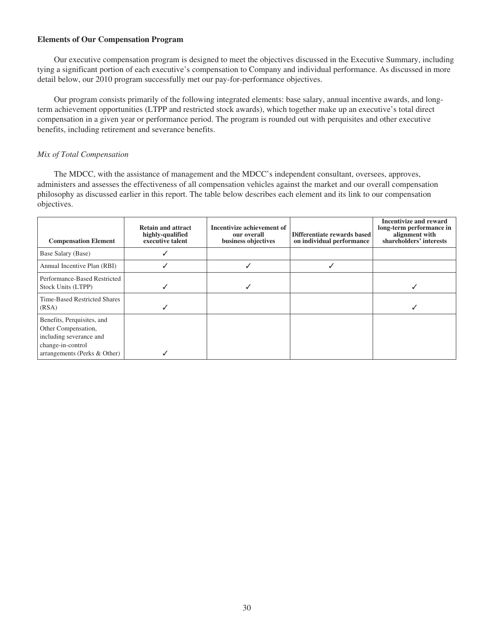### **Elements of Our Compensation Program**

Our executive compensation program is designed to meet the objectives discussed in the Executive Summary, including tying a significant portion of each executive's compensation to Company and individual performance. As discussed in more detail below, our 2010 program successfully met our pay-for-performance objectives.

Our program consists primarily of the following integrated elements: base salary, annual incentive awards, and longterm achievement opportunities (LTPP and restricted stock awards), which together make up an executive's total direct compensation in a given year or performance period. The program is rounded out with perquisites and other executive benefits, including retirement and severance benefits.

## *Mix of Total Compensation*

The MDCC, with the assistance of management and the MDCC's independent consultant, oversees, approves, administers and assesses the effectiveness of all compensation vehicles against the market and our overall compensation philosophy as discussed earlier in this report. The table below describes each element and its link to our compensation objectives.

| <b>Compensation Element</b>                                                                                                       | <b>Retain and attract</b><br>highly-qualified<br>executive talent | Incentivize achievement of<br>our overall<br>business objectives | Differentiate rewards based<br>on individual performance | Incentivize and reward<br>long-term performance in<br>alignment with<br>shareholders' interests |
|-----------------------------------------------------------------------------------------------------------------------------------|-------------------------------------------------------------------|------------------------------------------------------------------|----------------------------------------------------------|-------------------------------------------------------------------------------------------------|
| Base Salary (Base)                                                                                                                |                                                                   |                                                                  |                                                          |                                                                                                 |
| Annual Incentive Plan (RBI)                                                                                                       |                                                                   |                                                                  |                                                          |                                                                                                 |
| Performance-Based Restricted<br>Stock Units (LTPP)                                                                                |                                                                   |                                                                  |                                                          |                                                                                                 |
| Time-Based Restricted Shares<br>(RSA)                                                                                             |                                                                   |                                                                  |                                                          |                                                                                                 |
| Benefits, Perquisites, and<br>Other Compensation,<br>including severance and<br>change-in-control<br>arrangements (Perks & Other) |                                                                   |                                                                  |                                                          |                                                                                                 |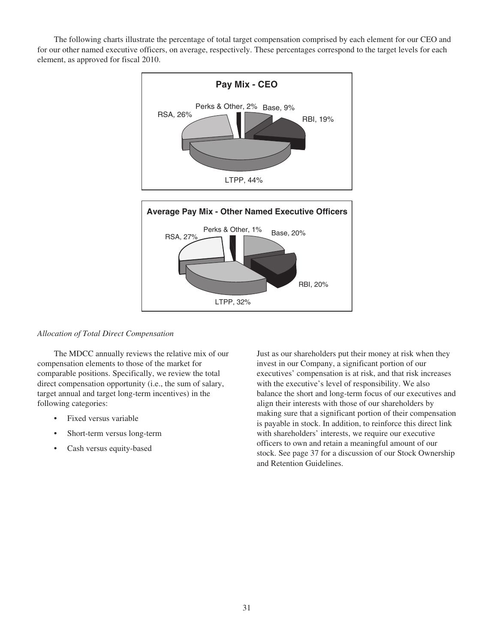The following charts illustrate the percentage of total target compensation comprised by each element for our CEO and for our other named executive officers, on average, respectively. These percentages correspond to the target levels for each element, as approved for fiscal 2010.



## *Allocation of Total Direct Compensation*

The MDCC annually reviews the relative mix of our compensation elements to those of the market for comparable positions. Specifically, we review the total direct compensation opportunity (i.e., the sum of salary, target annual and target long-term incentives) in the following categories:

- Fixed versus variable
- Short-term versus long-term
- Cash versus equity-based

Just as our shareholders put their money at risk when they invest in our Company, a significant portion of our executives' compensation is at risk, and that risk increases with the executive's level of responsibility. We also balance the short and long-term focus of our executives and align their interests with those of our shareholders by making sure that a significant portion of their compensation is payable in stock. In addition, to reinforce this direct link with shareholders' interests, we require our executive officers to own and retain a meaningful amount of our stock. See page 37 for a discussion of our Stock Ownership and Retention Guidelines.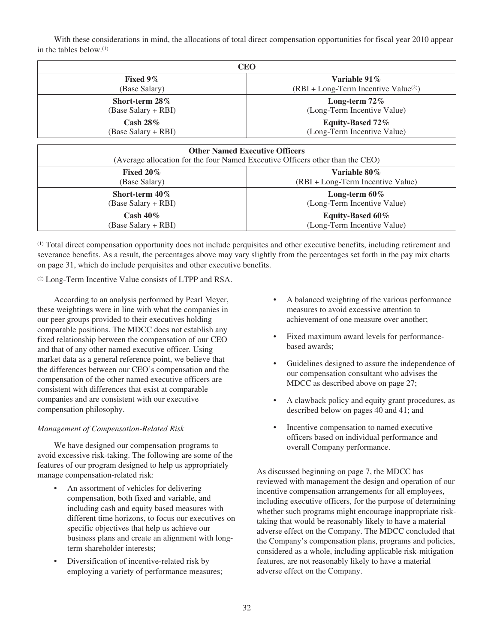With these considerations in mind, the allocations of total direct compensation opportunities for fiscal year 2010 appear in the tables below.(1)

| CEO                        |                                        |  |
|----------------------------|----------------------------------------|--|
| Fixed $9\%$                | Variable 91 $\%$                       |  |
| (Base Salary)              | $(RBI + Long-Term Incentive Value(2))$ |  |
| Short-term $28\%$          | Long-term $72\%$                       |  |
| (Base Salary + RBI)        | (Long-Term Incentive Value)            |  |
| $\operatorname{Cash} 28\%$ | Equity-Based 72%                       |  |
| (Base Salary + RBI)        | (Long-Term Incentive Value)            |  |

| <b>Other Named Executive Officers</b><br>(Average allocation for the four Named Executive Officers other than the CEO) |                                   |  |
|------------------------------------------------------------------------------------------------------------------------|-----------------------------------|--|
| Fixed $20\%$                                                                                                           | Variable 80%                      |  |
| (Base Salary)                                                                                                          | (RBI + Long-Term Incentive Value) |  |
| Short-term $40\%$                                                                                                      | Long-term $60\%$                  |  |
| (Base Salary + RBI)                                                                                                    | (Long-Term Incentive Value)       |  |
| Cash $40\%$                                                                                                            | Equity-Based 60%                  |  |
| (Base Salary + RBI)                                                                                                    | (Long-Term Incentive Value)       |  |

(1) Total direct compensation opportunity does not include perquisites and other executive benefits, including retirement and severance benefits. As a result, the percentages above may vary slightly from the percentages set forth in the pay mix charts on page 31, which do include perquisites and other executive benefits.

(2) Long-Term Incentive Value consists of LTPP and RSA.

According to an analysis performed by Pearl Meyer, these weightings were in line with what the companies in our peer groups provided to their executives holding comparable positions. The MDCC does not establish any fixed relationship between the compensation of our CEO and that of any other named executive officer. Using market data as a general reference point, we believe that the differences between our CEO's compensation and the compensation of the other named executive officers are consistent with differences that exist at comparable companies and are consistent with our executive compensation philosophy.

## *Management of Compensation-Related Risk*

We have designed our compensation programs to avoid excessive risk-taking. The following are some of the features of our program designed to help us appropriately manage compensation-related risk:

- An assortment of vehicles for delivering compensation, both fixed and variable, and including cash and equity based measures with different time horizons, to focus our executives on specific objectives that help us achieve our business plans and create an alignment with longterm shareholder interests;
- Diversification of incentive-related risk by employing a variety of performance measures;
- A balanced weighting of the various performance measures to avoid excessive attention to achievement of one measure over another;
- Fixed maximum award levels for performancebased awards;
- Guidelines designed to assure the independence of our compensation consultant who advises the MDCC as described above on page 27;
- A clawback policy and equity grant procedures, as described below on pages 40 and 41; and
- Incentive compensation to named executive officers based on individual performance and overall Company performance.

As discussed beginning on page 7, the MDCC has reviewed with management the design and operation of our incentive compensation arrangements for all employees, including executive officers, for the purpose of determining whether such programs might encourage inappropriate risktaking that would be reasonably likely to have a material adverse effect on the Company. The MDCC concluded that the Company's compensation plans, programs and policies, considered as a whole, including applicable risk-mitigation features, are not reasonably likely to have a material adverse effect on the Company.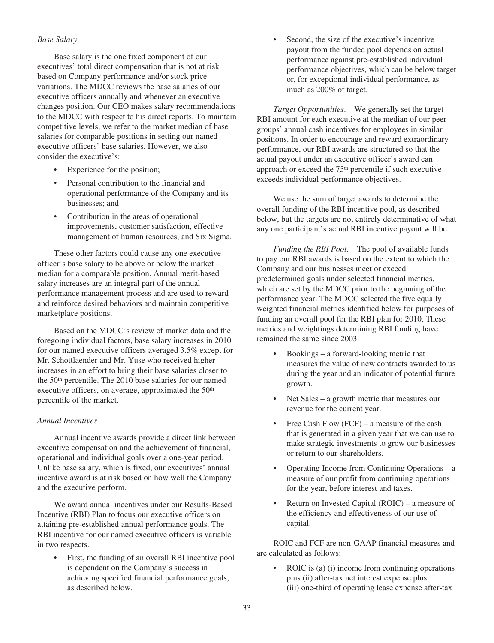## *Base Salary*

Base salary is the one fixed component of our executives' total direct compensation that is not at risk based on Company performance and/or stock price variations. The MDCC reviews the base salaries of our executive officers annually and whenever an executive changes position. Our CEO makes salary recommendations to the MDCC with respect to his direct reports. To maintain competitive levels, we refer to the market median of base salaries for comparable positions in setting our named executive officers' base salaries. However, we also consider the executive's:

- Experience for the position;
- Personal contribution to the financial and operational performance of the Company and its businesses; and
- Contribution in the areas of operational improvements, customer satisfaction, effective management of human resources, and Six Sigma.

These other factors could cause any one executive officer's base salary to be above or below the market median for a comparable position. Annual merit-based salary increases are an integral part of the annual performance management process and are used to reward and reinforce desired behaviors and maintain competitive marketplace positions.

Based on the MDCC's review of market data and the foregoing individual factors, base salary increases in 2010 for our named executive officers averaged 3.5% except for Mr. Schottlaender and Mr. Yuse who received higher increases in an effort to bring their base salaries closer to the 50th percentile. The 2010 base salaries for our named executive officers, on average, approximated the 50<sup>th</sup> percentile of the market.

## *Annual Incentives*

Annual incentive awards provide a direct link between executive compensation and the achievement of financial, operational and individual goals over a one-year period. Unlike base salary, which is fixed, our executives' annual incentive award is at risk based on how well the Company and the executive perform.

We award annual incentives under our Results-Based Incentive (RBI) Plan to focus our executive officers on attaining pre-established annual performance goals. The RBI incentive for our named executive officers is variable in two respects.

• First, the funding of an overall RBI incentive pool is dependent on the Company's success in achieving specified financial performance goals, as described below.

• Second, the size of the executive's incentive payout from the funded pool depends on actual performance against pre-established individual performance objectives, which can be below target or, for exceptional individual performance, as much as 200% of target.

*Target Opportunities*. We generally set the target RBI amount for each executive at the median of our peer groups' annual cash incentives for employees in similar positions. In order to encourage and reward extraordinary performance, our RBI awards are structured so that the actual payout under an executive officer's award can approach or exceed the 75th percentile if such executive exceeds individual performance objectives.

We use the sum of target awards to determine the overall funding of the RBI incentive pool, as described below, but the targets are not entirely determinative of what any one participant's actual RBI incentive payout will be.

*Funding the RBI Pool*. The pool of available funds to pay our RBI awards is based on the extent to which the Company and our businesses meet or exceed predetermined goals under selected financial metrics, which are set by the MDCC prior to the beginning of the performance year. The MDCC selected the five equally weighted financial metrics identified below for purposes of funding an overall pool for the RBI plan for 2010. These metrics and weightings determining RBI funding have remained the same since 2003.

- Bookings a forward-looking metric that measures the value of new contracts awarded to us during the year and an indicator of potential future growth.
- Net Sales a growth metric that measures our revenue for the current year.
- Free Cash Flow (FCF) a measure of the cash that is generated in a given year that we can use to make strategic investments to grow our businesses or return to our shareholders.
- Operating Income from Continuing Operations a measure of our profit from continuing operations for the year, before interest and taxes.
- Return on Invested Capital (ROIC) a measure of the efficiency and effectiveness of our use of capital.

ROIC and FCF are non-GAAP financial measures and are calculated as follows:

ROIC is (a) (i) income from continuing operations plus (ii) after-tax net interest expense plus (iii) one-third of operating lease expense after-tax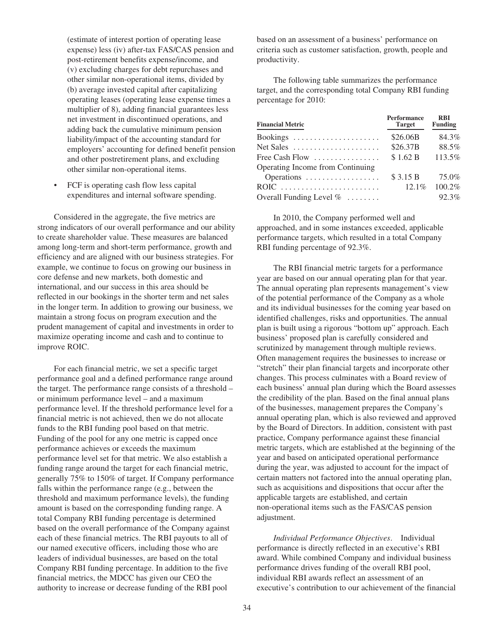(estimate of interest portion of operating lease expense) less (iv) after-tax FAS/CAS pension and post-retirement benefits expense/income, and (v) excluding charges for debt repurchases and other similar non-operational items, divided by (b) average invested capital after capitalizing operating leases (operating lease expense times a multiplier of 8), adding financial guarantees less net investment in discontinued operations, and adding back the cumulative minimum pension liability/impact of the accounting standard for employers' accounting for defined benefit pension and other postretirement plans, and excluding other similar non-operational items.

• FCF is operating cash flow less capital expenditures and internal software spending.

Considered in the aggregate, the five metrics are strong indicators of our overall performance and our ability to create shareholder value. These measures are balanced among long-term and short-term performance, growth and efficiency and are aligned with our business strategies. For example, we continue to focus on growing our business in core defense and new markets, both domestic and international, and our success in this area should be reflected in our bookings in the shorter term and net sales in the longer term. In addition to growing our business, we maintain a strong focus on program execution and the prudent management of capital and investments in order to maximize operating income and cash and to continue to improve ROIC.

For each financial metric, we set a specific target performance goal and a defined performance range around the target. The performance range consists of a threshold – or minimum performance level – and a maximum performance level. If the threshold performance level for a financial metric is not achieved, then we do not allocate funds to the RBI funding pool based on that metric. Funding of the pool for any one metric is capped once performance achieves or exceeds the maximum performance level set for that metric. We also establish a funding range around the target for each financial metric, generally 75% to 150% of target. If Company performance falls within the performance range (e.g., between the threshold and maximum performance levels), the funding amount is based on the corresponding funding range. A total Company RBI funding percentage is determined based on the overall performance of the Company against each of these financial metrics. The RBI payouts to all of our named executive officers, including those who are leaders of individual businesses, are based on the total Company RBI funding percentage. In addition to the five financial metrics, the MDCC has given our CEO the authority to increase or decrease funding of the RBI pool

based on an assessment of a business' performance on criteria such as customer satisfaction, growth, people and productivity.

The following table summarizes the performance target, and the corresponding total Company RBI funding percentage for 2010:

| <b>Financial Metric</b>                               | Performance<br>Target | <b>RBI</b><br><b>Funding</b> |
|-------------------------------------------------------|-----------------------|------------------------------|
| Bookings                                              | \$26.06B              | 84.3%                        |
| $Net Sales \dots \dots \dots \dots \dots \dots \dots$ | \$26.37B              | 88.5%                        |
| Free Cash Flow                                        | \$1.62 B              | 113.5%                       |
| Operating Income from Continuing                      |                       |                              |
| Operations                                            | \$3.15 B              | 75.0%                        |
| $ROIC$                                                | 12.1%                 | 100.2%                       |
| Overall Funding Level $\% \dots \dots$                |                       | 92.3%                        |

In 2010, the Company performed well and approached, and in some instances exceeded, applicable performance targets, which resulted in a total Company RBI funding percentage of 92.3%.

The RBI financial metric targets for a performance year are based on our annual operating plan for that year. The annual operating plan represents management's view of the potential performance of the Company as a whole and its individual businesses for the coming year based on identified challenges, risks and opportunities. The annual plan is built using a rigorous "bottom up" approach. Each business' proposed plan is carefully considered and scrutinized by management through multiple reviews. Often management requires the businesses to increase or "stretch" their plan financial targets and incorporate other changes. This process culminates with a Board review of each business' annual plan during which the Board assesses the credibility of the plan. Based on the final annual plans of the businesses, management prepares the Company's annual operating plan, which is also reviewed and approved by the Board of Directors. In addition, consistent with past practice, Company performance against these financial metric targets, which are established at the beginning of the year and based on anticipated operational performance during the year, was adjusted to account for the impact of certain matters not factored into the annual operating plan, such as acquisitions and dispositions that occur after the applicable targets are established, and certain non-operational items such as the FAS/CAS pension adjustment.

*Individual Performance Objectives*. Individual performance is directly reflected in an executive's RBI award. While combined Company and individual business performance drives funding of the overall RBI pool, individual RBI awards reflect an assessment of an executive's contribution to our achievement of the financial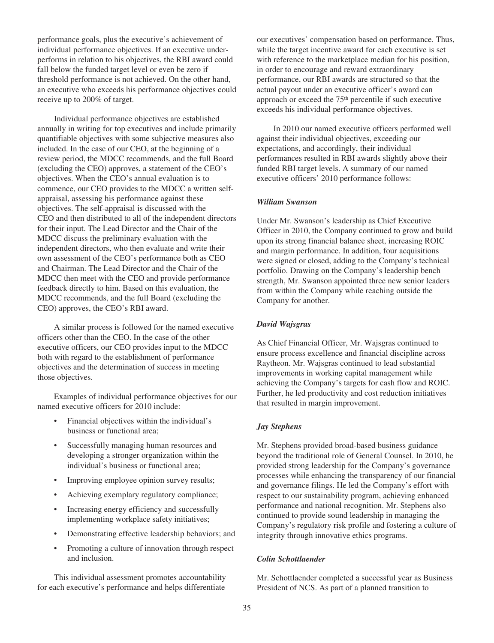performance goals, plus the executive's achievement of individual performance objectives. If an executive underperforms in relation to his objectives, the RBI award could fall below the funded target level or even be zero if threshold performance is not achieved. On the other hand, an executive who exceeds his performance objectives could receive up to 200% of target.

Individual performance objectives are established annually in writing for top executives and include primarily quantifiable objectives with some subjective measures also included. In the case of our CEO, at the beginning of a review period, the MDCC recommends, and the full Board (excluding the CEO) approves, a statement of the CEO's objectives. When the CEO's annual evaluation is to commence, our CEO provides to the MDCC a written selfappraisal, assessing his performance against these objectives. The self-appraisal is discussed with the CEO and then distributed to all of the independent directors for their input. The Lead Director and the Chair of the MDCC discuss the preliminary evaluation with the independent directors, who then evaluate and write their own assessment of the CEO's performance both as CEO and Chairman. The Lead Director and the Chair of the MDCC then meet with the CEO and provide performance feedback directly to him. Based on this evaluation, the MDCC recommends, and the full Board (excluding the CEO) approves, the CEO's RBI award.

A similar process is followed for the named executive officers other than the CEO. In the case of the other executive officers, our CEO provides input to the MDCC both with regard to the establishment of performance objectives and the determination of success in meeting those objectives.

Examples of individual performance objectives for our named executive officers for 2010 include:

- Financial objectives within the individual's business or functional area;
- Successfully managing human resources and developing a stronger organization within the individual's business or functional area;
- Improving employee opinion survey results;
- Achieving exemplary regulatory compliance;
- Increasing energy efficiency and successfully implementing workplace safety initiatives;
- Demonstrating effective leadership behaviors; and
- Promoting a culture of innovation through respect and inclusion.

This individual assessment promotes accountability for each executive's performance and helps differentiate

our executives' compensation based on performance. Thus, while the target incentive award for each executive is set with reference to the marketplace median for his position, in order to encourage and reward extraordinary performance, our RBI awards are structured so that the actual payout under an executive officer's award can approach or exceed the 75th percentile if such executive exceeds his individual performance objectives.

In 2010 our named executive officers performed well against their individual objectives, exceeding our expectations, and accordingly, their individual performances resulted in RBI awards slightly above their funded RBI target levels. A summary of our named executive officers' 2010 performance follows:

### *William Swanson*

Under Mr. Swanson's leadership as Chief Executive Officer in 2010, the Company continued to grow and build upon its strong financial balance sheet, increasing ROIC and margin performance. In addition, four acquisitions were signed or closed, adding to the Company's technical portfolio. Drawing on the Company's leadership bench strength, Mr. Swanson appointed three new senior leaders from within the Company while reaching outside the Company for another.

## *David Wajsgras*

As Chief Financial Officer, Mr. Wajsgras continued to ensure process excellence and financial discipline across Raytheon. Mr. Wajsgras continued to lead substantial improvements in working capital management while achieving the Company's targets for cash flow and ROIC. Further, he led productivity and cost reduction initiatives that resulted in margin improvement.

### *Jay Stephens*

Mr. Stephens provided broad-based business guidance beyond the traditional role of General Counsel. In 2010, he provided strong leadership for the Company's governance processes while enhancing the transparency of our financial and governance filings. He led the Company's effort with respect to our sustainability program, achieving enhanced performance and national recognition. Mr. Stephens also continued to provide sound leadership in managing the Company's regulatory risk profile and fostering a culture of integrity through innovative ethics programs.

#### *Colin Schottlaender*

Mr. Schottlaender completed a successful year as Business President of NCS. As part of a planned transition to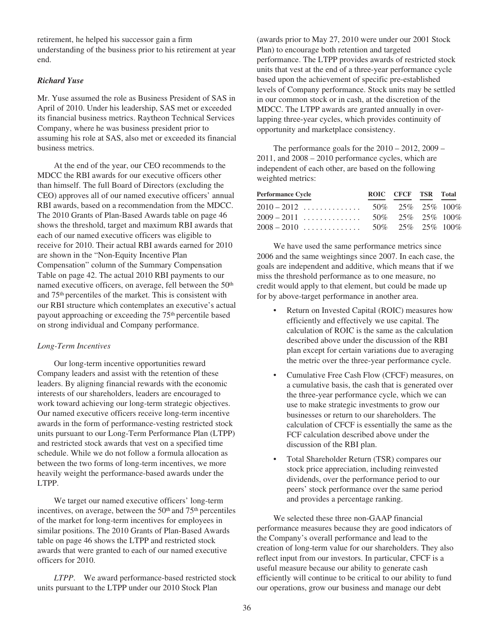retirement, he helped his successor gain a firm understanding of the business prior to his retirement at year end.

# *Richard Yuse*

Mr. Yuse assumed the role as Business President of SAS in April of 2010. Under his leadership, SAS met or exceeded its financial business metrics. Raytheon Technical Services Company, where he was business president prior to assuming his role at SAS, also met or exceeded its financial business metrics.

At the end of the year, our CEO recommends to the MDCC the RBI awards for our executive officers other than himself. The full Board of Directors (excluding the CEO) approves all of our named executive officers' annual RBI awards, based on a recommendation from the MDCC. The 2010 Grants of Plan-Based Awards table on page 46 shows the threshold, target and maximum RBI awards that each of our named executive officers was eligible to receive for 2010. Their actual RBI awards earned for 2010 are shown in the "Non-Equity Incentive Plan Compensation" column of the Summary Compensation Table on page 42. The actual 2010 RBI payments to our named executive officers, on average, fell between the 50<sup>th</sup> and 75th percentiles of the market. This is consistent with our RBI structure which contemplates an executive's actual payout approaching or exceeding the 75th percentile based on strong individual and Company performance.

### *Long-Term Incentives*

Our long-term incentive opportunities reward Company leaders and assist with the retention of these leaders. By aligning financial rewards with the economic interests of our shareholders, leaders are encouraged to work toward achieving our long-term strategic objectives. Our named executive officers receive long-term incentive awards in the form of performance-vesting restricted stock units pursuant to our Long-Term Performance Plan (LTPP) and restricted stock awards that vest on a specified time schedule. While we do not follow a formula allocation as between the two forms of long-term incentives, we more heavily weight the performance-based awards under the LTPP.

We target our named executive officers' long-term incentives, on average, between the  $50<sup>th</sup>$  and  $75<sup>th</sup>$  percentiles of the market for long-term incentives for employees in similar positions. The 2010 Grants of Plan-Based Awards table on page 46 shows the LTPP and restricted stock awards that were granted to each of our named executive officers for 2010.

*LTPP*. We award performance-based restricted stock units pursuant to the LTPP under our 2010 Stock Plan

(awards prior to May 27, 2010 were under our 2001 Stock Plan) to encourage both retention and targeted performance. The LTPP provides awards of restricted stock units that vest at the end of a three-year performance cycle based upon the achievement of specific pre-established levels of Company performance. Stock units may be settled in our common stock or in cash, at the discretion of the MDCC. The LTPP awards are granted annually in overlapping three-year cycles, which provides continuity of opportunity and marketplace consistency.

The performance goals for the 2010 – 2012, 2009 – 2011, and 2008 – 2010 performance cycles, which are independent of each other, are based on the following weighted metrics:

| <b>Performance Cycle</b> | ROIC CFCF TSR Total |  |
|--------------------------|---------------------|--|
|                          |                     |  |
|                          |                     |  |
|                          |                     |  |
|                          |                     |  |

We have used the same performance metrics since 2006 and the same weightings since 2007. In each case, the goals are independent and additive, which means that if we miss the threshold performance as to one measure, no credit would apply to that element, but could be made up for by above-target performance in another area.

- Return on Invested Capital (ROIC) measures how efficiently and effectively we use capital. The calculation of ROIC is the same as the calculation described above under the discussion of the RBI plan except for certain variations due to averaging the metric over the three-year performance cycle.
- Cumulative Free Cash Flow (CFCF) measures, on a cumulative basis, the cash that is generated over the three-year performance cycle, which we can use to make strategic investments to grow our businesses or return to our shareholders. The calculation of CFCF is essentially the same as the FCF calculation described above under the discussion of the RBI plan.
- Total Shareholder Return (TSR) compares our stock price appreciation, including reinvested dividends, over the performance period to our peers' stock performance over the same period and provides a percentage ranking.

We selected these three non-GAAP financial performance measures because they are good indicators of the Company's overall performance and lead to the creation of long-term value for our shareholders. They also reflect input from our investors. In particular, CFCF is a useful measure because our ability to generate cash efficiently will continue to be critical to our ability to fund our operations, grow our business and manage our debt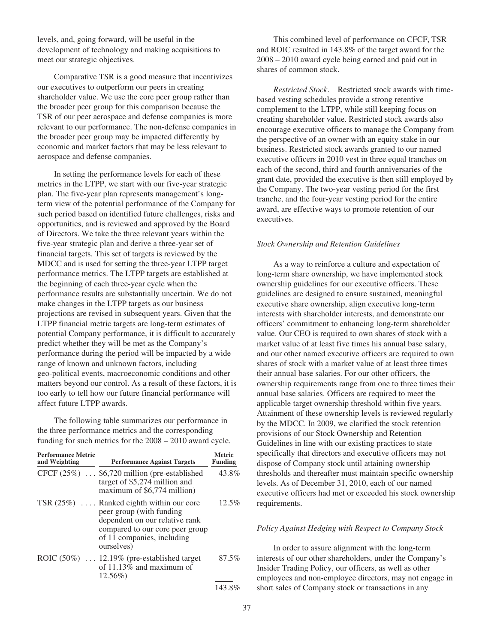levels, and, going forward, will be useful in the development of technology and making acquisitions to meet our strategic objectives.

Comparative TSR is a good measure that incentivizes our executives to outperform our peers in creating shareholder value. We use the core peer group rather than the broader peer group for this comparison because the TSR of our peer aerospace and defense companies is more relevant to our performance. The non-defense companies in the broader peer group may be impacted differently by economic and market factors that may be less relevant to aerospace and defense companies.

In setting the performance levels for each of these metrics in the LTPP, we start with our five-year strategic plan. The five-year plan represents management's longterm view of the potential performance of the Company for such period based on identified future challenges, risks and opportunities, and is reviewed and approved by the Board of Directors. We take the three relevant years within the five-year strategic plan and derive a three-year set of financial targets. This set of targets is reviewed by the MDCC and is used for setting the three-year LTPP target performance metrics. The LTPP targets are established at the beginning of each three-year cycle when the performance results are substantially uncertain. We do not make changes in the LTPP targets as our business projections are revised in subsequent years. Given that the LTPP financial metric targets are long-term estimates of potential Company performance, it is difficult to accurately predict whether they will be met as the Company's performance during the period will be impacted by a wide range of known and unknown factors, including geo-political events, macroeconomic conditions and other matters beyond our control. As a result of these factors, it is too early to tell how our future financial performance will affect future LTPP awards.

The following table summarizes our performance in the three performance metrics and the corresponding funding for such metrics for the 2008 – 2010 award cycle.

| <b>Performance Metric</b><br>and Weighting | <b>Performance Against Targets</b>                                                                                                                                                      | <b>Metric</b><br><b>Funding</b> |
|--------------------------------------------|-----------------------------------------------------------------------------------------------------------------------------------------------------------------------------------------|---------------------------------|
|                                            | CFCF (25%)  \$6,720 million (pre-established<br>target of \$5,274 million and<br>maximum of \$6,774 million)                                                                            | 43.8%                           |
|                                            | TSR $(25\%)$ Ranked eighth within our core<br>peer group (with funding<br>dependent on our relative rank<br>compared to our core peer group<br>of 11 companies, including<br>ourselves) | 12.5%                           |
|                                            | ROIC $(50\%)$ 12.19% (pre-established target<br>of 11.13% and maximum of<br>$12.56\%$                                                                                                   | 87.5%                           |
|                                            |                                                                                                                                                                                         | 143.8%                          |

This combined level of performance on CFCF, TSR and ROIC resulted in 143.8% of the target award for the 2008 – 2010 award cycle being earned and paid out in shares of common stock.

*Restricted Stock*. Restricted stock awards with timebased vesting schedules provide a strong retentive complement to the LTPP, while still keeping focus on creating shareholder value. Restricted stock awards also encourage executive officers to manage the Company from the perspective of an owner with an equity stake in our business. Restricted stock awards granted to our named executive officers in 2010 vest in three equal tranches on each of the second, third and fourth anniversaries of the grant date, provided the executive is then still employed by the Company. The two-year vesting period for the first tranche, and the four-year vesting period for the entire award, are effective ways to promote retention of our executives.

#### *Stock Ownership and Retention Guidelines*

As a way to reinforce a culture and expectation of long-term share ownership, we have implemented stock ownership guidelines for our executive officers. These guidelines are designed to ensure sustained, meaningful executive share ownership, align executive long-term interests with shareholder interests, and demonstrate our officers' commitment to enhancing long-term shareholder value. Our CEO is required to own shares of stock with a market value of at least five times his annual base salary, and our other named executive officers are required to own shares of stock with a market value of at least three times their annual base salaries. For our other officers, the ownership requirements range from one to three times their annual base salaries. Officers are required to meet the applicable target ownership threshold within five years. Attainment of these ownership levels is reviewed regularly by the MDCC. In 2009, we clarified the stock retention provisions of our Stock Ownership and Retention Guidelines in line with our existing practices to state specifically that directors and executive officers may not dispose of Company stock until attaining ownership thresholds and thereafter must maintain specific ownership levels. As of December 31, 2010, each of our named executive officers had met or exceeded his stock ownership requirements.

## *Policy Against Hedging with Respect to Company Stock*

In order to assure alignment with the long-term interests of our other shareholders, under the Company's Insider Trading Policy, our officers, as well as other employees and non-employee directors, may not engage in short sales of Company stock or transactions in any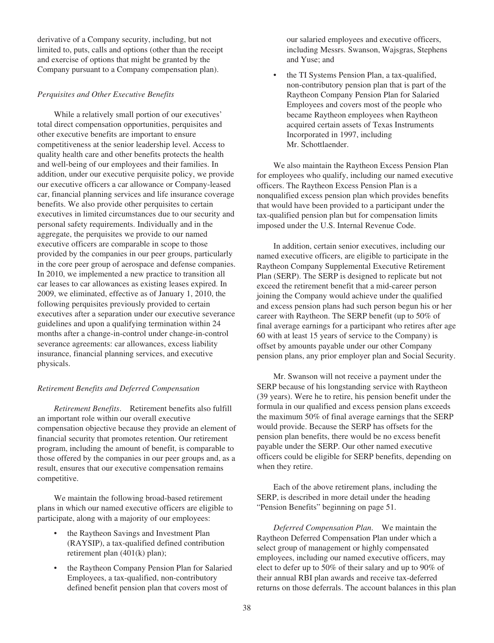derivative of a Company security, including, but not limited to, puts, calls and options (other than the receipt and exercise of options that might be granted by the Company pursuant to a Company compensation plan).

## *Perquisites and Other Executive Benefits*

While a relatively small portion of our executives' total direct compensation opportunities, perquisites and other executive benefits are important to ensure competitiveness at the senior leadership level. Access to quality health care and other benefits protects the health and well-being of our employees and their families. In addition, under our executive perquisite policy, we provide our executive officers a car allowance or Company-leased car, financial planning services and life insurance coverage benefits. We also provide other perquisites to certain executives in limited circumstances due to our security and personal safety requirements. Individually and in the aggregate, the perquisites we provide to our named executive officers are comparable in scope to those provided by the companies in our peer groups, particularly in the core peer group of aerospace and defense companies. In 2010, we implemented a new practice to transition all car leases to car allowances as existing leases expired. In 2009, we eliminated, effective as of January 1, 2010, the following perquisites previously provided to certain executives after a separation under our executive severance guidelines and upon a qualifying termination within 24 months after a change-in-control under change-in-control severance agreements: car allowances, excess liability insurance, financial planning services, and executive physicals.

### *Retirement Benefits and Deferred Compensation*

*Retirement Benefits*. Retirement benefits also fulfill an important role within our overall executive compensation objective because they provide an element of financial security that promotes retention. Our retirement program, including the amount of benefit, is comparable to those offered by the companies in our peer groups and, as a result, ensures that our executive compensation remains competitive.

We maintain the following broad-based retirement plans in which our named executive officers are eligible to participate, along with a majority of our employees:

- the Raytheon Savings and Investment Plan (RAYSIP), a tax-qualified defined contribution retirement plan (401(k) plan);
- the Raytheon Company Pension Plan for Salaried Employees, a tax-qualified, non-contributory defined benefit pension plan that covers most of

our salaried employees and executive officers, including Messrs. Swanson, Wajsgras, Stephens and Yuse; and

• the TI Systems Pension Plan, a tax-qualified, non-contributory pension plan that is part of the Raytheon Company Pension Plan for Salaried Employees and covers most of the people who became Raytheon employees when Raytheon acquired certain assets of Texas Instruments Incorporated in 1997, including Mr. Schottlaender.

We also maintain the Raytheon Excess Pension Plan for employees who qualify, including our named executive officers. The Raytheon Excess Pension Plan is a nonqualified excess pension plan which provides benefits that would have been provided to a participant under the tax-qualified pension plan but for compensation limits imposed under the U.S. Internal Revenue Code.

In addition, certain senior executives, including our named executive officers, are eligible to participate in the Raytheon Company Supplemental Executive Retirement Plan (SERP). The SERP is designed to replicate but not exceed the retirement benefit that a mid-career person joining the Company would achieve under the qualified and excess pension plans had such person begun his or her career with Raytheon. The SERP benefit (up to 50% of final average earnings for a participant who retires after age 60 with at least 15 years of service to the Company) is offset by amounts payable under our other Company pension plans, any prior employer plan and Social Security.

Mr. Swanson will not receive a payment under the SERP because of his longstanding service with Raytheon (39 years). Were he to retire, his pension benefit under the formula in our qualified and excess pension plans exceeds the maximum 50% of final average earnings that the SERP would provide. Because the SERP has offsets for the pension plan benefits, there would be no excess benefit payable under the SERP. Our other named executive officers could be eligible for SERP benefits, depending on when they retire.

Each of the above retirement plans, including the SERP, is described in more detail under the heading "Pension Benefits" beginning on page 51.

*Deferred Compensation Plan*. We maintain the Raytheon Deferred Compensation Plan under which a select group of management or highly compensated employees, including our named executive officers, may elect to defer up to 50% of their salary and up to 90% of their annual RBI plan awards and receive tax-deferred returns on those deferrals. The account balances in this plan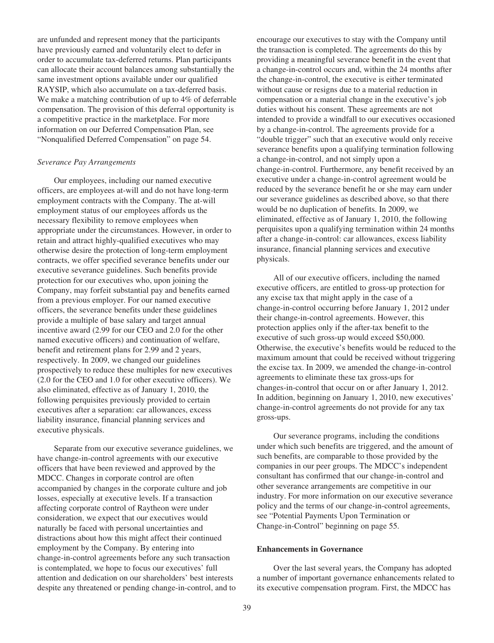are unfunded and represent money that the participants have previously earned and voluntarily elect to defer in order to accumulate tax-deferred returns. Plan participants can allocate their account balances among substantially the same investment options available under our qualified RAYSIP, which also accumulate on a tax-deferred basis. We make a matching contribution of up to 4% of deferrable compensation. The provision of this deferral opportunity is a competitive practice in the marketplace. For more information on our Deferred Compensation Plan, see "Nonqualified Deferred Compensation" on page 54.

#### *Severance Pay Arrangements*

Our employees, including our named executive officers, are employees at-will and do not have long-term employment contracts with the Company. The at-will employment status of our employees affords us the necessary flexibility to remove employees when appropriate under the circumstances. However, in order to retain and attract highly-qualified executives who may otherwise desire the protection of long-term employment contracts, we offer specified severance benefits under our executive severance guidelines. Such benefits provide protection for our executives who, upon joining the Company, may forfeit substantial pay and benefits earned from a previous employer. For our named executive officers, the severance benefits under these guidelines provide a multiple of base salary and target annual incentive award (2.99 for our CEO and 2.0 for the other named executive officers) and continuation of welfare, benefit and retirement plans for 2.99 and 2 years, respectively. In 2009, we changed our guidelines prospectively to reduce these multiples for new executives (2.0 for the CEO and 1.0 for other executive officers). We also eliminated, effective as of January 1, 2010, the following perquisites previously provided to certain executives after a separation: car allowances, excess liability insurance, financial planning services and executive physicals.

Separate from our executive severance guidelines, we have change-in-control agreements with our executive officers that have been reviewed and approved by the MDCC. Changes in corporate control are often accompanied by changes in the corporate culture and job losses, especially at executive levels. If a transaction affecting corporate control of Raytheon were under consideration, we expect that our executives would naturally be faced with personal uncertainties and distractions about how this might affect their continued employment by the Company. By entering into change-in-control agreements before any such transaction is contemplated, we hope to focus our executives' full attention and dedication on our shareholders' best interests despite any threatened or pending change-in-control, and to encourage our executives to stay with the Company until the transaction is completed. The agreements do this by providing a meaningful severance benefit in the event that a change-in-control occurs and, within the 24 months after the change-in-control, the executive is either terminated without cause or resigns due to a material reduction in compensation or a material change in the executive's job duties without his consent. These agreements are not intended to provide a windfall to our executives occasioned by a change-in-control. The agreements provide for a "double trigger" such that an executive would only receive severance benefits upon a qualifying termination following a change-in-control, and not simply upon a change-in-control. Furthermore, any benefit received by an executive under a change-in-control agreement would be reduced by the severance benefit he or she may earn under our severance guidelines as described above, so that there would be no duplication of benefits. In 2009, we eliminated, effective as of January 1, 2010, the following perquisites upon a qualifying termination within 24 months after a change-in-control: car allowances, excess liability insurance, financial planning services and executive physicals.

All of our executive officers, including the named executive officers, are entitled to gross-up protection for any excise tax that might apply in the case of a change-in-control occurring before January 1, 2012 under their change-in-control agreements. However, this protection applies only if the after-tax benefit to the executive of such gross-up would exceed \$50,000. Otherwise, the executive's benefits would be reduced to the maximum amount that could be received without triggering the excise tax. In 2009, we amended the change-in-control agreements to eliminate these tax gross-ups for changes-in-control that occur on or after January 1, 2012. In addition, beginning on January 1, 2010, new executives' change-in-control agreements do not provide for any tax gross-ups.

Our severance programs, including the conditions under which such benefits are triggered, and the amount of such benefits, are comparable to those provided by the companies in our peer groups. The MDCC's independent consultant has confirmed that our change-in-control and other severance arrangements are competitive in our industry. For more information on our executive severance policy and the terms of our change-in-control agreements, see "Potential Payments Upon Termination or Change-in-Control" beginning on page 55.

### **Enhancements in Governance**

Over the last several years, the Company has adopted a number of important governance enhancements related to its executive compensation program. First, the MDCC has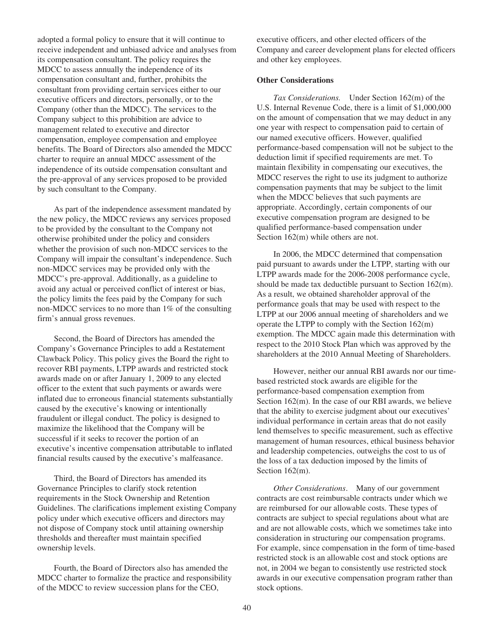adopted a formal policy to ensure that it will continue to receive independent and unbiased advice and analyses from its compensation consultant. The policy requires the MDCC to assess annually the independence of its compensation consultant and, further, prohibits the consultant from providing certain services either to our executive officers and directors, personally, or to the Company (other than the MDCC). The services to the Company subject to this prohibition are advice to management related to executive and director compensation, employee compensation and employee benefits. The Board of Directors also amended the MDCC charter to require an annual MDCC assessment of the independence of its outside compensation consultant and the pre-approval of any services proposed to be provided by such consultant to the Company.

As part of the independence assessment mandated by the new policy, the MDCC reviews any services proposed to be provided by the consultant to the Company not otherwise prohibited under the policy and considers whether the provision of such non-MDCC services to the Company will impair the consultant's independence. Such non-MDCC services may be provided only with the MDCC's pre-approval. Additionally, as a guideline to avoid any actual or perceived conflict of interest or bias, the policy limits the fees paid by the Company for such non-MDCC services to no more than 1% of the consulting firm's annual gross revenues.

Second, the Board of Directors has amended the Company's Governance Principles to add a Restatement Clawback Policy. This policy gives the Board the right to recover RBI payments, LTPP awards and restricted stock awards made on or after January 1, 2009 to any elected officer to the extent that such payments or awards were inflated due to erroneous financial statements substantially caused by the executive's knowing or intentionally fraudulent or illegal conduct. The policy is designed to maximize the likelihood that the Company will be successful if it seeks to recover the portion of an executive's incentive compensation attributable to inflated financial results caused by the executive's malfeasance.

Third, the Board of Directors has amended its Governance Principles to clarify stock retention requirements in the Stock Ownership and Retention Guidelines. The clarifications implement existing Company policy under which executive officers and directors may not dispose of Company stock until attaining ownership thresholds and thereafter must maintain specified ownership levels.

Fourth, the Board of Directors also has amended the MDCC charter to formalize the practice and responsibility of the MDCC to review succession plans for the CEO,

executive officers, and other elected officers of the Company and career development plans for elected officers and other key employees.

## **Other Considerations**

*Tax Considerations.* Under Section 162(m) of the U.S. Internal Revenue Code, there is a limit of \$1,000,000 on the amount of compensation that we may deduct in any one year with respect to compensation paid to certain of our named executive officers. However, qualified performance-based compensation will not be subject to the deduction limit if specified requirements are met. To maintain flexibility in compensating our executives, the MDCC reserves the right to use its judgment to authorize compensation payments that may be subject to the limit when the MDCC believes that such payments are appropriate. Accordingly, certain components of our executive compensation program are designed to be qualified performance-based compensation under Section  $162(m)$  while others are not.

In 2006, the MDCC determined that compensation paid pursuant to awards under the LTPP, starting with our LTPP awards made for the 2006-2008 performance cycle, should be made tax deductible pursuant to Section 162(m). As a result, we obtained shareholder approval of the performance goals that may be used with respect to the LTPP at our 2006 annual meeting of shareholders and we operate the LTPP to comply with the Section 162(m) exemption. The MDCC again made this determination with respect to the 2010 Stock Plan which was approved by the shareholders at the 2010 Annual Meeting of Shareholders.

However, neither our annual RBI awards nor our timebased restricted stock awards are eligible for the performance-based compensation exemption from Section 162(m). In the case of our RBI awards, we believe that the ability to exercise judgment about our executives' individual performance in certain areas that do not easily lend themselves to specific measurement, such as effective management of human resources, ethical business behavior and leadership competencies, outweighs the cost to us of the loss of a tax deduction imposed by the limits of Section 162(m).

*Other Considerations*. Many of our government contracts are cost reimbursable contracts under which we are reimbursed for our allowable costs. These types of contracts are subject to special regulations about what are and are not allowable costs, which we sometimes take into consideration in structuring our compensation programs. For example, since compensation in the form of time-based restricted stock is an allowable cost and stock options are not, in 2004 we began to consistently use restricted stock awards in our executive compensation program rather than stock options.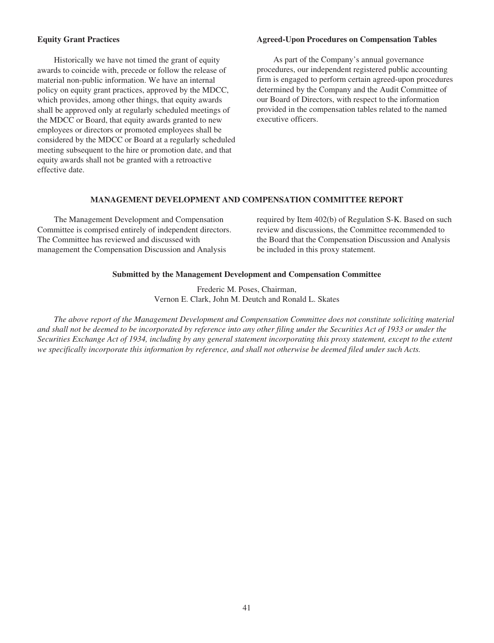## **Equity Grant Practices**

Historically we have not timed the grant of equity awards to coincide with, precede or follow the release of material non-public information. We have an internal policy on equity grant practices, approved by the MDCC, which provides, among other things, that equity awards shall be approved only at regularly scheduled meetings of the MDCC or Board, that equity awards granted to new employees or directors or promoted employees shall be considered by the MDCC or Board at a regularly scheduled meeting subsequent to the hire or promotion date, and that equity awards shall not be granted with a retroactive effective date.

## **Agreed-Upon Procedures on Compensation Tables**

As part of the Company's annual governance procedures, our independent registered public accounting firm is engaged to perform certain agreed-upon procedures determined by the Company and the Audit Committee of our Board of Directors, with respect to the information provided in the compensation tables related to the named executive officers.

## **MANAGEMENT DEVELOPMENT AND COMPENSATION COMMITTEE REPORT**

The Management Development and Compensation Committee is comprised entirely of independent directors. The Committee has reviewed and discussed with management the Compensation Discussion and Analysis

required by Item 402(b) of Regulation S-K. Based on such review and discussions, the Committee recommended to the Board that the Compensation Discussion and Analysis be included in this proxy statement.

### **Submitted by the Management Development and Compensation Committee**

Frederic M. Poses, Chairman, Vernon E. Clark, John M. Deutch and Ronald L. Skates

*The above report of the Management Development and Compensation Committee does not constitute soliciting material and shall not be deemed to be incorporated by reference into any other filing under the Securities Act of 1933 or under the Securities Exchange Act of 1934, including by any general statement incorporating this proxy statement, except to the extent we specifically incorporate this information by reference, and shall not otherwise be deemed filed under such Acts.*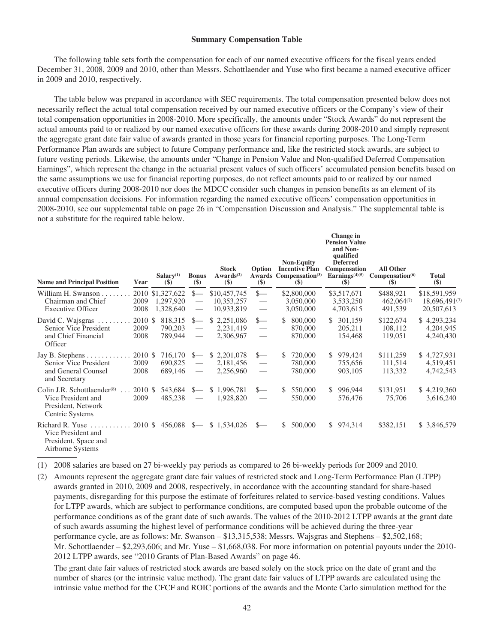#### **Summary Compensation Table**

The following table sets forth the compensation for each of our named executive officers for the fiscal years ended December 31, 2008, 2009 and 2010, other than Messrs. Schottlaender and Yuse who first became a named executive officer in 2009 and 2010, respectively.

The table below was prepared in accordance with SEC requirements. The total compensation presented below does not necessarily reflect the actual total compensation received by our named executive officers or the Company's view of their total compensation opportunities in 2008-2010. More specifically, the amounts under "Stock Awards" do not represent the actual amounts paid to or realized by our named executive officers for these awards during 2008-2010 and simply represent the aggregate grant date fair value of awards granted in those years for financial reporting purposes. The Long-Term Performance Plan awards are subject to future Company performance and, like the restricted stock awards, are subject to future vesting periods. Likewise, the amounts under "Change in Pension Value and Non-qualified Deferred Compensation Earnings", which represent the change in the actuarial present values of such officers' accumulated pension benefits based on the same assumptions we use for financial reporting purposes, do not reflect amounts paid to or realized by our named executive officers during 2008-2010 nor does the MDCC consider such changes in pension benefits as an element of its annual compensation decisions. For information regarding the named executive officers' compensation opportunities in 2008-2010, see our supplemental table on page 26 in "Compensation Discussion and Analysis." The supplemental table is not a substitute for the required table below.

| <b>Name and Principal Position</b>                                                                                 | Year                    | Salarv <sup>(1)</sup><br>$(\$)$            | <b>Bonus</b><br>$(\$)$                         | <b>Stock</b><br>Awards <sup>(2)</sup><br>$($)$ | Option<br>Awards<br>$(\$)$                            |                | <b>Non-Equity</b><br><b>Incentive Plan</b><br>Compensation <sup>(3)</sup><br>$\left( \mathbf{\$}\right)$ | Change in<br><b>Pension Value</b><br>and Non-<br>qualified<br><b>Deferred</b><br>Compensation<br>Earnings $(4)(5)$<br>$($)$ | <b>All Other</b><br>Compensation <sup>(6)</sup><br>$($ \$) | <b>Total</b><br>$(\$)$                      |
|--------------------------------------------------------------------------------------------------------------------|-------------------------|--------------------------------------------|------------------------------------------------|------------------------------------------------|-------------------------------------------------------|----------------|----------------------------------------------------------------------------------------------------------|-----------------------------------------------------------------------------------------------------------------------------|------------------------------------------------------------|---------------------------------------------|
| William H. Swanson<br>Chairman and Chief<br><b>Executive Officer</b>                                               | 2009<br>2008            | 2010 \$1,327,622<br>1,297,920<br>1,328,640 | $s-$<br>$\overline{\phantom{m}}$               | \$10,457,745<br>10,353,257<br>10,933,819       | $s-$<br>$\hspace{0.05cm}$                             |                | \$2,800,000<br>3,050,000<br>3,050,000                                                                    | \$3,517,671<br>3,533,250<br>4,703,615                                                                                       | \$488,921<br>$462,064^{(7)}$<br>491,539                    | \$18,591,959<br>18,696,491(7)<br>20,507,613 |
| David C. Wajsgras<br>Senior Vice President<br>and Chief Financial<br>Officer                                       | 2010 \$<br>2009<br>2008 | 818,315<br>790,203<br>789,944              | $s-$<br>$\overline{\phantom{m}}$               | \$2,251,086<br>2,231,419<br>2,306,967          | $S-$<br>$\overline{\phantom{m}}$<br>$\hspace{0.05cm}$ | $\mathbb{S}^-$ | 800,000<br>870,000<br>870,000                                                                            | \$301,159<br>205,211<br>154,468                                                                                             | \$122,674<br>108,112<br>119,051                            | \$4,293,234<br>4,204,945<br>4,240,430       |
| Jay B. Stephens.<br>Senior Vice President<br>and General Counsel<br>and Secretary                                  | 2010 \$<br>2009<br>2008 | 716,170<br>690,825<br>689,146              | $S-$<br>$\hspace{0.05cm}$<br>$\hspace{0.05cm}$ | \$2,201,078<br>2,181,456<br>2,256,960          | S—<br>$\overline{\phantom{m}}$<br>$\qquad \qquad$     | \$.            | 720,000<br>780,000<br>780,000                                                                            | \$979,424<br>755,656<br>903,105                                                                                             | \$111,259<br>111,514<br>113,332                            | \$4,727,931<br>4,519,451<br>4,742,543       |
| Colin J.R. Schottlaender <sup>(8)</sup><br>$\ldots$<br>Vice President and<br>President, Network<br>Centric Systems | 2010 \$<br>2009         | 543,684<br>485,238                         | $S-$                                           | \$1,996,781<br>1,928,820                       | S—<br>$\overline{\phantom{0}}$                        | \$.            | 550,000<br>550,000                                                                                       | \$996,944<br>576,476                                                                                                        | \$131,951<br>75,706                                        | \$4,219,360<br>3,616,240                    |
| Richard R. Yuse $\ldots$<br>Vice President and<br>President, Space and<br>Airborne Systems                         | 2010 \$                 | $456,088$ \$-                              |                                                | \$1,534,026                                    | $S-$                                                  | \$             | 500,000                                                                                                  | \$974,314                                                                                                                   | \$382,151                                                  | \$ 3,846,579                                |

(1) 2008 salaries are based on 27 bi-weekly pay periods as compared to 26 bi-weekly periods for 2009 and 2010.

(2) Amounts represent the aggregate grant date fair values of restricted stock and Long-Term Performance Plan (LTPP) awards granted in 2010, 2009 and 2008, respectively, in accordance with the accounting standard for share-based payments, disregarding for this purpose the estimate of forfeitures related to service-based vesting conditions. Values for LTPP awards, which are subject to performance conditions, are computed based upon the probable outcome of the performance conditions as of the grant date of such awards. The values of the 2010-2012 LTPP awards at the grant date of such awards assuming the highest level of performance conditions will be achieved during the three-year performance cycle, are as follows: Mr. Swanson – \$13,315,538; Messrs. Wajsgras and Stephens – \$2,502,168; Mr. Schottlaender – \$2,293,606; and Mr. Yuse – \$1,668,038. For more information on potential payouts under the 2010- 2012 LTPP awards, see "2010 Grants of Plan-Based Awards" on page 46.

The grant date fair values of restricted stock awards are based solely on the stock price on the date of grant and the number of shares (or the intrinsic value method). The grant date fair values of LTPP awards are calculated using the intrinsic value method for the CFCF and ROIC portions of the awards and the Monte Carlo simulation method for the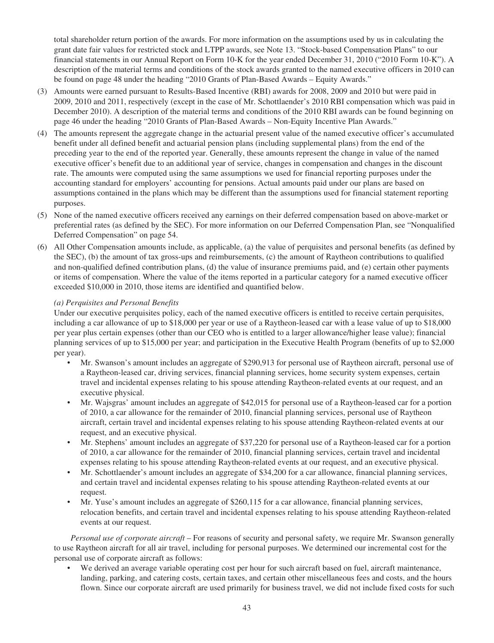total shareholder return portion of the awards. For more information on the assumptions used by us in calculating the grant date fair values for restricted stock and LTPP awards, see Note 13. "Stock-based Compensation Plans" to our financial statements in our Annual Report on Form 10-K for the year ended December 31, 2010 ("2010 Form 10-K"). A description of the material terms and conditions of the stock awards granted to the named executive officers in 2010 can be found on page 48 under the heading "2010 Grants of Plan-Based Awards – Equity Awards."

- (3) Amounts were earned pursuant to Results-Based Incentive (RBI) awards for 2008, 2009 and 2010 but were paid in 2009, 2010 and 2011, respectively (except in the case of Mr. Schottlaender's 2010 RBI compensation which was paid in December 2010). A description of the material terms and conditions of the 2010 RBI awards can be found beginning on page 46 under the heading "2010 Grants of Plan-Based Awards – Non-Equity Incentive Plan Awards."
- (4) The amounts represent the aggregate change in the actuarial present value of the named executive officer's accumulated benefit under all defined benefit and actuarial pension plans (including supplemental plans) from the end of the preceding year to the end of the reported year. Generally, these amounts represent the change in value of the named executive officer's benefit due to an additional year of service, changes in compensation and changes in the discount rate. The amounts were computed using the same assumptions we used for financial reporting purposes under the accounting standard for employers' accounting for pensions. Actual amounts paid under our plans are based on assumptions contained in the plans which may be different than the assumptions used for financial statement reporting purposes.
- (5) None of the named executive officers received any earnings on their deferred compensation based on above-market or preferential rates (as defined by the SEC). For more information on our Deferred Compensation Plan, see "Nonqualified Deferred Compensation" on page 54.
- (6) All Other Compensation amounts include, as applicable, (a) the value of perquisites and personal benefits (as defined by the SEC), (b) the amount of tax gross-ups and reimbursements, (c) the amount of Raytheon contributions to qualified and non-qualified defined contribution plans, (d) the value of insurance premiums paid, and (e) certain other payments or items of compensation. Where the value of the items reported in a particular category for a named executive officer exceeded \$10,000 in 2010, those items are identified and quantified below.

## *(a) Perquisites and Personal Benefits*

Under our executive perquisites policy, each of the named executive officers is entitled to receive certain perquisites, including a car allowance of up to \$18,000 per year or use of a Raytheon-leased car with a lease value of up to \$18,000 per year plus certain expenses (other than our CEO who is entitled to a larger allowance/higher lease value); financial planning services of up to \$15,000 per year; and participation in the Executive Health Program (benefits of up to \$2,000 per year).

- Mr. Swanson's amount includes an aggregate of \$290,913 for personal use of Raytheon aircraft, personal use of a Raytheon-leased car, driving services, financial planning services, home security system expenses, certain travel and incidental expenses relating to his spouse attending Raytheon-related events at our request, and an executive physical.
- Mr. Wajsgras' amount includes an aggregate of \$42,015 for personal use of a Raytheon-leased car for a portion of 2010, a car allowance for the remainder of 2010, financial planning services, personal use of Raytheon aircraft, certain travel and incidental expenses relating to his spouse attending Raytheon-related events at our request, and an executive physical.
- Mr. Stephens' amount includes an aggregate of \$37,220 for personal use of a Raytheon-leased car for a portion of 2010, a car allowance for the remainder of 2010, financial planning services, certain travel and incidental expenses relating to his spouse attending Raytheon-related events at our request, and an executive physical.
- Mr. Schottlaender's amount includes an aggregate of \$34,200 for a car allowance, financial planning services, and certain travel and incidental expenses relating to his spouse attending Raytheon-related events at our request.
- Mr. Yuse's amount includes an aggregate of \$260,115 for a car allowance, financial planning services, relocation benefits, and certain travel and incidental expenses relating to his spouse attending Raytheon-related events at our request.

*Personal use of corporate aircraft* – For reasons of security and personal safety, we require Mr. Swanson generally to use Raytheon aircraft for all air travel, including for personal purposes. We determined our incremental cost for the personal use of corporate aircraft as follows:

• We derived an average variable operating cost per hour for such aircraft based on fuel, aircraft maintenance, landing, parking, and catering costs, certain taxes, and certain other miscellaneous fees and costs, and the hours flown. Since our corporate aircraft are used primarily for business travel, we did not include fixed costs for such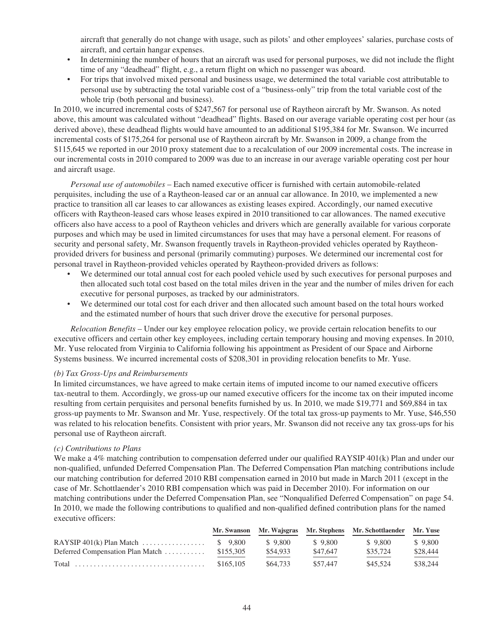aircraft that generally do not change with usage, such as pilots' and other employees' salaries, purchase costs of aircraft, and certain hangar expenses.

- In determining the number of hours that an aircraft was used for personal purposes, we did not include the flight time of any "deadhead" flight, e.g., a return flight on which no passenger was aboard.
- For trips that involved mixed personal and business usage, we determined the total variable cost attributable to personal use by subtracting the total variable cost of a "business-only" trip from the total variable cost of the whole trip (both personal and business).

In 2010, we incurred incremental costs of \$247,567 for personal use of Raytheon aircraft by Mr. Swanson. As noted above, this amount was calculated without "deadhead" flights. Based on our average variable operating cost per hour (as derived above), these deadhead flights would have amounted to an additional \$195,384 for Mr. Swanson. We incurred incremental costs of \$175,264 for personal use of Raytheon aircraft by Mr. Swanson in 2009, a change from the \$115,645 we reported in our 2010 proxy statement due to a recalculation of our 2009 incremental costs. The increase in our incremental costs in 2010 compared to 2009 was due to an increase in our average variable operating cost per hour and aircraft usage.

*Personal use of automobiles* – Each named executive officer is furnished with certain automobile-related perquisites, including the use of a Raytheon-leased car or an annual car allowance. In 2010, we implemented a new practice to transition all car leases to car allowances as existing leases expired. Accordingly, our named executive officers with Raytheon-leased cars whose leases expired in 2010 transitioned to car allowances. The named executive officers also have access to a pool of Raytheon vehicles and drivers which are generally available for various corporate purposes and which may be used in limited circumstances for uses that may have a personal element. For reasons of security and personal safety, Mr. Swanson frequently travels in Raytheon-provided vehicles operated by Raytheonprovided drivers for business and personal (primarily commuting) purposes. We determined our incremental cost for personal travel in Raytheon-provided vehicles operated by Raytheon-provided drivers as follows:

- We determined our total annual cost for each pooled vehicle used by such executives for personal purposes and then allocated such total cost based on the total miles driven in the year and the number of miles driven for each executive for personal purposes, as tracked by our administrators.
- We determined our total cost for each driver and then allocated such amount based on the total hours worked and the estimated number of hours that such driver drove the executive for personal purposes.

*Relocation Benefits* – Under our key employee relocation policy, we provide certain relocation benefits to our executive officers and certain other key employees, including certain temporary housing and moving expenses. In 2010, Mr. Yuse relocated from Virginia to California following his appointment as President of our Space and Airborne Systems business. We incurred incremental costs of \$208,301 in providing relocation benefits to Mr. Yuse.

### *(b) Tax Gross-Ups and Reimbursements*

In limited circumstances, we have agreed to make certain items of imputed income to our named executive officers tax-neutral to them. Accordingly, we gross-up our named executive officers for the income tax on their imputed income resulting from certain perquisites and personal benefits furnished by us. In 2010, we made \$19,771 and \$69,884 in tax gross-up payments to Mr. Swanson and Mr. Yuse, respectively. Of the total tax gross-up payments to Mr. Yuse, \$46,550 was related to his relocation benefits. Consistent with prior years, Mr. Swanson did not receive any tax gross-ups for his personal use of Raytheon aircraft.

### *(c) Contributions to Plans*

We make a 4% matching contribution to compensation deferred under our qualified RAYSIP 401(k) Plan and under our non-qualified, unfunded Deferred Compensation Plan. The Deferred Compensation Plan matching contributions include our matching contribution for deferred 2010 RBI compensation earned in 2010 but made in March 2011 (except in the case of Mr. Schottlaender's 2010 RBI compensation which was paid in December 2010). For information on our matching contributions under the Deferred Compensation Plan, see "Nonqualified Deferred Compensation" on page 54. In 2010, we made the following contributions to qualified and non-qualified defined contribution plans for the named executive officers:

|                                      |           |          |          | Mr. Swanson Mr. Wajsgras Mr. Stephens Mr. Schottlaender Mr. Yuse |          |
|--------------------------------------|-----------|----------|----------|------------------------------------------------------------------|----------|
| RAYSIP $401(k)$ Plan Match  \$ 9,800 |           | \$9.800  | \$9.800  | \$9.800                                                          | \$9.800  |
| Deferred Compensation Plan Match     | \$155,305 | \$54,933 | \$47.647 | \$35,724                                                         | \$28,444 |
|                                      | \$165,105 | \$64,733 | \$57.447 | \$45,524                                                         | \$38,244 |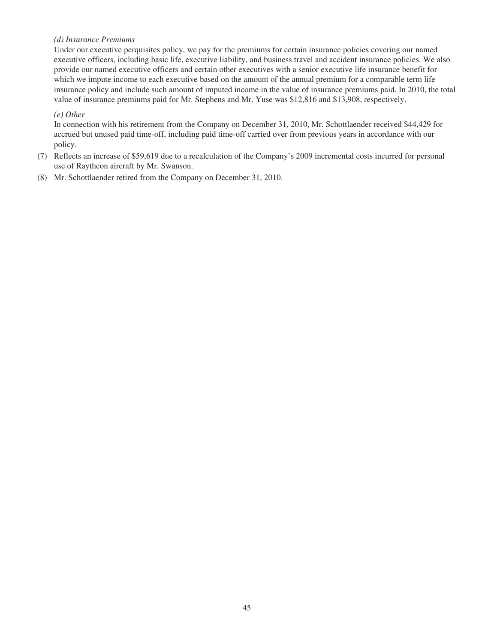## *(d) Insurance Premiums*

Under our executive perquisites policy, we pay for the premiums for certain insurance policies covering our named executive officers, including basic life, executive liability, and business travel and accident insurance policies. We also provide our named executive officers and certain other executives with a senior executive life insurance benefit for which we impute income to each executive based on the amount of the annual premium for a comparable term life insurance policy and include such amount of imputed income in the value of insurance premiums paid. In 2010, the total value of insurance premiums paid for Mr. Stephens and Mr. Yuse was \$12,816 and \$13,908, respectively.

## *(e) Other*

In connection with his retirement from the Company on December 31, 2010, Mr. Schottlaender received \$44,429 for accrued but unused paid time-off, including paid time-off carried over from previous years in accordance with our policy.

- (7) Reflects an increase of \$59,619 due to a recalculation of the Company's 2009 incremental costs incurred for personal use of Raytheon aircraft by Mr. Swanson.
- (8) Mr. Schottlaender retired from the Company on December 31, 2010.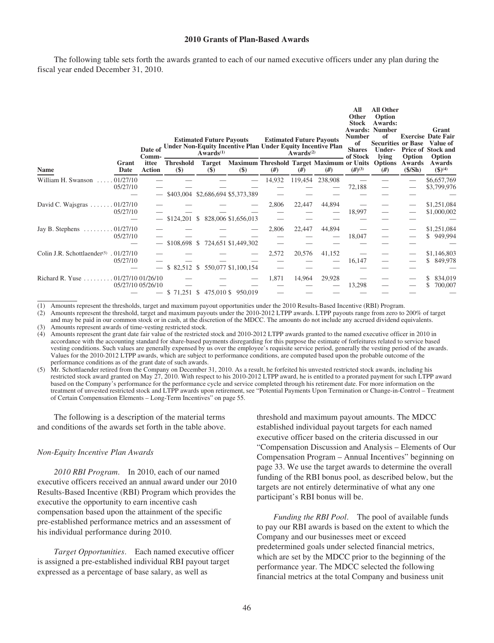### **2010 Grants of Plan-Based Awards**

The following table sets forth the awards granted to each of our named executive officers under any plan during the fiscal year ended December 31, 2010.

|                                                                 |                                                              | Date of<br>Comm-       |                           | <b>Estimated Future Payouts</b><br>$Awards^{(1)}$ | <b>Under Non-Equity Incentive Plan Under Equity Incentive Plan</b>               |        | Awards $(2)$ | <b>Estimated Future Payouts</b> | All<br>Other<br><b>Stock</b><br><b>Number</b><br>of<br><b>Shares</b><br>of Stock | <b>All Other</b><br>Option<br>Awards:<br><b>Awards: Number</b><br>of<br><b>Securities or Base</b><br><b>Under-</b><br>lving | Option           | Grant<br><b>Exercise Date Fair</b><br>Value of<br>Price of Stock and<br>Option |
|-----------------------------------------------------------------|--------------------------------------------------------------|------------------------|---------------------------|---------------------------------------------------|----------------------------------------------------------------------------------|--------|--------------|---------------------------------|----------------------------------------------------------------------------------|-----------------------------------------------------------------------------------------------------------------------------|------------------|--------------------------------------------------------------------------------|
| <b>Name</b>                                                     | Grant<br>Date                                                | ittee<br><b>Action</b> | <b>Threshold</b><br>$($)$ | <b>Target</b><br>$($)$                            | Maximum Threshold Target Maximum or Units Options<br>$\left( \mathbf{\$}\right)$ | #)     | #            | #)                              | $(#)^{(3)}$                                                                      | #)                                                                                                                          | Awards<br>(S/Sh) | Awards<br>$$^{(4)}$$                                                           |
| William H. Swanson                                              | 01/27/10<br>05/27/10                                         |                        |                           |                                                   | \$403,004 \$2,686,694 \$5,373,389                                                | 14,932 | 119,454      | 238,908                         | 72,188                                                                           |                                                                                                                             |                  | \$6,657,769<br>\$3,799,976                                                     |
| David C. Wajsgras $\ldots \ldots \ldots 01/27/10$               | 05/27/10                                                     |                        | $$124,201$ \$             |                                                   | 828,006 \$1,656,013                                                              | 2,806  | 22,447       | 44,894                          | 18,997                                                                           |                                                                                                                             |                  | \$1,251,084<br>\$1,000,002                                                     |
| Jay B. Stephens                                                 | .01/27/10<br>05/27/10                                        |                        |                           |                                                   | \$108,698 \$724,651 \$1,449,302                                                  | 2,806  | 22,447       | 44,894                          | 18,047                                                                           |                                                                                                                             |                  | \$1,251,084<br>\$949,994                                                       |
| Colin J.R. Schottlaender <sup><math>(5)</math></sup> . 01/27/10 | 05/27/10                                                     |                        | \$82,512                  | S.                                                | 550,077 \$1,100,154                                                              | 2,572  | 20,576       | 41,152                          | 16,147                                                                           |                                                                                                                             |                  | \$1,146,803<br>\$ 849,978                                                      |
| Richard R. Yuse                                                 | $\ldots \ldots \ldots 01/27/1001/26/10$<br>05/27/10 05/26/10 |                        |                           |                                                   | \$71,251 \$475,010 \$950,019                                                     | 1,871  | 14,964       | 29,928                          | 13,298                                                                           |                                                                                                                             |                  | 834,019<br>700,007                                                             |

(1) Amounts represent the thresholds, target and maximum payout opportunities under the 2010 Results-Based Incentive (RBI) Program.

(2) Amounts represent the threshold, target and maximum payouts under the 2010-2012 LTPP awards. LTPP payouts range from zero to 200% of target and may be paid in our common stock or in cash, at the discretion of the MDCC. The amounts do not include any accrued dividend equivalents.

(3) Amounts represent awards of time-vesting restricted stock.

(4) Amounts represent the grant date fair value of the restricted stock and 2010-2012 LTPP awards granted to the named executive officer in 2010 in accordance with the accounting standard for share-based payments disregarding for this purpose the estimate of forfeitures related to service based vesting conditions. Such values are generally expensed by us over the employee's requisite service period, generally the vesting period of the awards. Values for the 2010-2012 LTPP awards, which are subject to performance conditions, are computed based upon the probable outcome of the performance conditions as of the grant date of such awards.

(5) Mr. Schottlaender retired from the Company on December 31, 2010. As a result, he forfeited his unvested restricted stock awards, including his restricted stock award granted on May 27, 2010. With respect to his 2010-2012 LTPP award, he is entitled to a prorated payment for such LTPP award based on the Company's performance for the performance cycle and service completed through his retirement date. For more information on the treatment of unvested restricted stock and LTPP awards upon retirement, see "Potential Payments Upon Termination or Change-in-Control – Treatment of Certain Compensation Elements – Long-Term Incentives" on page 55.

The following is a description of the material terms and conditions of the awards set forth in the table above.

#### *Non-Equity Incentive Plan Awards*

*2010 RBI Program*. In 2010, each of our named executive officers received an annual award under our 2010 Results-Based Incentive (RBI) Program which provides the executive the opportunity to earn incentive cash compensation based upon the attainment of the specific pre-established performance metrics and an assessment of his individual performance during 2010.

*Target Opportunities*. Each named executive officer is assigned a pre-established individual RBI payout target expressed as a percentage of base salary, as well as

threshold and maximum payout amounts. The MDCC established individual payout targets for each named executive officer based on the criteria discussed in our "Compensation Discussion and Analysis – Elements of Our Compensation Program – Annual Incentives" beginning on page 33. We use the target awards to determine the overall funding of the RBI bonus pool, as described below, but the targets are not entirely determinative of what any one participant's RBI bonus will be.

*Funding the RBI Pool*. The pool of available funds to pay our RBI awards is based on the extent to which the Company and our businesses meet or exceed predetermined goals under selected financial metrics, which are set by the MDCC prior to the beginning of the performance year. The MDCC selected the following financial metrics at the total Company and business unit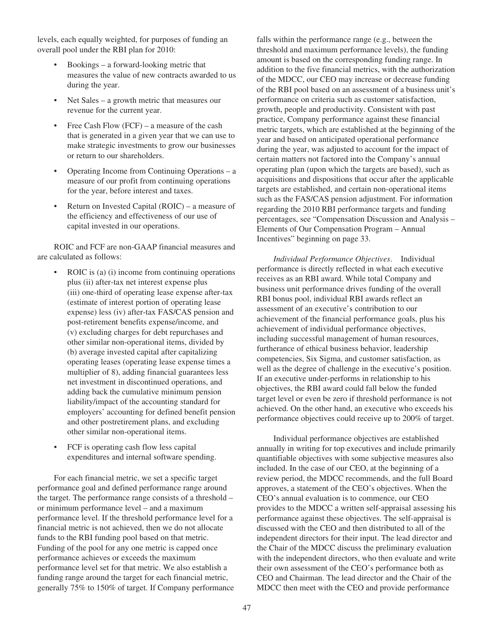levels, each equally weighted, for purposes of funding an overall pool under the RBI plan for 2010:

- Bookings a forward-looking metric that measures the value of new contracts awarded to us during the year.
- Net Sales a growth metric that measures our revenue for the current year.
- Free Cash Flow (FCF) a measure of the cash that is generated in a given year that we can use to make strategic investments to grow our businesses or return to our shareholders.
- Operating Income from Continuing Operations a measure of our profit from continuing operations for the year, before interest and taxes.
- Return on Invested Capital (ROIC) a measure of the efficiency and effectiveness of our use of capital invested in our operations.

ROIC and FCF are non-GAAP financial measures and are calculated as follows:

- ROIC is (a) (i) income from continuing operations plus (ii) after-tax net interest expense plus (iii) one-third of operating lease expense after-tax (estimate of interest portion of operating lease expense) less (iv) after-tax FAS/CAS pension and post-retirement benefits expense/income, and (v) excluding charges for debt repurchases and other similar non-operational items, divided by (b) average invested capital after capitalizing operating leases (operating lease expense times a multiplier of 8), adding financial guarantees less net investment in discontinued operations, and adding back the cumulative minimum pension liability/impact of the accounting standard for employers' accounting for defined benefit pension and other postretirement plans, and excluding other similar non-operational items.
- FCF is operating cash flow less capital expenditures and internal software spending.

For each financial metric, we set a specific target performance goal and defined performance range around the target. The performance range consists of a threshold – or minimum performance level – and a maximum performance level. If the threshold performance level for a financial metric is not achieved, then we do not allocate funds to the RBI funding pool based on that metric. Funding of the pool for any one metric is capped once performance achieves or exceeds the maximum performance level set for that metric. We also establish a funding range around the target for each financial metric, generally 75% to 150% of target. If Company performance falls within the performance range (e.g., between the threshold and maximum performance levels), the funding amount is based on the corresponding funding range. In addition to the five financial metrics, with the authorization of the MDCC, our CEO may increase or decrease funding of the RBI pool based on an assessment of a business unit's performance on criteria such as customer satisfaction, growth, people and productivity. Consistent with past practice, Company performance against these financial metric targets, which are established at the beginning of the year and based on anticipated operational performance during the year, was adjusted to account for the impact of certain matters not factored into the Company's annual operating plan (upon which the targets are based), such as acquisitions and dispositions that occur after the applicable targets are established, and certain non-operational items such as the FAS/CAS pension adjustment. For information regarding the 2010 RBI performance targets and funding percentages, see "Compensation Discussion and Analysis – Elements of Our Compensation Program – Annual Incentives" beginning on page 33.

*Individual Performance Objectives*. Individual performance is directly reflected in what each executive receives as an RBI award. While total Company and business unit performance drives funding of the overall RBI bonus pool, individual RBI awards reflect an assessment of an executive's contribution to our achievement of the financial performance goals, plus his achievement of individual performance objectives, including successful management of human resources, furtherance of ethical business behavior, leadership competencies, Six Sigma, and customer satisfaction, as well as the degree of challenge in the executive's position. If an executive under-performs in relationship to his objectives, the RBI award could fall below the funded target level or even be zero if threshold performance is not achieved. On the other hand, an executive who exceeds his performance objectives could receive up to 200% of target.

Individual performance objectives are established annually in writing for top executives and include primarily quantifiable objectives with some subjective measures also included. In the case of our CEO, at the beginning of a review period, the MDCC recommends, and the full Board approves, a statement of the CEO's objectives. When the CEO's annual evaluation is to commence, our CEO provides to the MDCC a written self-appraisal assessing his performance against these objectives. The self-appraisal is discussed with the CEO and then distributed to all of the independent directors for their input. The lead director and the Chair of the MDCC discuss the preliminary evaluation with the independent directors, who then evaluate and write their own assessment of the CEO's performance both as CEO and Chairman. The lead director and the Chair of the MDCC then meet with the CEO and provide performance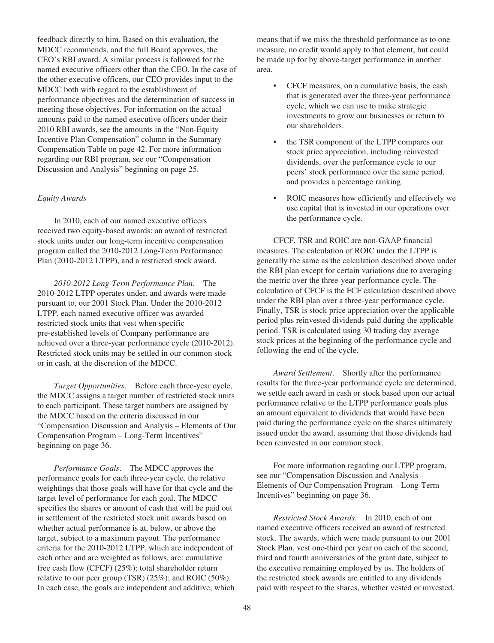feedback directly to him. Based on this evaluation, the MDCC recommends, and the full Board approves, the CEO's RBI award. A similar process is followed for the named executive officers other than the CEO. In the case of the other executive officers, our CEO provides input to the MDCC both with regard to the establishment of performance objectives and the determination of success in meeting those objectives. For information on the actual amounts paid to the named executive officers under their 2010 RBI awards, see the amounts in the "Non-Equity Incentive Plan Compensation" column in the Summary Compensation Table on page 42. For more information regarding our RBI program, see our "Compensation Discussion and Analysis" beginning on page 25.

### *Equity Awards*

In 2010, each of our named executive officers received two equity-based awards: an award of restricted stock units under our long-term incentive compensation program called the 2010-2012 Long-Term Performance Plan (2010-2012 LTPP), and a restricted stock award.

*2010-2012 Long-Term Performance Plan*. The 2010-2012 LTPP operates under, and awards were made pursuant to, our 2001 Stock Plan. Under the 2010-2012 LTPP, each named executive officer was awarded restricted stock units that vest when specific pre-established levels of Company performance are achieved over a three-year performance cycle (2010-2012). Restricted stock units may be settled in our common stock or in cash, at the discretion of the MDCC.

*Target Opportunities*. Before each three-year cycle, the MDCC assigns a target number of restricted stock units to each participant. These target numbers are assigned by the MDCC based on the criteria discussed in our "Compensation Discussion and Analysis – Elements of Our Compensation Program – Long-Term Incentives" beginning on page 36.

*Performance Goals*. The MDCC approves the performance goals for each three-year cycle, the relative weightings that those goals will have for that cycle and the target level of performance for each goal. The MDCC specifies the shares or amount of cash that will be paid out in settlement of the restricted stock unit awards based on whether actual performance is at, below, or above the target, subject to a maximum payout. The performance criteria for the 2010-2012 LTPP, which are independent of each other and are weighted as follows, are: cumulative free cash flow (CFCF) (25%); total shareholder return relative to our peer group (TSR) (25%); and ROIC (50%). In each case, the goals are independent and additive, which means that if we miss the threshold performance as to one measure, no credit would apply to that element, but could be made up for by above-target performance in another area.

- CFCF measures, on a cumulative basis, the cash that is generated over the three-year performance cycle, which we can use to make strategic investments to grow our businesses or return to our shareholders.
- the TSR component of the LTPP compares our stock price appreciation, including reinvested dividends, over the performance cycle to our peers' stock performance over the same period, and provides a percentage ranking.
- ROIC measures how efficiently and effectively we use capital that is invested in our operations over the performance cycle.

CFCF, TSR and ROIC are non-GAAP financial measures. The calculation of ROIC under the LTPP is generally the same as the calculation described above under the RBI plan except for certain variations due to averaging the metric over the three-year performance cycle. The calculation of CFCF is the FCF calculation described above under the RBI plan over a three-year performance cycle. Finally, TSR is stock price appreciation over the applicable period plus reinvested dividends paid during the applicable period. TSR is calculated using 30 trading day average stock prices at the beginning of the performance cycle and following the end of the cycle.

*Award Settlement*. Shortly after the performance results for the three-year performance cycle are determined, we settle each award in cash or stock based upon our actual performance relative to the LTPP performance goals plus an amount equivalent to dividends that would have been paid during the performance cycle on the shares ultimately issued under the award, assuming that those dividends had been reinvested in our common stock.

For more information regarding our LTPP program, see our "Compensation Discussion and Analysis – Elements of Our Compensation Program – Long-Term Incentives" beginning on page 36.

*Restricted Stock Awards*. In 2010, each of our named executive officers received an award of restricted stock. The awards, which were made pursuant to our 2001 Stock Plan, vest one-third per year on each of the second, third and fourth anniversaries of the grant date, subject to the executive remaining employed by us. The holders of the restricted stock awards are entitled to any dividends paid with respect to the shares, whether vested or unvested.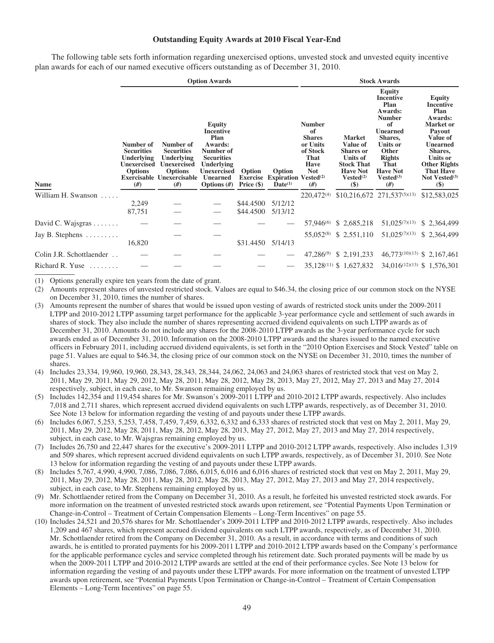#### **Outstanding Equity Awards at 2010 Fiscal Year-End**

The following table sets forth information regarding unexercised options, unvested stock and unvested equity incentive plan awards for each of our named executive officers outstanding as of December 31, 2010.

|                                 |                                                                                            |                                                                                                                                | <b>Option Awards</b>                                                                                                                                    |                                           |                                                                            | <b>Stock Awards</b>                                                                              |                                                                                                                                             |                                                                                                                                                                                                           |                                                                                                                                                                                                                         |  |
|---------------------------------|--------------------------------------------------------------------------------------------|--------------------------------------------------------------------------------------------------------------------------------|---------------------------------------------------------------------------------------------------------------------------------------------------------|-------------------------------------------|----------------------------------------------------------------------------|--------------------------------------------------------------------------------------------------|---------------------------------------------------------------------------------------------------------------------------------------------|-----------------------------------------------------------------------------------------------------------------------------------------------------------------------------------------------------------|-------------------------------------------------------------------------------------------------------------------------------------------------------------------------------------------------------------------------|--|
| <b>Name</b>                     | Number of<br><b>Securities</b><br>Underlying<br><b>Unexercised</b><br><b>Options</b><br>#) | Number of<br><b>Securities</b><br>Underlying<br><b>Unexercised</b><br><b>Options</b><br><b>Exercisable Unexercisable</b><br>#) | Equity<br><b>Incentive</b><br>Plan<br>Awards:<br>Number of<br><b>Securities</b><br>Underlying<br><b>Unexercised</b><br><b>Unearned</b><br>Options $(H)$ | Option<br><b>Exercise</b><br>Price $(\$)$ | Option<br><b>Expiration Vested</b> <sup>(2)</sup><br>$\mathbf{Date}^{(1)}$ | <b>Number</b><br>of<br><b>Shares</b><br>or Units<br>of Stock<br>That<br>Have<br><b>Not</b><br>#) | <b>Market</b><br>Value of<br><b>Shares</b> or<br><b>Units of</b><br><b>Stock That</b><br><b>Have Not</b><br>Vested <sup>(2)</sup><br>$(\$)$ | Equity<br><b>Incentive</b><br>Plan<br><b>Awards:</b><br><b>Number</b><br>of<br><b>Unearned</b><br>Shares,<br><b>Units or</b><br>Other<br><b>Rights</b><br>That<br><b>Have Not</b><br>$Vested^{(3)}$<br>#) | <b>Equity</b><br><b>Incentive</b><br>Plan<br>Awards:<br><b>Market</b> or<br>Payout<br>Value of<br><b>Unearned</b><br>Shares,<br>Units or<br><b>Other Rights</b><br><b>That Have</b><br>Not Vested <sup>(3)</sup><br>\$) |  |
| William H. Swanson              |                                                                                            |                                                                                                                                |                                                                                                                                                         |                                           |                                                                            | 220,472(4)                                                                                       |                                                                                                                                             | \$10,216,672 271,537(5)(13)                                                                                                                                                                               | \$12,583,025                                                                                                                                                                                                            |  |
|                                 | 2,249                                                                                      |                                                                                                                                |                                                                                                                                                         | \$44.4500                                 | 5/12/12                                                                    |                                                                                                  |                                                                                                                                             |                                                                                                                                                                                                           |                                                                                                                                                                                                                         |  |
|                                 | 87,751                                                                                     |                                                                                                                                |                                                                                                                                                         | \$44.4500                                 | 5/13/12                                                                    |                                                                                                  |                                                                                                                                             |                                                                                                                                                                                                           |                                                                                                                                                                                                                         |  |
| David C. Wajsgras $\dots \dots$ |                                                                                            |                                                                                                                                |                                                                                                                                                         |                                           |                                                                            | 57,946 <sup>(6)</sup>                                                                            | \$2,685,218                                                                                                                                 | $51,025^{(7)(13)}$                                                                                                                                                                                        | \$2,364,499                                                                                                                                                                                                             |  |
| Jay B. Stephens $\dots \dots$   |                                                                                            |                                                                                                                                |                                                                                                                                                         |                                           |                                                                            | 55,052 <sup>(8)</sup>                                                                            | \$2,551,110                                                                                                                                 | $51,025^{(7)(13)}$                                                                                                                                                                                        | \$2,364,499                                                                                                                                                                                                             |  |
|                                 | 16,820                                                                                     |                                                                                                                                |                                                                                                                                                         | \$31.4450 5/14/13                         |                                                                            |                                                                                                  |                                                                                                                                             |                                                                                                                                                                                                           |                                                                                                                                                                                                                         |  |
| Colin J.R. Schottlaender        |                                                                                            |                                                                                                                                |                                                                                                                                                         |                                           |                                                                            |                                                                                                  | 47,286 <sup>(9)</sup> \$ 2,191,233                                                                                                          |                                                                                                                                                                                                           | 46,773(10)(13) \$ 2,167,461                                                                                                                                                                                             |  |
| Richard R. Yuse                 |                                                                                            |                                                                                                                                |                                                                                                                                                         |                                           |                                                                            |                                                                                                  | 35,128 <sup>(11)</sup> \$ 1,627,832                                                                                                         |                                                                                                                                                                                                           | 34,016 <sup>(12)(13)</sup> \$ 1,576,301                                                                                                                                                                                 |  |

(1) Options generally expire ten years from the date of grant.

(2) Amounts represent shares of unvested restricted stock. Values are equal to \$46.34, the closing price of our common stock on the NYSE on December 31, 2010, times the number of shares.

- (3) Amounts represent the number of shares that would be issued upon vesting of awards of restricted stock units under the 2009-2011 LTPP and 2010-2012 LTPP assuming target performance for the applicable 3-year performance cycle and settlement of such awards in shares of stock. They also include the number of shares representing accrued dividend equivalents on such LTPP awards as of December 31, 2010. Amounts do not include any shares for the 2008-2010 LTPP awards as the 3-year performance cycle for such awards ended as of December 31, 2010. Information on the 2008-2010 LTPP awards and the shares issued to the named executive officers in February 2011, including accrued dividend equivalents, is set forth in the "2010 Option Exercises and Stock Vested" table on page 51. Values are equal to \$46.34, the closing price of our common stock on the NYSE on December 31, 2010, times the number of shares.
- (4) Includes 23,334, 19,960, 19,960, 28,343, 28,343, 28,344, 24,062, 24,063 and 24,063 shares of restricted stock that vest on May 2, 2011, May 29, 2011, May 29, 2012, May 28, 2011, May 28, 2012, May 28, 2013, May 27, 2012, May 27, 2013 and May 27, 2014 respectively, subject, in each case, to Mr. Swanson remaining employed by us.
- (5) Includes 142,354 and 119,454 shares for Mr. Swanson's 2009-2011 LTPP and 2010-2012 LTPP awards, respectively. Also includes 7,018 and 2,711 shares, which represent accrued dividend equivalents on such LTPP awards, respectively, as of December 31, 2010. See Note 13 below for information regarding the vesting of and payouts under these LTPP awards.
- (6) Includes 6,067, 5,253, 5,253, 7,458, 7,459, 7,459, 6,332, 6,332 and 6,333 shares of restricted stock that vest on May 2, 2011, May 29, 2011, May 29, 2012, May 28, 2011, May 28, 2012, May 28, 2013, May 27, 2012, May 27, 2013 and May 27, 2014 respectively, subject, in each case, to Mr. Wajsgras remaining employed by us.
- (7) Includes 26,750 and 22,447 shares for the executive's 2009-2011 LTPP and 2010-2012 LTPP awards, respectively. Also includes 1,319 and 509 shares, which represent accrued dividend equivalents on such LTPP awards, respectively, as of December 31, 2010. See Note 13 below for information regarding the vesting of and payouts under these LTPP awards.
- (8) Includes 5,767, 4,990, 4,990, 7,086, 7,086, 7,086, 6,015, 6,016 and 6,016 shares of restricted stock that vest on May 2, 2011, May 29, 2011, May 29, 2012, May 28, 2011, May 28, 2012, May 28, 2013, May 27, 2012, May 27, 2013 and May 27, 2014 respectively, subject, in each case, to Mr. Stephens remaining employed by us.
- (9) Mr. Schottlaender retired from the Company on December 31, 2010. As a result, he forfeited his unvested restricted stock awards. For more information on the treatment of unvested restricted stock awards upon retirement, see "Potential Payments Upon Termination or Change-in-Control – Treatment of Certain Compensation Elements – Long-Term Incentives" on page 55.
- (10) Includes 24,521 and 20,576 shares for Mr. Schottlaender's 2009-2011 LTPP and 2010-2012 LTPP awards, respectively. Also includes 1,209 and 467 shares, which represent accrued dividend equivalents on such LTPP awards, respectively, as of December 31, 2010. Mr. Schottlaender retired from the Company on December 31, 2010. As a result, in accordance with terms and conditions of such awards, he is entitled to prorated payments for his 2009-2011 LTPP and 2010-2012 LTPP awards based on the Company's performance for the applicable performance cycles and service completed through his retirement date. Such prorated payments will be made by us when the 2009-2011 LTPP and 2010-2012 LTPP awards are settled at the end of their performance cycles. See Note 13 below for information regarding the vesting of and payouts under these LTPP awards. For more information on the treatment of unvested LTPP awards upon retirement, see "Potential Payments Upon Termination or Change-in-Control – Treatment of Certain Compensation Elements – Long-Term Incentives" on page 55.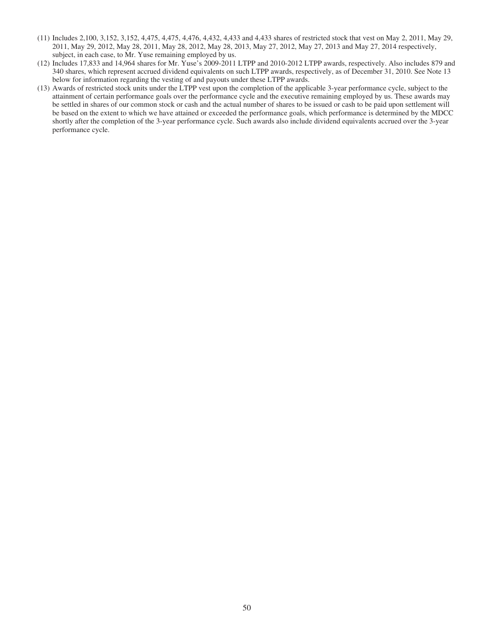- (11) Includes 2,100, 3,152, 3,152, 4,475, 4,475, 4,476, 4,432, 4,433 and 4,433 shares of restricted stock that vest on May 2, 2011, May 29, 2011, May 29, 2012, May 28, 2011, May 28, 2012, May 28, 2013, May 27, 2012, May 27, 2013 and May 27, 2014 respectively, subject, in each case, to Mr. Yuse remaining employed by us.
- (12) Includes 17,833 and 14,964 shares for Mr. Yuse's 2009-2011 LTPP and 2010-2012 LTPP awards, respectively. Also includes 879 and 340 shares, which represent accrued dividend equivalents on such LTPP awards, respectively, as of December 31, 2010. See Note 13 below for information regarding the vesting of and payouts under these LTPP awards.
- (13) Awards of restricted stock units under the LTPP vest upon the completion of the applicable 3-year performance cycle, subject to the attainment of certain performance goals over the performance cycle and the executive remaining employed by us. These awards may be settled in shares of our common stock or cash and the actual number of shares to be issued or cash to be paid upon settlement will be based on the extent to which we have attained or exceeded the performance goals, which performance is determined by the MDCC shortly after the completion of the 3-year performance cycle. Such awards also include dividend equivalents accrued over the 3-year performance cycle.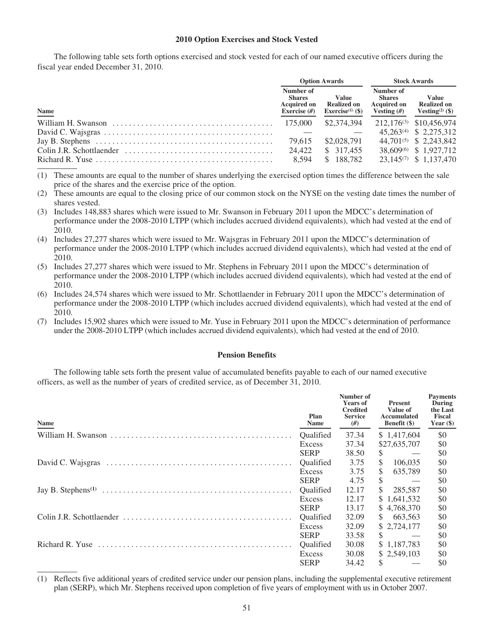### **2010 Option Exercises and Stock Vested**

The following table sets forth options exercised and stock vested for each of our named executive officers during the fiscal year ended December 31, 2010.

|                                                                                                       |                                                                    | <b>Option Awards</b>                                               |                                                                   | <b>Stock Awards</b>                                               |
|-------------------------------------------------------------------------------------------------------|--------------------------------------------------------------------|--------------------------------------------------------------------|-------------------------------------------------------------------|-------------------------------------------------------------------|
| Name                                                                                                  | Number of<br><b>Shares</b><br><b>Acquired on</b><br>Exercise $(f)$ | <b>Value</b><br><b>Realized on</b><br>Exercise <sup>(1)</sup> (\$) | Number of<br><b>Shares</b><br><b>Acquired on</b><br>Vesting $(H)$ | <b>Value</b><br><b>Realized on</b><br>Vesting <sup>(2)</sup> (\$) |
|                                                                                                       |                                                                    | \$2,374,394                                                        |                                                                   | 212,176 <sup>(3)</sup> \$10,456,974                               |
|                                                                                                       |                                                                    |                                                                    |                                                                   | 45,263 <sup>(4)</sup> \$ 2,275,312                                |
| Jay B. Stephens $\dots \dots \dots \dots \dots \dots \dots \dots \dots \dots \dots \dots \dots \dots$ | 79.615                                                             | \$2,028,791                                                        |                                                                   | 44,701 <sup>(5)</sup> \$ 2,243,842                                |
|                                                                                                       | 24.422                                                             | \$ 317,455                                                         |                                                                   | 38.609 <sup>(6)</sup> \$1.927.712                                 |
| Richard R. Yuse $\dots \dots \dots \dots \dots \dots \dots \dots \dots \dots \dots \dots \dots \dots$ | 8.594                                                              | \$188,782                                                          |                                                                   | 23,145 <sup>(7)</sup> \$ 1,137,470                                |

<sup>(1)</sup> These amounts are equal to the number of shares underlying the exercised option times the difference between the sale price of the shares and the exercise price of the option.

- (2) These amounts are equal to the closing price of our common stock on the NYSE on the vesting date times the number of shares vested.
- (3) Includes 148,883 shares which were issued to Mr. Swanson in February 2011 upon the MDCC's determination of performance under the 2008-2010 LTPP (which includes accrued dividend equivalents), which had vested at the end of 2010.
- (4) Includes 27,277 shares which were issued to Mr. Wajsgras in February 2011 upon the MDCC's determination of performance under the 2008-2010 LTPP (which includes accrued dividend equivalents), which had vested at the end of 2010.
- (5) Includes 27,277 shares which were issued to Mr. Stephens in February 2011 upon the MDCC's determination of performance under the 2008-2010 LTPP (which includes accrued dividend equivalents), which had vested at the end of 2010.
- (6) Includes 24,574 shares which were issued to Mr. Schottlaender in February 2011 upon the MDCC's determination of performance under the 2008-2010 LTPP (which includes accrued dividend equivalents), which had vested at the end of 2010.
- (7) Includes 15,902 shares which were issued to Mr. Yuse in February 2011 upon the MDCC's determination of performance under the 2008-2010 LTPP (which includes accrued dividend equivalents), which had vested at the end of 2010.

### **Pension Benefits**

The following table sets forth the present value of accumulated benefits payable to each of our named executive officers, as well as the number of years of credited service, as of December 31, 2010.

| Name | Plan<br>Name     | Number of<br><b>Years of</b><br><b>Credited</b><br><b>Service</b><br>#)                                                                                     | Present<br>Value of<br>Accumulated<br><b>Benefit</b> (\$) | <b>Payments</b><br>During<br>the Last<br><b>Fiscal</b><br>Year $(\$)$ |
|------|------------------|-------------------------------------------------------------------------------------------------------------------------------------------------------------|-----------------------------------------------------------|-----------------------------------------------------------------------|
|      | <b>Oualified</b> | 37.34                                                                                                                                                       | \$1,417,604                                               | \$0                                                                   |
|      | Excess           | 37.34                                                                                                                                                       | \$27,635,707                                              | \$0                                                                   |
|      | <b>SERP</b>      | 38.50                                                                                                                                                       | \$                                                        | \$0                                                                   |
|      | Qualified        | 3.75                                                                                                                                                        | $\mathbb{S}$<br>106,035                                   | \$0                                                                   |
|      | Excess           | 3.75                                                                                                                                                        | <sup>\$</sup><br>635,789                                  | \$0                                                                   |
|      | <b>SERP</b>      | 4.75                                                                                                                                                        | \$                                                        | \$0                                                                   |
|      | Qualified        | 12.17                                                                                                                                                       | <sup>\$</sup><br>285,587                                  | \$0                                                                   |
|      | Excess           | 12.17<br>\$1,641,532<br>13.17<br>\$4,768,370<br>32.09<br>\$663,563<br>\$ 2,724,177<br>32.09<br>\$.<br>33.58<br>\$1,187,783<br>30.08<br>\$2,549,103<br>30.08 | \$0                                                       |                                                                       |
|      | <b>SERP</b>      |                                                                                                                                                             |                                                           | \$0                                                                   |
|      | <b>Oualified</b> |                                                                                                                                                             |                                                           | \$0                                                                   |
|      | Excess           |                                                                                                                                                             |                                                           | \$0                                                                   |
|      | <b>SERP</b>      |                                                                                                                                                             |                                                           | \$0                                                                   |
|      | Qualified        |                                                                                                                                                             |                                                           | \$0                                                                   |
|      | Excess           |                                                                                                                                                             |                                                           | \$0                                                                   |
|      | <b>SERP</b>      | 34.42                                                                                                                                                       | \$.                                                       | \$0                                                                   |

<sup>(1)</sup> Reflects five additional years of credited service under our pension plans, including the supplemental executive retirement plan (SERP), which Mr. Stephens received upon completion of five years of employment with us in October 2007.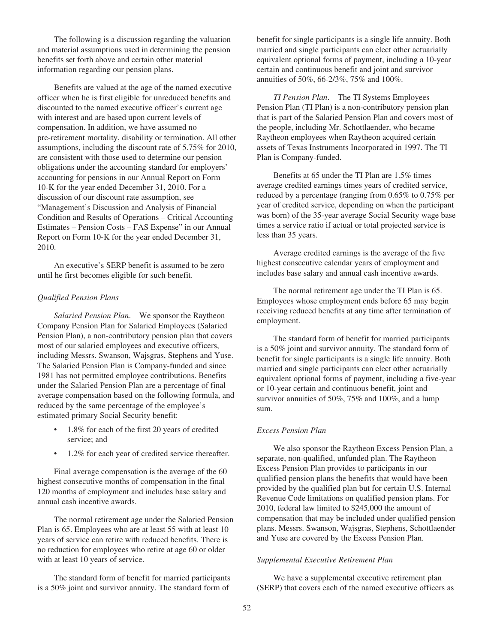The following is a discussion regarding the valuation and material assumptions used in determining the pension benefits set forth above and certain other material information regarding our pension plans.

Benefits are valued at the age of the named executive officer when he is first eligible for unreduced benefits and discounted to the named executive officer's current age with interest and are based upon current levels of compensation. In addition, we have assumed no pre-retirement mortality, disability or termination. All other assumptions, including the discount rate of 5.75% for 2010, are consistent with those used to determine our pension obligations under the accounting standard for employers' accounting for pensions in our Annual Report on Form 10-K for the year ended December 31, 2010. For a discussion of our discount rate assumption, see "Management's Discussion and Analysis of Financial Condition and Results of Operations – Critical Accounting Estimates – Pension Costs – FAS Expense" in our Annual Report on Form 10-K for the year ended December 31, 2010.

An executive's SERP benefit is assumed to be zero until he first becomes eligible for such benefit.

#### *Qualified Pension Plans*

*Salaried Pension Plan*. We sponsor the Raytheon Company Pension Plan for Salaried Employees (Salaried Pension Plan), a non-contributory pension plan that covers most of our salaried employees and executive officers, including Messrs. Swanson, Wajsgras, Stephens and Yuse. The Salaried Pension Plan is Company-funded and since 1981 has not permitted employee contributions. Benefits under the Salaried Pension Plan are a percentage of final average compensation based on the following formula, and reduced by the same percentage of the employee's estimated primary Social Security benefit:

- 1.8% for each of the first 20 years of credited service; and
- 1.2% for each year of credited service thereafter.

Final average compensation is the average of the 60 highest consecutive months of compensation in the final 120 months of employment and includes base salary and annual cash incentive awards.

The normal retirement age under the Salaried Pension Plan is 65. Employees who are at least 55 with at least 10 years of service can retire with reduced benefits. There is no reduction for employees who retire at age 60 or older with at least 10 years of service.

The standard form of benefit for married participants is a 50% joint and survivor annuity. The standard form of benefit for single participants is a single life annuity. Both married and single participants can elect other actuarially equivalent optional forms of payment, including a 10-year certain and continuous benefit and joint and survivor annuities of 50%, 66-2/3%, 75% and 100%.

*TI Pension Plan*. The TI Systems Employees Pension Plan (TI Plan) is a non-contributory pension plan that is part of the Salaried Pension Plan and covers most of the people, including Mr. Schottlaender, who became Raytheon employees when Raytheon acquired certain assets of Texas Instruments Incorporated in 1997. The TI Plan is Company-funded.

Benefits at 65 under the TI Plan are 1.5% times average credited earnings times years of credited service, reduced by a percentage (ranging from 0.65% to 0.75% per year of credited service, depending on when the participant was born) of the 35-year average Social Security wage base times a service ratio if actual or total projected service is less than 35 years.

Average credited earnings is the average of the five highest consecutive calendar years of employment and includes base salary and annual cash incentive awards.

The normal retirement age under the TI Plan is 65. Employees whose employment ends before 65 may begin receiving reduced benefits at any time after termination of employment.

The standard form of benefit for married participants is a 50% joint and survivor annuity. The standard form of benefit for single participants is a single life annuity. Both married and single participants can elect other actuarially equivalent optional forms of payment, including a five-year or 10-year certain and continuous benefit, joint and survivor annuities of 50%, 75% and 100%, and a lump sum.

#### *Excess Pension Plan*

We also sponsor the Raytheon Excess Pension Plan, a separate, non-qualified, unfunded plan. The Raytheon Excess Pension Plan provides to participants in our qualified pension plans the benefits that would have been provided by the qualified plan but for certain U.S. Internal Revenue Code limitations on qualified pension plans. For 2010, federal law limited to \$245,000 the amount of compensation that may be included under qualified pension plans. Messrs. Swanson, Wajsgras, Stephens, Schottlaender and Yuse are covered by the Excess Pension Plan.

### *Supplemental Executive Retirement Plan*

We have a supplemental executive retirement plan (SERP) that covers each of the named executive officers as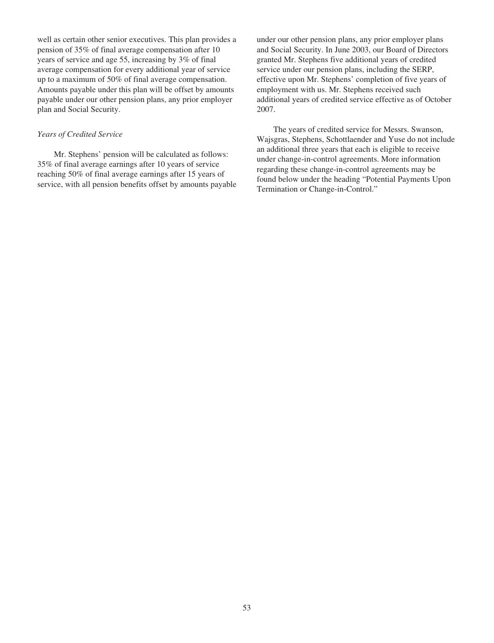well as certain other senior executives. This plan provides a pension of 35% of final average compensation after 10 years of service and age 55, increasing by 3% of final average compensation for every additional year of service up to a maximum of 50% of final average compensation. Amounts payable under this plan will be offset by amounts payable under our other pension plans, any prior employer plan and Social Security.

## *Years of Credited Service*

Mr. Stephens' pension will be calculated as follows: 35% of final average earnings after 10 years of service reaching 50% of final average earnings after 15 years of service, with all pension benefits offset by amounts payable under our other pension plans, any prior employer plans and Social Security. In June 2003, our Board of Directors granted Mr. Stephens five additional years of credited service under our pension plans, including the SERP, effective upon Mr. Stephens' completion of five years of employment with us. Mr. Stephens received such additional years of credited service effective as of October 2007.

The years of credited service for Messrs. Swanson, Wajsgras, Stephens, Schottlaender and Yuse do not include an additional three years that each is eligible to receive under change-in-control agreements. More information regarding these change-in-control agreements may be found below under the heading "Potential Payments Upon Termination or Change-in-Control."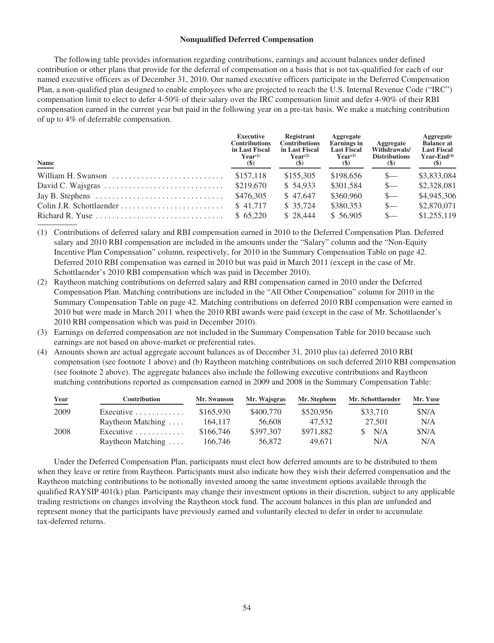### **Nonqualified Deferred Compensation**

The following table provides information regarding contributions, earnings and account balances under defined contribution or other plans that provide for the deferral of compensation on a basis that is not tax-qualified for each of our named executive officers as of December 31, 2010. Our named executive officers participate in the Deferred Compensation Plan, a non-qualified plan designed to enable employees who are projected to reach the U.S. Internal Revenue Code ("IRC") compensation limit to elect to defer 4-50% of their salary over the IRC compensation limit and defer 4-90% of their RBI compensation earned in the current year but paid in the following year on a pre-tax basis. We make a matching contribution of up to 4% of deferrable compensation.

| Name                                                                                | <b>Executive</b><br><b>Contributions</b><br>in Last Fiscal<br>$\mathbf{Year}^{(1)}$<br>$\left( \mathcal{S} \right)$ | Registrant<br><b>Contributions</b><br>in Last Fiscal<br>$\mathbf{Year}^{(2)}$<br>(S) | Aggregate<br><b>Earnings</b> in<br><b>Last Fiscal</b><br>$\textbf{Year}^{(3)}$<br>$(\$)$ | Aggregate<br>Withdrawals/<br><b>Distributions</b><br>(5) | Aggregate<br><b>Balance at</b><br><b>Last Fiscal</b><br>Year-End $(4)$<br>$\left( \mathbb{S}\right)$ |
|-------------------------------------------------------------------------------------|---------------------------------------------------------------------------------------------------------------------|--------------------------------------------------------------------------------------|------------------------------------------------------------------------------------------|----------------------------------------------------------|------------------------------------------------------------------------------------------------------|
| William H. Swanson                                                                  | \$157,118                                                                                                           | \$155,305                                                                            | \$198,656                                                                                | $S-$                                                     | \$3,833,084                                                                                          |
|                                                                                     | \$219,670                                                                                                           | \$54.933                                                                             | \$301.584                                                                                | $s-$                                                     | \$2,328,081                                                                                          |
| Jay B. Stephens $\dots \dots \dots \dots \dots \dots \dots \dots \dots \dots$       | \$476,305                                                                                                           | \$47,647                                                                             | \$360,960                                                                                | $S-$                                                     | \$4,945,306                                                                                          |
|                                                                                     | \$41,717                                                                                                            | \$35.724                                                                             | \$380,353                                                                                | $S-$                                                     | \$2,870,071                                                                                          |
| Richard R. Yuse $\dots \dots \dots \dots \dots \dots \dots \dots \dots \dots \dots$ | \$65,220                                                                                                            | \$28,444                                                                             | \$56.905                                                                                 | $S-$                                                     | \$1,255,119                                                                                          |

(1) Contributions of deferred salary and RBI compensation earned in 2010 to the Deferred Compensation Plan. Deferred salary and 2010 RBI compensation are included in the amounts under the "Salary" column and the "Non-Equity Incentive Plan Compensation" column, respectively, for 2010 in the Summary Compensation Table on page 42. Deferred 2010 RBI compensation was earned in 2010 but was paid in March 2011 (except in the case of Mr. Schottlaender's 2010 RBI compensation which was paid in December 2010).

- (2) Raytheon matching contributions on deferred salary and RBI compensation earned in 2010 under the Deferred Compensation Plan. Matching contributions are included in the "All Other Compensation" column for 2010 in the Summary Compensation Table on page 42. Matching contributions on deferred 2010 RBI compensation were earned in 2010 but were made in March 2011 when the 2010 RBI awards were paid (except in the case of Mr. Schottlaender's 2010 RBI compensation which was paid in December 2010).
- (3) Earnings on deferred compensation are not included in the Summary Compensation Table for 2010 because such earnings are not based on above-market or preferential rates.
- (4) Amounts shown are actual aggregate account balances as of December 31, 2010 plus (a) deferred 2010 RBI compensation (see footnote 1 above) and (b) Raytheon matching contributions on such deferred 2010 RBI compensation (see footnote 2 above). The aggregate balances also include the following executive contributions and Raytheon matching contributions reported as compensation earned in 2009 and 2008 in the Summary Compensation Table:

| Year<br>___ | <b>Contribution</b>              | Mr. Swanson | Mr. Wajsgras | Mr. Stephens | Mr. Schottlaender | Mr. Yuse |
|-------------|----------------------------------|-------------|--------------|--------------|-------------------|----------|
| 2009        | Executive $\ldots \ldots \ldots$ | \$165,930   | \$400,770    | \$520,956    | \$33,710          | \$N/A    |
|             | Raytheon Matching $\dots$        | 164,117     | 56,608       | 47.532       | 27,501            | N/A      |
| 2008        | Executive $\ldots \ldots \ldots$ | \$166,746   | \$397,307    | \$971.882    | N/A               | S N/A    |
|             | Raytheon Matching $\dots$        | 166,746     | 56,872       | 49.671       | N/A               | N/A      |

Under the Deferred Compensation Plan, participants must elect how deferred amounts are to be distributed to them when they leave or retire from Raytheon. Participants must also indicate how they wish their deferred compensation and the Raytheon matching contributions to be notionally invested among the same investment options available through the qualified RAYSIP 401(k) plan. Participants may change their investment options in their discretion, subject to any applicable trading restrictions on changes involving the Raytheon stock fund. The account balances in this plan are unfunded and represent money that the participants have previously earned and voluntarily elected to defer in order to accumulate tax-deferred returns.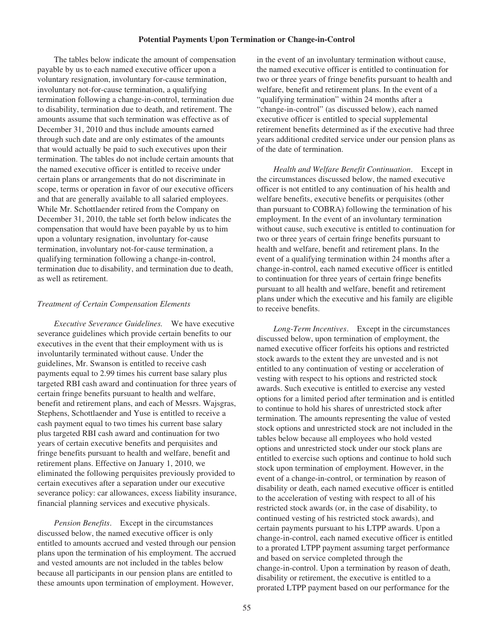#### **Potential Payments Upon Termination or Change-in-Control**

The tables below indicate the amount of compensation payable by us to each named executive officer upon a voluntary resignation, involuntary for-cause termination, involuntary not-for-cause termination, a qualifying termination following a change-in-control, termination due to disability, termination due to death, and retirement. The amounts assume that such termination was effective as of December 31, 2010 and thus include amounts earned through such date and are only estimates of the amounts that would actually be paid to such executives upon their termination. The tables do not include certain amounts that the named executive officer is entitled to receive under certain plans or arrangements that do not discriminate in scope, terms or operation in favor of our executive officers and that are generally available to all salaried employees. While Mr. Schottlaender retired from the Company on December 31, 2010, the table set forth below indicates the compensation that would have been payable by us to him upon a voluntary resignation, involuntary for-cause termination, involuntary not-for-cause termination, a qualifying termination following a change-in-control, termination due to disability, and termination due to death, as well as retirement.

### *Treatment of Certain Compensation Elements*

*Executive Severance Guidelines.* We have executive severance guidelines which provide certain benefits to our executives in the event that their employment with us is involuntarily terminated without cause. Under the guidelines, Mr. Swanson is entitled to receive cash payments equal to 2.99 times his current base salary plus targeted RBI cash award and continuation for three years of certain fringe benefits pursuant to health and welfare, benefit and retirement plans, and each of Messrs. Wajsgras, Stephens, Schottlaender and Yuse is entitled to receive a cash payment equal to two times his current base salary plus targeted RBI cash award and continuation for two years of certain executive benefits and perquisites and fringe benefits pursuant to health and welfare, benefit and retirement plans. Effective on January 1, 2010, we eliminated the following perquisites previously provided to certain executives after a separation under our executive severance policy: car allowances, excess liability insurance, financial planning services and executive physicals.

*Pension Benefits*. Except in the circumstances discussed below, the named executive officer is only entitled to amounts accrued and vested through our pension plans upon the termination of his employment. The accrued and vested amounts are not included in the tables below because all participants in our pension plans are entitled to these amounts upon termination of employment. However,

in the event of an involuntary termination without cause, the named executive officer is entitled to continuation for two or three years of fringe benefits pursuant to health and welfare, benefit and retirement plans. In the event of a "qualifying termination" within 24 months after a "change-in-control" (as discussed below), each named executive officer is entitled to special supplemental retirement benefits determined as if the executive had three years additional credited service under our pension plans as of the date of termination.

*Health and Welfare Benefit Continuation*. Except in the circumstances discussed below, the named executive officer is not entitled to any continuation of his health and welfare benefits, executive benefits or perquisites (other than pursuant to COBRA) following the termination of his employment. In the event of an involuntary termination without cause, such executive is entitled to continuation for two or three years of certain fringe benefits pursuant to health and welfare, benefit and retirement plans. In the event of a qualifying termination within 24 months after a change-in-control, each named executive officer is entitled to continuation for three years of certain fringe benefits pursuant to all health and welfare, benefit and retirement plans under which the executive and his family are eligible to receive benefits.

*Long-Term Incentives*. Except in the circumstances discussed below, upon termination of employment, the named executive officer forfeits his options and restricted stock awards to the extent they are unvested and is not entitled to any continuation of vesting or acceleration of vesting with respect to his options and restricted stock awards. Such executive is entitled to exercise any vested options for a limited period after termination and is entitled to continue to hold his shares of unrestricted stock after termination. The amounts representing the value of vested stock options and unrestricted stock are not included in the tables below because all employees who hold vested options and unrestricted stock under our stock plans are entitled to exercise such options and continue to hold such stock upon termination of employment. However, in the event of a change-in-control, or termination by reason of disability or death, each named executive officer is entitled to the acceleration of vesting with respect to all of his restricted stock awards (or, in the case of disability, to continued vesting of his restricted stock awards), and certain payments pursuant to his LTPP awards. Upon a change-in-control, each named executive officer is entitled to a prorated LTPP payment assuming target performance and based on service completed through the change-in-control. Upon a termination by reason of death, disability or retirement, the executive is entitled to a prorated LTPP payment based on our performance for the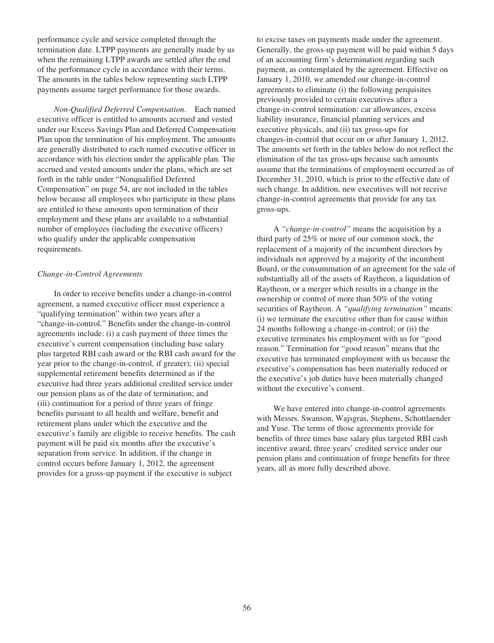performance cycle and service completed through the termination date. LTPP payments are generally made by us when the remaining LTPP awards are settled after the end of the performance cycle in accordance with their terms. The amounts in the tables below representing such LTPP payments assume target performance for those awards.

*Non-Qualified Deferred Compensation*. Each named executive officer is entitled to amounts accrued and vested under our Excess Savings Plan and Deferred Compensation Plan upon the termination of his employment. The amounts are generally distributed to each named executive officer in accordance with his election under the applicable plan. The accrued and vested amounts under the plans, which are set forth in the table under "Nonqualified Deferred Compensation" on page 54, are not included in the tables below because all employees who participate in these plans are entitled to these amounts upon termination of their employment and these plans are available to a substantial number of employees (including the executive officers) who qualify under the applicable compensation requirements.

## *Change-in-Control Agreements*

In order to receive benefits under a change-in-control agreement, a named executive officer must experience a "qualifying termination" within two years after a "change-in-control." Benefits under the change-in-control agreements include: (i) a cash payment of three times the executive's current compensation (including base salary plus targeted RBI cash award or the RBI cash award for the year prior to the change-in-control, if greater); (ii) special supplemental retirement benefits determined as if the executive had three years additional credited service under our pension plans as of the date of termination; and (iii) continuation for a period of three years of fringe benefits pursuant to all health and welfare, benefit and retirement plans under which the executive and the executive's family are eligible to receive benefits. The cash payment will be paid six months after the executive's separation from service. In addition, if the change in control occurs before January 1, 2012, the agreement provides for a gross-up payment if the executive is subject

to excise taxes on payments made under the agreement. Generally, the gross-up payment will be paid within 5 days of an accounting firm's determination regarding such payment, as contemplated by the agreement. Effective on January 1, 2010, we amended our change-in-control agreements to eliminate (i) the following perquisites previously provided to certain executives after a change-in-control termination: car allowances, excess liability insurance, financial planning services and executive physicals, and (ii) tax gross-ups for changes-in-control that occur on or after January 1, 2012. The amounts set forth in the tables below do not reflect the elimination of the tax gross-ups because such amounts assume that the terminations of employment occurred as of December 31, 2010, which is prior to the effective date of such change. In addition, new executives will not receive change-in-control agreements that provide for any tax gross-ups.

A *"change-in-control"* means the acquisition by a third party of 25% or more of our common stock, the replacement of a majority of the incumbent directors by individuals not approved by a majority of the incumbent Board, or the consummation of an agreement for the sale of substantially all of the assets of Raytheon, a liquidation of Raytheon, or a merger which results in a change in the ownership or control of more than 50% of the voting securities of Raytheon. A *"qualifying termination"* means: (i) we terminate the executive other than for cause within 24 months following a change-in-control; or (ii) the executive terminates his employment with us for "good reason." Termination for "good reason" means that the executive has terminated employment with us because the executive's compensation has been materially reduced or the executive's job duties have been materially changed without the executive's consent.

We have entered into change-in-control agreements with Messrs. Swanson, Wajsgras, Stephens, Schottlaender and Yuse. The terms of those agreements provide for benefits of three times base salary plus targeted RBI cash incentive award, three years' credited service under our pension plans and continuation of fringe benefits for three years, all as more fully described above.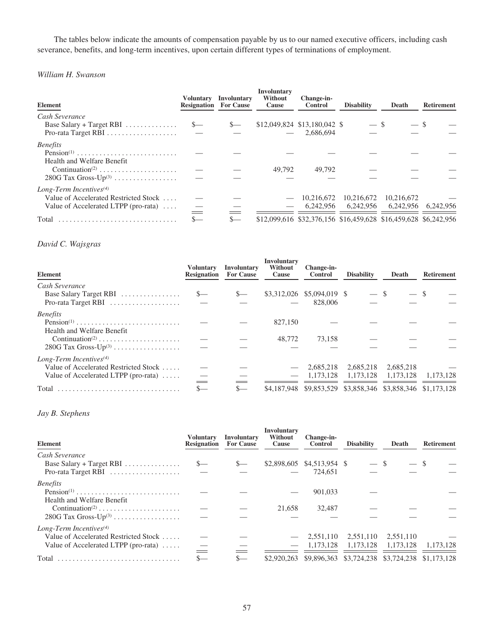The tables below indicate the amounts of compensation payable by us to our named executive officers, including cash severance, benefits, and long-term incentives, upon certain different types of terminations of employment.

## *William H. Swanson*

| Element                                                                                                                               | <b>Resignation</b> For Cause | Voluntary Involuntary | <b>Involuntary</b><br>Without<br>Cause | Change-in-<br><b>Control</b>              | <b>Disability</b>                 | Death                                                                                                | <b>Retirement</b> |
|---------------------------------------------------------------------------------------------------------------------------------------|------------------------------|-----------------------|----------------------------------------|-------------------------------------------|-----------------------------------|------------------------------------------------------------------------------------------------------|-------------------|
| Cash Severance<br>Base Salary + Target RBI $\ldots \ldots \ldots \ldots$<br>Pro-rata Target RBI $\dots\dots\dots\dots\dots\dots\dots$ | $S-$                         |                       |                                        | \$12,049,824 \$13,180,042 \$<br>2.686.694 | $-$ \$                            |                                                                                                      |                   |
| <b>Benefits</b><br>$Pension(1)$<br>Health and Welfare Benefit<br>Continuation <sup>(2)</sup><br>$280G$ Tax Gross-Up <sup>(3)</sup>    |                              |                       | 49.792                                 | 49.792                                    |                                   |                                                                                                      |                   |
| Long-Term Incentives <sup>(4)</sup><br>Value of Accelerated Restricted Stock<br>Value of Accelerated LTPP (pro-rata) $\dots$<br>Total | $S-$                         | $S-$                  |                                        | 10.216.672                                | 10.216.672<br>6,242,956 6,242,956 | 10.216.672<br>6,242,956 6,242,956<br>\$12,099,616 \$32,376,156 \$16,459,628 \$16,459,628 \$6,242,956 |                   |

# *David C. Wajsgras*

| <b>Element</b>                        | <b>Voluntary</b><br><b>Resignation</b> | Involuntary<br><b>For Cause</b> | <b>Involuntary</b><br>Without<br>Cause | Change-in-<br><b>Control</b>                                | <b>Disability</b> | Death     | <b>Retirement</b> |
|---------------------------------------|----------------------------------------|---------------------------------|----------------------------------------|-------------------------------------------------------------|-------------------|-----------|-------------------|
| Cash Severance                        |                                        |                                 |                                        |                                                             |                   |           |                   |
| Base Salary Target RBI                | $S-$                                   | $S-$                            |                                        | \$3,312,026 \$5,094,019 \$                                  | $-$ \$            | $-$ \$    |                   |
| Pro-rata Target RBI                   |                                        |                                 |                                        | 828,006                                                     |                   |           |                   |
| <b>Benefits</b>                       |                                        |                                 |                                        |                                                             |                   |           |                   |
| $Pension(1)$                          |                                        |                                 | 827,150                                |                                                             |                   |           |                   |
| Health and Welfare Benefit            |                                        |                                 |                                        |                                                             |                   |           |                   |
| Continuation <sup>(2)</sup>           |                                        |                                 | 48,772                                 | 73.158                                                      |                   |           |                   |
| $280G$ Tax Gross-Up <sup>(3)</sup>    |                                        |                                 |                                        |                                                             |                   |           |                   |
| Long-Term Incentives <sup>(4)</sup>   |                                        |                                 |                                        |                                                             |                   |           |                   |
| Value of Accelerated Restricted Stock |                                        |                                 |                                        | 2.685.218                                                   | 2,685,218         | 2,685,218 |                   |
| Value of Accelerated LTPP (pro-rata)  |                                        |                                 | $\overline{\phantom{m}}$               | 1.173.128                                                   | 1,173,128         | 1.173.128 | 1.173.128         |
| Total                                 |                                        | $S-$                            |                                        | \$4,187,948 \$9,853,529 \$3,858,346 \$3,858,346 \$1,173,128 |                   |           |                   |

## *Jay B. Stephens*

| Element                                                                                                                               | <b>Voluntary</b><br><b>Resignation</b> | Involuntary<br><b>For Cause</b> | <b>Involuntary</b><br>Without<br>Cause  | Change-in-<br><b>Control</b>          | <b>Disability</b>                     | Death                                 | <b>Retirement</b>        |
|---------------------------------------------------------------------------------------------------------------------------------------|----------------------------------------|---------------------------------|-----------------------------------------|---------------------------------------|---------------------------------------|---------------------------------------|--------------------------|
| Cash Severance<br>Base Salary + Target RBI $\ldots$<br>Pro-rata Target RBI                                                            | $S-$                                   | $S-$                            |                                         | \$2,898,605 \$4,513,954 \$<br>724.651 | $-$ \$                                | $-$ \$                                |                          |
| <b>Benefits</b><br>$Pension(1)$<br>Health and Welfare Benefit<br>Continuation <sup>(2)</sup><br>$280G$ Tax Gross-Up <sup>(3)</sup>    |                                        |                                 | 21.658                                  | 901,033<br>32,487                     |                                       |                                       |                          |
| Long-Term Incentives <sup>(4)</sup><br>Value of Accelerated Restricted Stock<br>Value of Accelerated LTPP (pro-rata) $\dots$<br>Total | $\, = \,$                              | $S-$                            | $\overline{\phantom{m}}$<br>\$2,920,263 | 2,551,110<br>1.173.128<br>\$9,896,363 | 2,551,110<br>1.173.128<br>\$3,724,238 | 2,551,110<br>1.173.128<br>\$3,724,238 | 1.173.128<br>\$1,173,128 |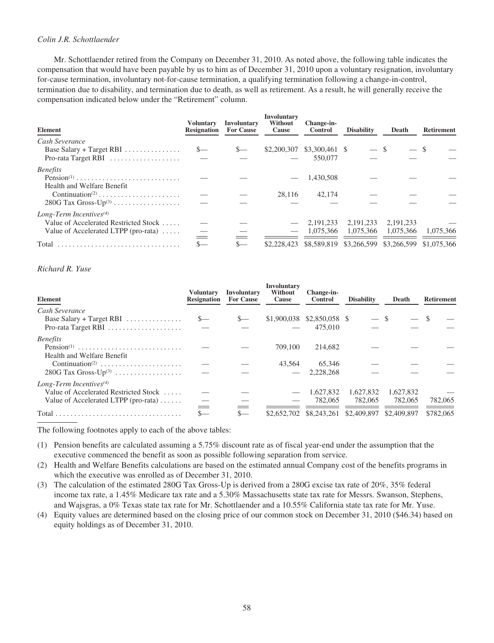# *Colin J.R. Schottlaender*

Mr. Schottlaender retired from the Company on December 31, 2010. As noted above, the following table indicates the compensation that would have been payable by us to him as of December 31, 2010 upon a voluntary resignation, involuntary for-cause termination, involuntary not-for-cause termination, a qualifying termination following a change-in-control, termination due to disability, and termination due to death, as well as retirement. As a result, he will generally receive the compensation indicated below under the "Retirement" column.

| Element                                      | <b>Voluntary</b><br><b>Resignation</b> | <b>Involuntary</b><br><b>For Cause</b> | <b>Involuntary</b><br>Without<br>Cause | Change-in-<br><b>Control</b> | <b>Disability</b>                               | Death     | <b>Retirement</b> |
|----------------------------------------------|----------------------------------------|----------------------------------------|----------------------------------------|------------------------------|-------------------------------------------------|-----------|-------------------|
| Cash Severance                               |                                        |                                        |                                        |                              |                                                 |           |                   |
| Base Salary + Target RBI $\ldots$            | $S-$                                   | $S-$                                   |                                        | \$2,200,307 \$3,300,461 \$   | $-$ \$                                          | $-$ \$    |                   |
| Pro-rata Target RBI                          | $\overline{\phantom{m}}$               |                                        |                                        | 550,077                      |                                                 |           |                   |
| <b>Benefits</b>                              |                                        |                                        |                                        |                              |                                                 |           |                   |
| $Pension(1)$                                 |                                        |                                        |                                        | 1.430.508                    |                                                 |           |                   |
| Health and Welfare Benefit                   |                                        |                                        |                                        |                              |                                                 |           |                   |
| Continuation <sup>(2)</sup>                  |                                        |                                        | 28.116                                 | 42,174                       |                                                 |           |                   |
| $280G$ Tax Gross-Up <sup>(3)</sup>           |                                        |                                        |                                        |                              |                                                 |           |                   |
| Long-Term Incentives <sup>(4)</sup>          |                                        |                                        |                                        |                              |                                                 |           |                   |
| Value of Accelerated Restricted Stock        |                                        |                                        |                                        | 2.191.233                    | 2.191.233                                       | 2.191.233 |                   |
| Value of Accelerated LTPP (pro-rata) $\dots$ |                                        |                                        |                                        | 1.075.366                    | 1.075.366                                       | 1.075.366 | 1.075.366         |
|                                              |                                        |                                        |                                        |                              |                                                 |           |                   |
| Total                                        | $S-$                                   | $S-$                                   | \$2,228,423                            |                              | \$8,589,819 \$3,266,599 \$3,266,599 \$1,075,366 |           |                   |

## *Richard R. Yuse*

| <b>Element</b>                                 | Voluntarv<br><b>Resignation</b> | <b>Involuntary</b><br><b>For Cause</b> | <b>Involuntary</b><br>Without<br>Cause | Change-in-<br><b>Control</b> | <b>Disability</b>                   | Death     | <b>Retirement</b> |
|------------------------------------------------|---------------------------------|----------------------------------------|----------------------------------------|------------------------------|-------------------------------------|-----------|-------------------|
| Cash Severance                                 |                                 |                                        |                                        |                              |                                     |           |                   |
| Base Salary + Target RBI $\ldots$              | $S-$                            |                                        |                                        | \$1,900,038 \$2,850,058 \$   | $-$ \$                              | — \$      |                   |
|                                                | $\overline{\phantom{a}}$        |                                        |                                        | 475,010                      |                                     |           |                   |
| <b>Benefits</b>                                |                                 |                                        |                                        |                              |                                     |           |                   |
| Pension <sup>(1)</sup>                         |                                 |                                        | 709,100                                | 214,682                      |                                     |           |                   |
| Health and Welfare Benefit                     |                                 |                                        |                                        |                              |                                     |           |                   |
| Continuation <sup>(2)</sup>                    |                                 |                                        | 43.564                                 | 65,346                       |                                     |           |                   |
| $280G$ Tax Gross-Up <sup>(3)</sup>             |                                 |                                        |                                        | 2,228,268                    |                                     |           |                   |
| Long-Term Incentives <sup>(4)</sup>            |                                 |                                        |                                        |                              |                                     |           |                   |
| Value of Accelerated Restricted Stock          |                                 |                                        |                                        | 1,627,832                    | 1,627,832                           | 1,627,832 |                   |
| Value of Accelerated LTPP (pro-rata) $\dots$ . | $\qquad \qquad$                 |                                        |                                        | 782,065                      | 782,065                             | 782,065   | 782,065           |
|                                                | $S-$                            | $S-$                                   | \$2,652,702                            |                              | \$8,243,261 \$2,409,897 \$2,409,897 |           | \$782,065         |

The following footnotes apply to each of the above tables:

- (1) Pension benefits are calculated assuming a 5.75% discount rate as of fiscal year-end under the assumption that the executive commenced the benefit as soon as possible following separation from service.
- (2) Health and Welfare Benefits calculations are based on the estimated annual Company cost of the benefits programs in which the executive was enrolled as of December 31, 2010.
- (3) The calculation of the estimated 280G Tax Gross-Up is derived from a 280G excise tax rate of 20%, 35% federal income tax rate, a 1.45% Medicare tax rate and a 5.30% Massachusetts state tax rate for Messrs. Swanson, Stephens, and Wajsgras, a 0% Texas state tax rate for Mr. Schottlaender and a 10.55% California state tax rate for Mr. Yuse.
- (4) Equity values are determined based on the closing price of our common stock on December 31, 2010 (\$46.34) based on equity holdings as of December 31, 2010.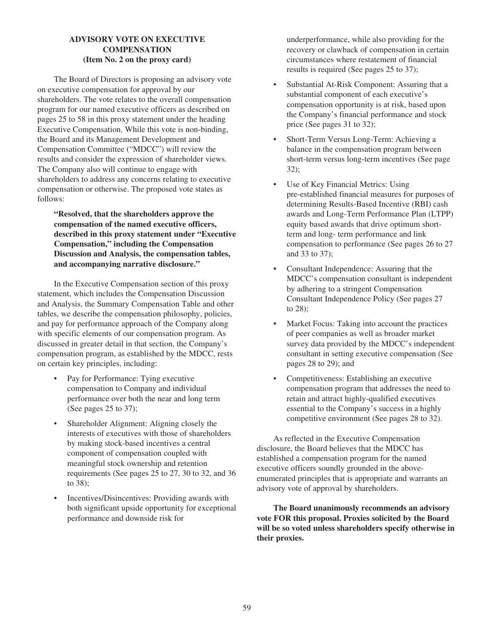# **ADVISORY VOTE ON EXECUTIVE COMPENSATION (Item No. 2 on the proxy card)**

The Board of Directors is proposing an advisory vote on executive compensation for approval by our shareholders. The vote relates to the overall compensation program for our named executive officers as described on pages 25 to 58 in this proxy statement under the heading Executive Compensation. While this vote is non-binding, the Board and its Management Development and Compensation Committee ("MDCC") will review the results and consider the expression of shareholder views. The Company also will continue to engage with shareholders to address any concerns relating to executive compensation or otherwise. The proposed vote states as follows:

**"Resolved, that the shareholders approve the compensation of the named executive officers, described in this proxy statement under "Executive Compensation," including the Compensation Discussion and Analysis, the compensation tables, and accompanying narrative disclosure."**

In the Executive Compensation section of this proxy statement, which includes the Compensation Discussion and Analysis, the Summary Compensation Table and other tables, we describe the compensation philosophy, policies, and pay for performance approach of the Company along with specific elements of our compensation program. As discussed in greater detail in that section, the Company's compensation program, as established by the MDCC, rests on certain key principles, including:

- Pay for Performance: Tying executive compensation to Company and individual performance over both the near and long term (See pages 25 to 37);
- Shareholder Alignment: Aligning closely the interests of executives with those of shareholders by making stock-based incentives a central component of compensation coupled with meaningful stock ownership and retention requirements (See pages 25 to 27, 30 to 32, and 36 to 38);
- Incentives/Disincentives: Providing awards with both significant upside opportunity for exceptional performance and downside risk for

underperformance, while also providing for the recovery or clawback of compensation in certain circumstances where restatement of financial results is required (See pages 25 to 37);

- Substantial At-Risk Component: Assuring that a substantial component of each executive's compensation opportunity is at risk, based upon the Company's financial performance and stock price (See pages 31 to 32);
- Short-Term Versus Long-Term: Achieving a balance in the compensation program between short-term versus long-term incentives (See page 32);
- Use of Key Financial Metrics: Using pre-established financial measures for purposes of determining Results-Based Incentive (RBI) cash awards and Long-Term Performance Plan (LTPP) equity based awards that drive optimum shortterm and long- term performance and link compensation to performance (See pages 26 to 27 and 33 to 37);
- Consultant Independence: Assuring that the MDCC's compensation consultant is independent by adhering to a stringent Compensation Consultant Independence Policy (See pages 27 to 28);
- Market Focus: Taking into account the practices of peer companies as well as broader market survey data provided by the MDCC's independent consultant in setting executive compensation (See pages 28 to 29); and
- Competitiveness: Establishing an executive compensation program that addresses the need to retain and attract highly-qualified executives essential to the Company's success in a highly competitive environment (See pages 28 to 32).

As reflected in the Executive Compensation disclosure, the Board believes that the MDCC has established a compensation program for the named executive officers soundly grounded in the aboveenumerated principles that is appropriate and warrants an advisory vote of approval by shareholders.

**The Board unanimously recommends an advisory vote FOR this proposal. Proxies solicited by the Board will be so voted unless shareholders specify otherwise in their proxies.**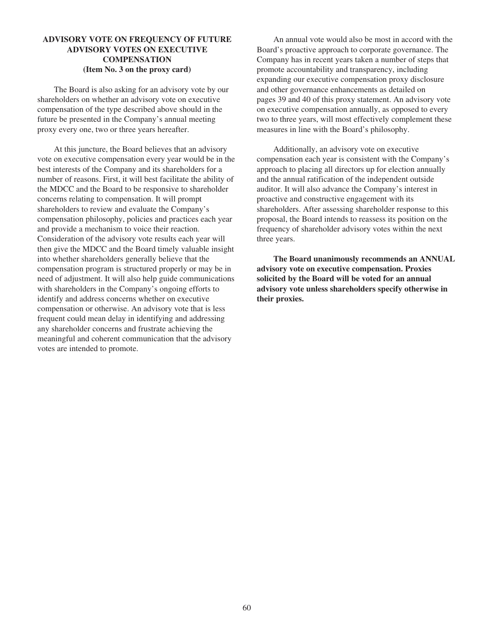# **ADVISORY VOTE ON FREQUENCY OF FUTURE ADVISORY VOTES ON EXECUTIVE COMPENSATION (Item No. 3 on the proxy card)**

The Board is also asking for an advisory vote by our shareholders on whether an advisory vote on executive compensation of the type described above should in the future be presented in the Company's annual meeting proxy every one, two or three years hereafter.

At this juncture, the Board believes that an advisory vote on executive compensation every year would be in the best interests of the Company and its shareholders for a number of reasons. First, it will best facilitate the ability of the MDCC and the Board to be responsive to shareholder concerns relating to compensation. It will prompt shareholders to review and evaluate the Company's compensation philosophy, policies and practices each year and provide a mechanism to voice their reaction. Consideration of the advisory vote results each year will then give the MDCC and the Board timely valuable insight into whether shareholders generally believe that the compensation program is structured properly or may be in need of adjustment. It will also help guide communications with shareholders in the Company's ongoing efforts to identify and address concerns whether on executive compensation or otherwise. An advisory vote that is less frequent could mean delay in identifying and addressing any shareholder concerns and frustrate achieving the meaningful and coherent communication that the advisory votes are intended to promote.

An annual vote would also be most in accord with the Board's proactive approach to corporate governance. The Company has in recent years taken a number of steps that promote accountability and transparency, including expanding our executive compensation proxy disclosure and other governance enhancements as detailed on pages 39 and 40 of this proxy statement. An advisory vote on executive compensation annually, as opposed to every two to three years, will most effectively complement these measures in line with the Board's philosophy.

Additionally, an advisory vote on executive compensation each year is consistent with the Company's approach to placing all directors up for election annually and the annual ratification of the independent outside auditor. It will also advance the Company's interest in proactive and constructive engagement with its shareholders. After assessing shareholder response to this proposal, the Board intends to reassess its position on the frequency of shareholder advisory votes within the next three years.

**The Board unanimously recommends an ANNUAL advisory vote on executive compensation. Proxies solicited by the Board will be voted for an annual advisory vote unless shareholders specify otherwise in their proxies.**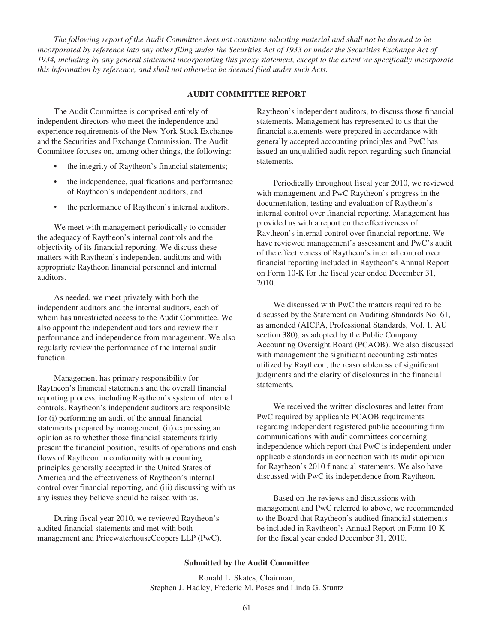*The following report of the Audit Committee does not constitute soliciting material and shall not be deemed to be incorporated by reference into any other filing under the Securities Act of 1933 or under the Securities Exchange Act of 1934, including by any general statement incorporating this proxy statement, except to the extent we specifically incorporate this information by reference, and shall not otherwise be deemed filed under such Acts.*

#### **AUDIT COMMITTEE REPORT**

The Audit Committee is comprised entirely of independent directors who meet the independence and experience requirements of the New York Stock Exchange and the Securities and Exchange Commission. The Audit Committee focuses on, among other things, the following:

- the integrity of Raytheon's financial statements;
- the independence, qualifications and performance of Raytheon's independent auditors; and
- the performance of Raytheon's internal auditors.

We meet with management periodically to consider the adequacy of Raytheon's internal controls and the objectivity of its financial reporting. We discuss these matters with Raytheon's independent auditors and with appropriate Raytheon financial personnel and internal auditors.

As needed, we meet privately with both the independent auditors and the internal auditors, each of whom has unrestricted access to the Audit Committee. We also appoint the independent auditors and review their performance and independence from management. We also regularly review the performance of the internal audit function.

Management has primary responsibility for Raytheon's financial statements and the overall financial reporting process, including Raytheon's system of internal controls. Raytheon's independent auditors are responsible for (i) performing an audit of the annual financial statements prepared by management, (ii) expressing an opinion as to whether those financial statements fairly present the financial position, results of operations and cash flows of Raytheon in conformity with accounting principles generally accepted in the United States of America and the effectiveness of Raytheon's internal control over financial reporting, and (iii) discussing with us any issues they believe should be raised with us.

During fiscal year 2010, we reviewed Raytheon's audited financial statements and met with both management and PricewaterhouseCoopers LLP (PwC), Raytheon's independent auditors, to discuss those financial statements. Management has represented to us that the financial statements were prepared in accordance with generally accepted accounting principles and PwC has issued an unqualified audit report regarding such financial statements.

Periodically throughout fiscal year 2010, we reviewed with management and PwC Raytheon's progress in the documentation, testing and evaluation of Raytheon's internal control over financial reporting. Management has provided us with a report on the effectiveness of Raytheon's internal control over financial reporting. We have reviewed management's assessment and PwC's audit of the effectiveness of Raytheon's internal control over financial reporting included in Raytheon's Annual Report on Form 10-K for the fiscal year ended December 31, 2010.

We discussed with PwC the matters required to be discussed by the Statement on Auditing Standards No. 61, as amended (AICPA, Professional Standards, Vol. 1. AU section 380), as adopted by the Public Company Accounting Oversight Board (PCAOB). We also discussed with management the significant accounting estimates utilized by Raytheon, the reasonableness of significant judgments and the clarity of disclosures in the financial statements.

We received the written disclosures and letter from PwC required by applicable PCAOB requirements regarding independent registered public accounting firm communications with audit committees concerning independence which report that PwC is independent under applicable standards in connection with its audit opinion for Raytheon's 2010 financial statements. We also have discussed with PwC its independence from Raytheon.

Based on the reviews and discussions with management and PwC referred to above, we recommended to the Board that Raytheon's audited financial statements be included in Raytheon's Annual Report on Form 10-K for the fiscal year ended December 31, 2010.

#### **Submitted by the Audit Committee**

Ronald L. Skates, Chairman, Stephen J. Hadley, Frederic M. Poses and Linda G. Stuntz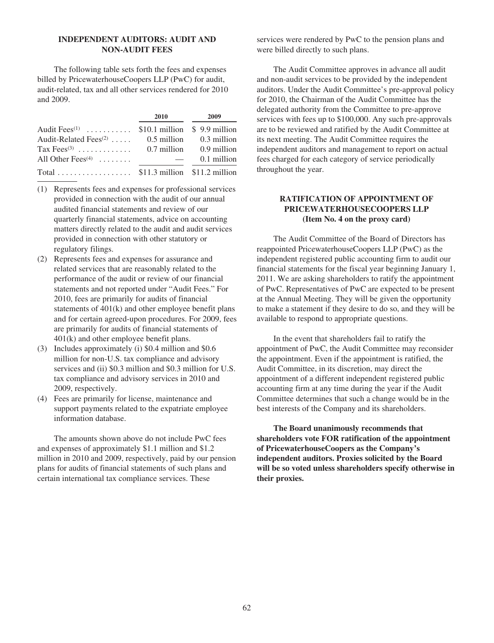# **INDEPENDENT AUDITORS: AUDIT AND NON-AUDIT FEES**

The following table sets forth the fees and expenses billed by PricewaterhouseCoopers LLP (PwC) for audit, audit-related, tax and all other services rendered for 2010 and 2009.

|                                                             | 2010 | 2009        |
|-------------------------------------------------------------|------|-------------|
| Audit Fees <sup>(1)</sup> \$10.1 million \$9.9 million      |      |             |
| Audit-Related Fees <sup>(2)</sup> $0.5$ million 0.3 million |      |             |
| Tax Fees <sup>(3)</sup> 0.7 million 0.9 million             |      |             |
| All Other Fees <sup>(4)</sup> $\ldots \ldots$               |      | 0.1 million |
| Total \$11.3 million $$11.2$ million                        |      |             |

- (1) Represents fees and expenses for professional services provided in connection with the audit of our annual audited financial statements and review of our quarterly financial statements, advice on accounting matters directly related to the audit and audit services provided in connection with other statutory or regulatory filings.
- (2) Represents fees and expenses for assurance and related services that are reasonably related to the performance of the audit or review of our financial statements and not reported under "Audit Fees." For 2010, fees are primarily for audits of financial statements of 401(k) and other employee benefit plans and for certain agreed-upon procedures. For 2009, fees are primarily for audits of financial statements of 401(k) and other employee benefit plans.
- (3) Includes approximately (i) \$0.4 million and \$0.6 million for non-U.S. tax compliance and advisory services and (ii) \$0.3 million and \$0.3 million for U.S. tax compliance and advisory services in 2010 and 2009, respectively.
- (4) Fees are primarily for license, maintenance and support payments related to the expatriate employee information database.

The amounts shown above do not include PwC fees and expenses of approximately \$1.1 million and \$1.2 million in 2010 and 2009, respectively, paid by our pension plans for audits of financial statements of such plans and certain international tax compliance services. These

services were rendered by PwC to the pension plans and were billed directly to such plans.

The Audit Committee approves in advance all audit and non-audit services to be provided by the independent auditors. Under the Audit Committee's pre-approval policy for 2010, the Chairman of the Audit Committee has the delegated authority from the Committee to pre-approve services with fees up to \$100,000. Any such pre-approvals are to be reviewed and ratified by the Audit Committee at its next meeting. The Audit Committee requires the independent auditors and management to report on actual fees charged for each category of service periodically throughout the year.

## **RATIFICATION OF APPOINTMENT OF PRICEWATERHOUSECOOPERS LLP (Item No. 4 on the proxy card)**

The Audit Committee of the Board of Directors has reappointed PricewaterhouseCoopers LLP (PwC) as the independent registered public accounting firm to audit our financial statements for the fiscal year beginning January 1, 2011. We are asking shareholders to ratify the appointment of PwC. Representatives of PwC are expected to be present at the Annual Meeting. They will be given the opportunity to make a statement if they desire to do so, and they will be available to respond to appropriate questions.

In the event that shareholders fail to ratify the appointment of PwC, the Audit Committee may reconsider the appointment. Even if the appointment is ratified, the Audit Committee, in its discretion, may direct the appointment of a different independent registered public accounting firm at any time during the year if the Audit Committee determines that such a change would be in the best interests of the Company and its shareholders.

**The Board unanimously recommends that shareholders vote FOR ratification of the appointment of PricewaterhouseCoopers as the Company's independent auditors. Proxies solicited by the Board will be so voted unless shareholders specify otherwise in their proxies.**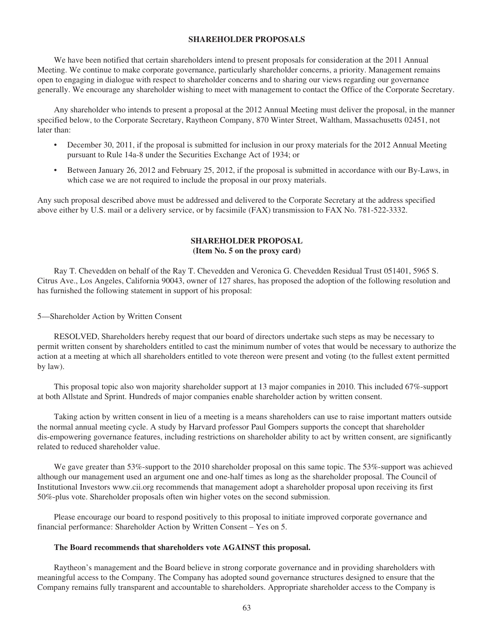## **SHAREHOLDER PROPOSALS**

We have been notified that certain shareholders intend to present proposals for consideration at the 2011 Annual Meeting. We continue to make corporate governance, particularly shareholder concerns, a priority. Management remains open to engaging in dialogue with respect to shareholder concerns and to sharing our views regarding our governance generally. We encourage any shareholder wishing to meet with management to contact the Office of the Corporate Secretary.

Any shareholder who intends to present a proposal at the 2012 Annual Meeting must deliver the proposal, in the manner specified below, to the Corporate Secretary, Raytheon Company, 870 Winter Street, Waltham, Massachusetts 02451, not later than:

- December 30, 2011, if the proposal is submitted for inclusion in our proxy materials for the 2012 Annual Meeting pursuant to Rule 14a-8 under the Securities Exchange Act of 1934; or
- Between January 26, 2012 and February 25, 2012, if the proposal is submitted in accordance with our By-Laws, in which case we are not required to include the proposal in our proxy materials.

Any such proposal described above must be addressed and delivered to the Corporate Secretary at the address specified above either by U.S. mail or a delivery service, or by facsimile (FAX) transmission to FAX No. 781-522-3332.

# **SHAREHOLDER PROPOSAL (Item No. 5 on the proxy card)**

Ray T. Chevedden on behalf of the Ray T. Chevedden and Veronica G. Chevedden Residual Trust 051401, 5965 S. Citrus Ave., Los Angeles, California 90043, owner of 127 shares, has proposed the adoption of the following resolution and has furnished the following statement in support of his proposal:

5—Shareholder Action by Written Consent

RESOLVED, Shareholders hereby request that our board of directors undertake such steps as may be necessary to permit written consent by shareholders entitled to cast the minimum number of votes that would be necessary to authorize the action at a meeting at which all shareholders entitled to vote thereon were present and voting (to the fullest extent permitted by law).

This proposal topic also won majority shareholder support at 13 major companies in 2010. This included 67%-support at both Allstate and Sprint. Hundreds of major companies enable shareholder action by written consent.

Taking action by written consent in lieu of a meeting is a means shareholders can use to raise important matters outside the normal annual meeting cycle. A study by Harvard professor Paul Gompers supports the concept that shareholder dis-empowering governance features, including restrictions on shareholder ability to act by written consent, are significantly related to reduced shareholder value.

We gave greater than 53%-support to the 2010 shareholder proposal on this same topic. The 53%-support was achieved although our management used an argument one and one-half times as long as the shareholder proposal. The Council of Institutional Investors www.cii.org recommends that management adopt a shareholder proposal upon receiving its first 50%-plus vote. Shareholder proposals often win higher votes on the second submission.

Please encourage our board to respond positively to this proposal to initiate improved corporate governance and financial performance: Shareholder Action by Written Consent – Yes on 5.

### **The Board recommends that shareholders vote AGAINST this proposal.**

Raytheon's management and the Board believe in strong corporate governance and in providing shareholders with meaningful access to the Company. The Company has adopted sound governance structures designed to ensure that the Company remains fully transparent and accountable to shareholders. Appropriate shareholder access to the Company is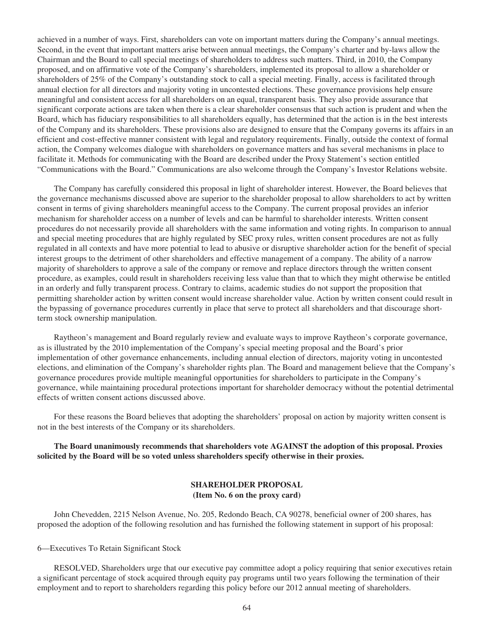achieved in a number of ways. First, shareholders can vote on important matters during the Company's annual meetings. Second, in the event that important matters arise between annual meetings, the Company's charter and by-laws allow the Chairman and the Board to call special meetings of shareholders to address such matters. Third, in 2010, the Company proposed, and on affirmative vote of the Company's shareholders, implemented its proposal to allow a shareholder or shareholders of 25% of the Company's outstanding stock to call a special meeting. Finally, access is facilitated through annual election for all directors and majority voting in uncontested elections. These governance provisions help ensure meaningful and consistent access for all shareholders on an equal, transparent basis. They also provide assurance that significant corporate actions are taken when there is a clear shareholder consensus that such action is prudent and when the Board, which has fiduciary responsibilities to all shareholders equally, has determined that the action is in the best interests of the Company and its shareholders. These provisions also are designed to ensure that the Company governs its affairs in an efficient and cost-effective manner consistent with legal and regulatory requirements. Finally, outside the context of formal action, the Company welcomes dialogue with shareholders on governance matters and has several mechanisms in place to facilitate it. Methods for communicating with the Board are described under the Proxy Statement's section entitled "Communications with the Board." Communications are also welcome through the Company's Investor Relations website.

The Company has carefully considered this proposal in light of shareholder interest. However, the Board believes that the governance mechanisms discussed above are superior to the shareholder proposal to allow shareholders to act by written consent in terms of giving shareholders meaningful access to the Company. The current proposal provides an inferior mechanism for shareholder access on a number of levels and can be harmful to shareholder interests. Written consent procedures do not necessarily provide all shareholders with the same information and voting rights. In comparison to annual and special meeting procedures that are highly regulated by SEC proxy rules, written consent procedures are not as fully regulated in all contexts and have more potential to lead to abusive or disruptive shareholder action for the benefit of special interest groups to the detriment of other shareholders and effective management of a company. The ability of a narrow majority of shareholders to approve a sale of the company or remove and replace directors through the written consent procedure, as examples, could result in shareholders receiving less value than that to which they might otherwise be entitled in an orderly and fully transparent process. Contrary to claims, academic studies do not support the proposition that permitting shareholder action by written consent would increase shareholder value. Action by written consent could result in the bypassing of governance procedures currently in place that serve to protect all shareholders and that discourage shortterm stock ownership manipulation.

Raytheon's management and Board regularly review and evaluate ways to improve Raytheon's corporate governance, as is illustrated by the 2010 implementation of the Company's special meeting proposal and the Board's prior implementation of other governance enhancements, including annual election of directors, majority voting in uncontested elections, and elimination of the Company's shareholder rights plan. The Board and management believe that the Company's governance procedures provide multiple meaningful opportunities for shareholders to participate in the Company's governance, while maintaining procedural protections important for shareholder democracy without the potential detrimental effects of written consent actions discussed above.

For these reasons the Board believes that adopting the shareholders' proposal on action by majority written consent is not in the best interests of the Company or its shareholders.

**The Board unanimously recommends that shareholders vote AGAINST the adoption of this proposal. Proxies solicited by the Board will be so voted unless shareholders specify otherwise in their proxies.**

# **SHAREHOLDER PROPOSAL (Item No. 6 on the proxy card)**

John Chevedden, 2215 Nelson Avenue, No. 205, Redondo Beach, CA 90278, beneficial owner of 200 shares, has proposed the adoption of the following resolution and has furnished the following statement in support of his proposal:

6—Executives To Retain Significant Stock

RESOLVED, Shareholders urge that our executive pay committee adopt a policy requiring that senior executives retain a significant percentage of stock acquired through equity pay programs until two years following the termination of their employment and to report to shareholders regarding this policy before our 2012 annual meeting of shareholders.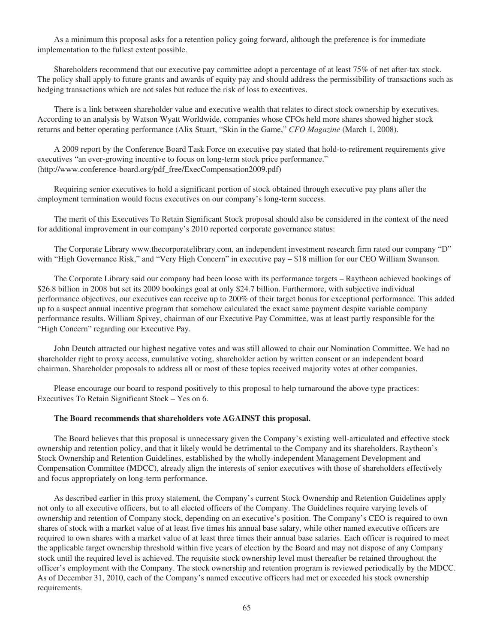As a minimum this proposal asks for a retention policy going forward, although the preference is for immediate implementation to the fullest extent possible.

Shareholders recommend that our executive pay committee adopt a percentage of at least 75% of net after-tax stock. The policy shall apply to future grants and awards of equity pay and should address the permissibility of transactions such as hedging transactions which are not sales but reduce the risk of loss to executives.

There is a link between shareholder value and executive wealth that relates to direct stock ownership by executives. According to an analysis by Watson Wyatt Worldwide, companies whose CFOs held more shares showed higher stock returns and better operating performance (Alix Stuart, "Skin in the Game," *CFO Magazine* (March 1, 2008).

A 2009 report by the Conference Board Task Force on executive pay stated that hold-to-retirement requirements give executives "an ever-growing incentive to focus on long-term stock price performance." (http://www.conference-board.org/pdf\_free/ExecCompensation2009.pdf)

Requiring senior executives to hold a significant portion of stock obtained through executive pay plans after the employment termination would focus executives on our company's long-term success.

The merit of this Executives To Retain Significant Stock proposal should also be considered in the context of the need for additional improvement in our company's 2010 reported corporate governance status:

The Corporate Library www.thecorporatelibrary.com, an independent investment research firm rated our company "D" with "High Governance Risk," and "Very High Concern" in executive pay – \$18 million for our CEO William Swanson.

The Corporate Library said our company had been loose with its performance targets – Raytheon achieved bookings of \$26.8 billion in 2008 but set its 2009 bookings goal at only \$24.7 billion. Furthermore, with subjective individual performance objectives, our executives can receive up to 200% of their target bonus for exceptional performance. This added up to a suspect annual incentive program that somehow calculated the exact same payment despite variable company performance results. William Spivey, chairman of our Executive Pay Committee, was at least partly responsible for the "High Concern" regarding our Executive Pay.

John Deutch attracted our highest negative votes and was still allowed to chair our Nomination Committee. We had no shareholder right to proxy access, cumulative voting, shareholder action by written consent or an independent board chairman. Shareholder proposals to address all or most of these topics received majority votes at other companies.

Please encourage our board to respond positively to this proposal to help turnaround the above type practices: Executives To Retain Significant Stock – Yes on 6.

### **The Board recommends that shareholders vote AGAINST this proposal.**

The Board believes that this proposal is unnecessary given the Company's existing well-articulated and effective stock ownership and retention policy, and that it likely would be detrimental to the Company and its shareholders. Raytheon's Stock Ownership and Retention Guidelines, established by the wholly-independent Management Development and Compensation Committee (MDCC), already align the interests of senior executives with those of shareholders effectively and focus appropriately on long-term performance.

As described earlier in this proxy statement, the Company's current Stock Ownership and Retention Guidelines apply not only to all executive officers, but to all elected officers of the Company. The Guidelines require varying levels of ownership and retention of Company stock, depending on an executive's position. The Company's CEO is required to own shares of stock with a market value of at least five times his annual base salary, while other named executive officers are required to own shares with a market value of at least three times their annual base salaries. Each officer is required to meet the applicable target ownership threshold within five years of election by the Board and may not dispose of any Company stock until the required level is achieved. The requisite stock ownership level must thereafter be retained throughout the officer's employment with the Company. The stock ownership and retention program is reviewed periodically by the MDCC. As of December 31, 2010, each of the Company's named executive officers had met or exceeded his stock ownership requirements.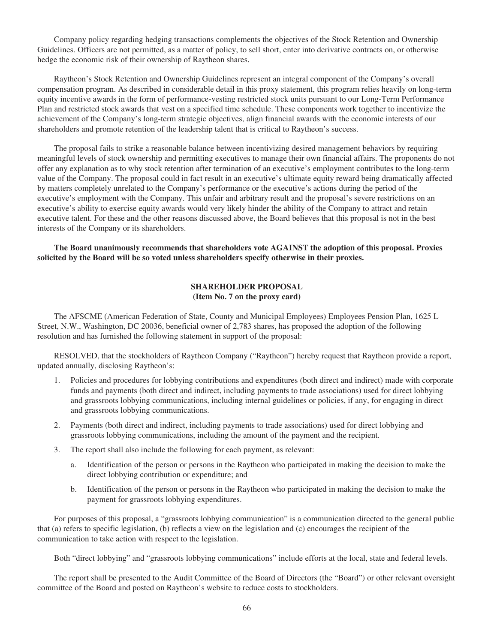Company policy regarding hedging transactions complements the objectives of the Stock Retention and Ownership Guidelines. Officers are not permitted, as a matter of policy, to sell short, enter into derivative contracts on, or otherwise hedge the economic risk of their ownership of Raytheon shares.

Raytheon's Stock Retention and Ownership Guidelines represent an integral component of the Company's overall compensation program. As described in considerable detail in this proxy statement, this program relies heavily on long-term equity incentive awards in the form of performance-vesting restricted stock units pursuant to our Long-Term Performance Plan and restricted stock awards that vest on a specified time schedule. These components work together to incentivize the achievement of the Company's long-term strategic objectives, align financial awards with the economic interests of our shareholders and promote retention of the leadership talent that is critical to Raytheon's success.

The proposal fails to strike a reasonable balance between incentivizing desired management behaviors by requiring meaningful levels of stock ownership and permitting executives to manage their own financial affairs. The proponents do not offer any explanation as to why stock retention after termination of an executive's employment contributes to the long-term value of the Company. The proposal could in fact result in an executive's ultimate equity reward being dramatically affected by matters completely unrelated to the Company's performance or the executive's actions during the period of the executive's employment with the Company. This unfair and arbitrary result and the proposal's severe restrictions on an executive's ability to exercise equity awards would very likely hinder the ability of the Company to attract and retain executive talent. For these and the other reasons discussed above, the Board believes that this proposal is not in the best interests of the Company or its shareholders.

**The Board unanimously recommends that shareholders vote AGAINST the adoption of this proposal. Proxies solicited by the Board will be so voted unless shareholders specify otherwise in their proxies.**

## **SHAREHOLDER PROPOSAL (Item No. 7 on the proxy card)**

The AFSCME (American Federation of State, County and Municipal Employees) Employees Pension Plan, 1625 L Street, N.W., Washington, DC 20036, beneficial owner of 2,783 shares, has proposed the adoption of the following resolution and has furnished the following statement in support of the proposal:

RESOLVED, that the stockholders of Raytheon Company ("Raytheon") hereby request that Raytheon provide a report, updated annually, disclosing Raytheon's:

- 1. Policies and procedures for lobbying contributions and expenditures (both direct and indirect) made with corporate funds and payments (both direct and indirect, including payments to trade associations) used for direct lobbying and grassroots lobbying communications, including internal guidelines or policies, if any, for engaging in direct and grassroots lobbying communications.
- 2. Payments (both direct and indirect, including payments to trade associations) used for direct lobbying and grassroots lobbying communications, including the amount of the payment and the recipient.
- 3. The report shall also include the following for each payment, as relevant:
	- a. Identification of the person or persons in the Raytheon who participated in making the decision to make the direct lobbying contribution or expenditure; and
	- b. Identification of the person or persons in the Raytheon who participated in making the decision to make the payment for grassroots lobbying expenditures.

For purposes of this proposal, a "grassroots lobbying communication" is a communication directed to the general public that (a) refers to specific legislation, (b) reflects a view on the legislation and (c) encourages the recipient of the communication to take action with respect to the legislation.

Both "direct lobbying" and "grassroots lobbying communications" include efforts at the local, state and federal levels.

The report shall be presented to the Audit Committee of the Board of Directors (the "Board") or other relevant oversight committee of the Board and posted on Raytheon's website to reduce costs to stockholders.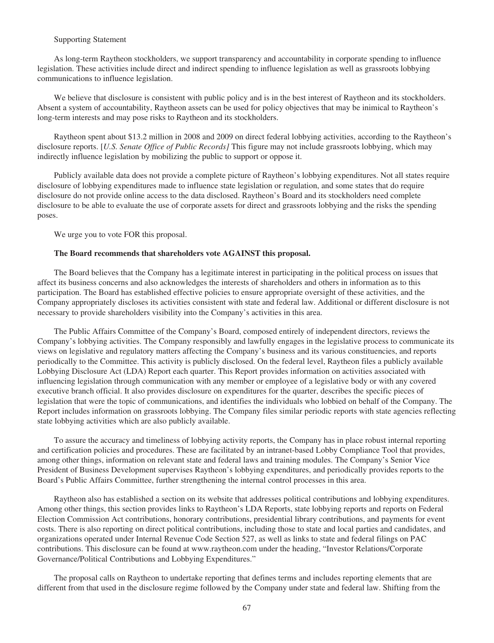### Supporting Statement

As long-term Raytheon stockholders, we support transparency and accountability in corporate spending to influence legislation. These activities include direct and indirect spending to influence legislation as well as grassroots lobbying communications to influence legislation.

We believe that disclosure is consistent with public policy and is in the best interest of Raytheon and its stockholders. Absent a system of accountability, Raytheon assets can be used for policy objectives that may be inimical to Raytheon's long-term interests and may pose risks to Raytheon and its stockholders.

Raytheon spent about \$13.2 million in 2008 and 2009 on direct federal lobbying activities, according to the Raytheon's disclosure reports. [*U.S. Senate Office of Public Records]* This figure may not include grassroots lobbying, which may indirectly influence legislation by mobilizing the public to support or oppose it.

Publicly available data does not provide a complete picture of Raytheon's lobbying expenditures. Not all states require disclosure of lobbying expenditures made to influence state legislation or regulation, and some states that do require disclosure do not provide online access to the data disclosed. Raytheon's Board and its stockholders need complete disclosure to be able to evaluate the use of corporate assets for direct and grassroots lobbying and the risks the spending poses.

We urge you to vote FOR this proposal.

### **The Board recommends that shareholders vote AGAINST this proposal.**

The Board believes that the Company has a legitimate interest in participating in the political process on issues that affect its business concerns and also acknowledges the interests of shareholders and others in information as to this participation. The Board has established effective policies to ensure appropriate oversight of these activities, and the Company appropriately discloses its activities consistent with state and federal law. Additional or different disclosure is not necessary to provide shareholders visibility into the Company's activities in this area.

The Public Affairs Committee of the Company's Board, composed entirely of independent directors, reviews the Company's lobbying activities. The Company responsibly and lawfully engages in the legislative process to communicate its views on legislative and regulatory matters affecting the Company's business and its various constituencies, and reports periodically to the Committee. This activity is publicly disclosed. On the federal level, Raytheon files a publicly available Lobbying Disclosure Act (LDA) Report each quarter. This Report provides information on activities associated with influencing legislation through communication with any member or employee of a legislative body or with any covered executive branch official. It also provides disclosure on expenditures for the quarter, describes the specific pieces of legislation that were the topic of communications, and identifies the individuals who lobbied on behalf of the Company. The Report includes information on grassroots lobbying. The Company files similar periodic reports with state agencies reflecting state lobbying activities which are also publicly available.

To assure the accuracy and timeliness of lobbying activity reports, the Company has in place robust internal reporting and certification policies and procedures. These are facilitated by an intranet-based Lobby Compliance Tool that provides, among other things, information on relevant state and federal laws and training modules. The Company's Senior Vice President of Business Development supervises Raytheon's lobbying expenditures, and periodically provides reports to the Board's Public Affairs Committee, further strengthening the internal control processes in this area.

Raytheon also has established a section on its website that addresses political contributions and lobbying expenditures. Among other things, this section provides links to Raytheon's LDA Reports, state lobbying reports and reports on Federal Election Commission Act contributions, honorary contributions, presidential library contributions, and payments for event costs. There is also reporting on direct political contributions, including those to state and local parties and candidates, and organizations operated under Internal Revenue Code Section 527, as well as links to state and federal filings on PAC contributions. This disclosure can be found at www.raytheon.com under the heading, "Investor Relations/Corporate Governance/Political Contributions and Lobbying Expenditures."

The proposal calls on Raytheon to undertake reporting that defines terms and includes reporting elements that are different from that used in the disclosure regime followed by the Company under state and federal law. Shifting from the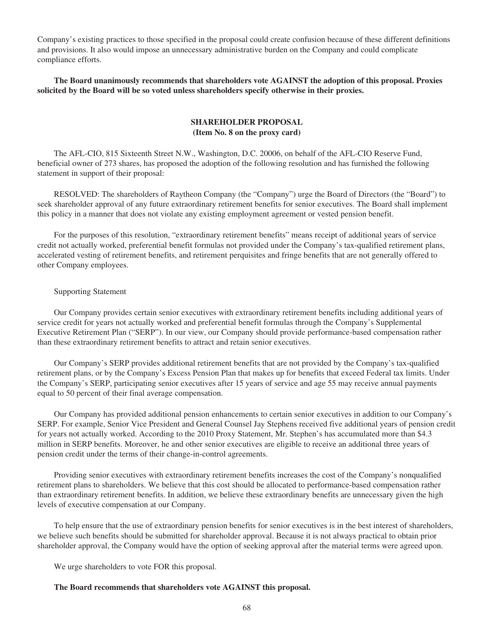Company's existing practices to those specified in the proposal could create confusion because of these different definitions and provisions. It also would impose an unnecessary administrative burden on the Company and could complicate compliance efforts.

**The Board unanimously recommends that shareholders vote AGAINST the adoption of this proposal. Proxies solicited by the Board will be so voted unless shareholders specify otherwise in their proxies.**

# **SHAREHOLDER PROPOSAL (Item No. 8 on the proxy card)**

The AFL-CIO, 815 Sixteenth Street N.W., Washington, D.C. 20006, on behalf of the AFL-CIO Reserve Fund, beneficial owner of 273 shares, has proposed the adoption of the following resolution and has furnished the following statement in support of their proposal:

RESOLVED: The shareholders of Raytheon Company (the "Company") urge the Board of Directors (the "Board") to seek shareholder approval of any future extraordinary retirement benefits for senior executives. The Board shall implement this policy in a manner that does not violate any existing employment agreement or vested pension benefit.

For the purposes of this resolution, "extraordinary retirement benefits" means receipt of additional years of service credit not actually worked, preferential benefit formulas not provided under the Company's tax-qualified retirement plans, accelerated vesting of retirement benefits, and retirement perquisites and fringe benefits that are not generally offered to other Company employees.

### Supporting Statement

Our Company provides certain senior executives with extraordinary retirement benefits including additional years of service credit for years not actually worked and preferential benefit formulas through the Company's Supplemental Executive Retirement Plan ("SERP"). In our view, our Company should provide performance-based compensation rather than these extraordinary retirement benefits to attract and retain senior executives.

Our Company's SERP provides additional retirement benefits that are not provided by the Company's tax-qualified retirement plans, or by the Company's Excess Pension Plan that makes up for benefits that exceed Federal tax limits. Under the Company's SERP, participating senior executives after 15 years of service and age 55 may receive annual payments equal to 50 percent of their final average compensation.

Our Company has provided additional pension enhancements to certain senior executives in addition to our Company's SERP. For example, Senior Vice President and General Counsel Jay Stephens received five additional years of pension credit for years not actually worked. According to the 2010 Proxy Statement, Mr. Stephen's has accumulated more than \$4.3 million in SERP benefits. Moreover, he and other senior executives are eligible to receive an additional three years of pension credit under the terms of their change-in-control agreements.

Providing senior executives with extraordinary retirement benefits increases the cost of the Company's nonqualified retirement plans to shareholders. We believe that this cost should be allocated to performance-based compensation rather than extraordinary retirement benefits. In addition, we believe these extraordinary benefits are unnecessary given the high levels of executive compensation at our Company.

To help ensure that the use of extraordinary pension benefits for senior executives is in the best interest of shareholders, we believe such benefits should be submitted for shareholder approval. Because it is not always practical to obtain prior shareholder approval, the Company would have the option of seeking approval after the material terms were agreed upon.

We urge shareholders to vote FOR this proposal.

### **The Board recommends that shareholders vote AGAINST this proposal.**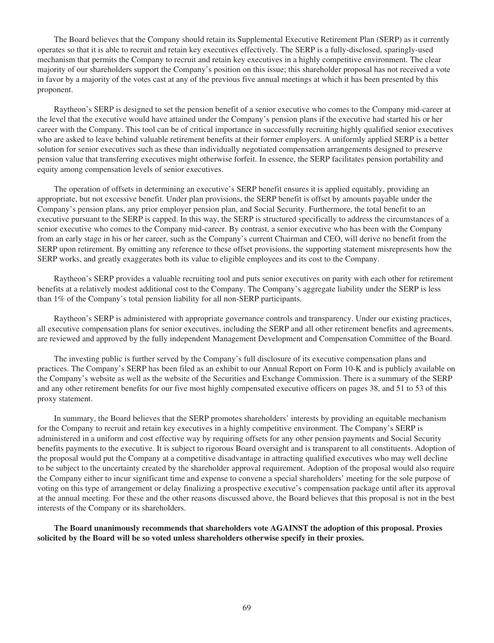The Board believes that the Company should retain its Supplemental Executive Retirement Plan (SERP) as it currently operates so that it is able to recruit and retain key executives effectively. The SERP is a fully-disclosed, sparingly-used mechanism that permits the Company to recruit and retain key executives in a highly competitive environment. The clear majority of our shareholders support the Company's position on this issue; this shareholder proposal has not received a vote in favor by a majority of the votes cast at any of the previous five annual meetings at which it has been presented by this proponent.

Raytheon's SERP is designed to set the pension benefit of a senior executive who comes to the Company mid-career at the level that the executive would have attained under the Company's pension plans if the executive had started his or her career with the Company. This tool can be of critical importance in successfully recruiting highly qualified senior executives who are asked to leave behind valuable retirement benefits at their former employers. A uniformly applied SERP is a better solution for senior executives such as these than individually negotiated compensation arrangements designed to preserve pension value that transferring executives might otherwise forfeit. In essence, the SERP facilitates pension portability and equity among compensation levels of senior executives.

The operation of offsets in determining an executive's SERP benefit ensures it is applied equitably, providing an appropriate, but not excessive benefit. Under plan provisions, the SERP benefit is offset by amounts payable under the Company's pension plans, any prior employer pension plan, and Social Security. Furthermore, the total benefit to an executive pursuant to the SERP is capped. In this way, the SERP is structured specifically to address the circumstances of a senior executive who comes to the Company mid-career. By contrast, a senior executive who has been with the Company from an early stage in his or her career, such as the Company's current Chairman and CEO, will derive no benefit from the SERP upon retirement. By omitting any reference to these offset provisions, the supporting statement misrepresents how the SERP works, and greatly exaggerates both its value to eligible employees and its cost to the Company.

Raytheon's SERP provides a valuable recruiting tool and puts senior executives on parity with each other for retirement benefits at a relatively modest additional cost to the Company. The Company's aggregate liability under the SERP is less than 1% of the Company's total pension liability for all non-SERP participants.

Raytheon's SERP is administered with appropriate governance controls and transparency. Under our existing practices, all executive compensation plans for senior executives, including the SERP and all other retirement benefits and agreements, are reviewed and approved by the fully independent Management Development and Compensation Committee of the Board.

The investing public is further served by the Company's full disclosure of its executive compensation plans and practices. The Company's SERP has been filed as an exhibit to our Annual Report on Form 10-K and is publicly available on the Company's website as well as the website of the Securities and Exchange Commission. There is a summary of the SERP and any other retirement benefits for our five most highly compensated executive officers on pages 38, and 51 to 53 of this proxy statement.

In summary, the Board believes that the SERP promotes shareholders' interests by providing an equitable mechanism for the Company to recruit and retain key executives in a highly competitive environment. The Company's SERP is administered in a uniform and cost effective way by requiring offsets for any other pension payments and Social Security benefits payments to the executive. It is subject to rigorous Board oversight and is transparent to all constituents. Adoption of the proposal would put the Company at a competitive disadvantage in attracting qualified executives who may well decline to be subject to the uncertainty created by the shareholder approval requirement. Adoption of the proposal would also require the Company either to incur significant time and expense to convene a special shareholders' meeting for the sole purpose of voting on this type of arrangement or delay finalizing a prospective executive's compensation package until after its approval at the annual meeting. For these and the other reasons discussed above, the Board believes that this proposal is not in the best interests of the Company or its shareholders.

**The Board unanimously recommends that shareholders vote AGAINST the adoption of this proposal. Proxies solicited by the Board will be so voted unless shareholders otherwise specify in their proxies.**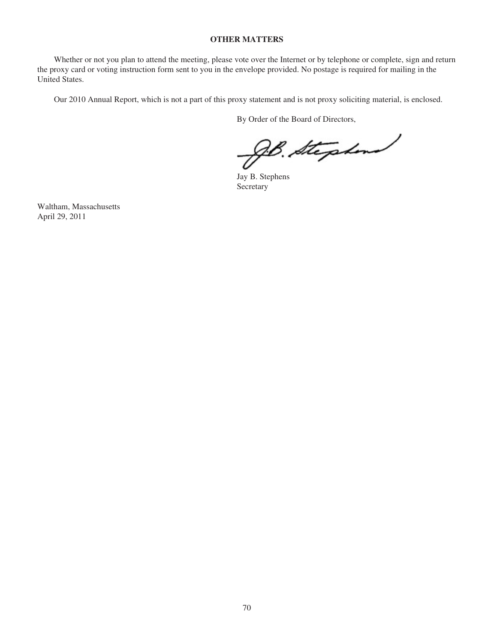## **OTHER MATTERS**

Whether or not you plan to attend the meeting, please vote over the Internet or by telephone or complete, sign and return the proxy card or voting instruction form sent to you in the envelope provided. No postage is required for mailing in the United States.

Our 2010 Annual Report, which is not a part of this proxy statement and is not proxy soliciting material, is enclosed.

By Order of the Board of Directors,

B. Stephen

Jay B. Stephens Secretary

Waltham, Massachusetts April 29, 2011